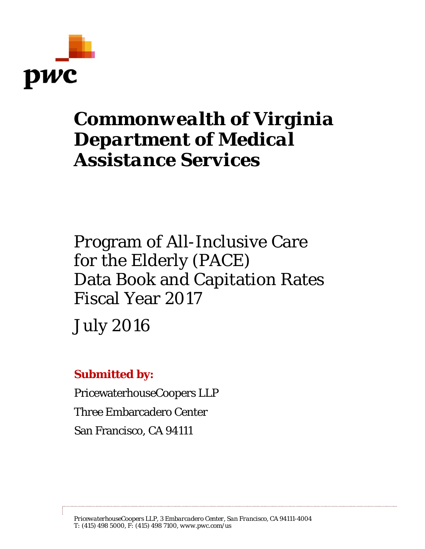

# *Commonwealth of Virginia Department of Medical Assistance Services*

Program of All-Inclusive Care for the Elderly (PACE) Data Book and Capitation Rates Fiscal Year 2017

July 2016

# **Submitted by:**

PricewaterhouseCoopers LLP Three Embarcadero Center San Francisco, CA 94111

*PricewaterhouseCoopers LLP, 3 Embarcadero Center, San Francisco, CA 94111-4004 T: (415) 498 5000, F: (415) 498 7100, www.pwc.com/us*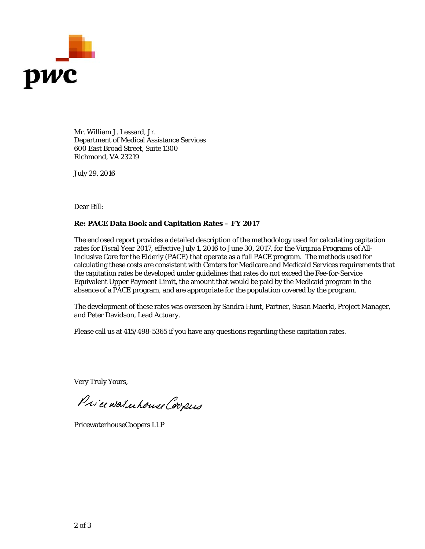

Mr. William J. Lessard, Jr. Department of Medical Assistance Services 600 East Broad Street, Suite 1300 Richmond, VA 23219

July 29, 2016

Dear Bill:

#### **Re: PACE Data Book and Capitation Rates – FY 2017**

The enclosed report provides a detailed description of the methodology used for calculating capitation rates for Fiscal Year 2017, effective July 1, 2016 to June 30, 2017, for the Virginia Programs of All-Inclusive Care for the Elderly (PACE) that operate as a full PACE program. The methods used for calculating these costs are consistent with Centers for Medicare and Medicaid Services requirements that the capitation rates be developed under guidelines that rates do not exceed the Fee-for-Service Equivalent Upper Payment Limit, the amount that would be paid by the Medicaid program in the absence of a PACE program, and are appropriate for the population covered by the program.

The development of these rates was overseen by Sandra Hunt, Partner, Susan Maerki, Project Manager, and Peter Davidson, Lead Actuary.

Please call us at 415/498-5365 if you have any questions regarding these capitation rates.

Very Truly Yours,

Price waterhouse Coopers

PricewaterhouseCoopers LLP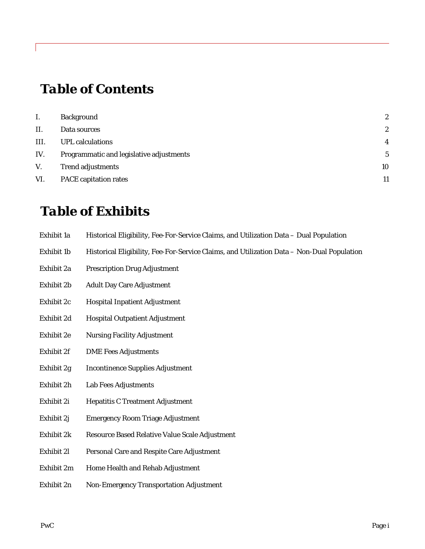# *Table of Contents*

| Ι.   | <b>Background</b>                        | $\boldsymbol{2}$ |
|------|------------------------------------------|------------------|
| II.  | Data sources                             | 2                |
| III. | <b>UPL</b> calculations                  | 4                |
| IV.  | Programmatic and legislative adjustments | 5                |
| V.   | <b>Trend adjustments</b>                 | 10               |
| VI.  | <b>PACE</b> capitation rates             | 11               |

# *Table of Exhibits*

| Exhibit 1a | Historical Eligibility, Fee-For-Service Claims, and Utilization Data - Dual Population |  |
|------------|----------------------------------------------------------------------------------------|--|
|            |                                                                                        |  |

- Exhibit 1b Historical Eligibility, Fee-For-Service Claims, and Utilization Data Non-Dual Population
- Exhibit 2a Prescription Drug Adjustment
- Exhibit 2b Adult Day Care Adjustment
- Exhibit 2c Hospital Inpatient Adjustment
- Exhibit 2d Hospital Outpatient Adjustment
- Exhibit 2e Nursing Facility Adjustment
- Exhibit 2f DME Fees Adjustments
- Exhibit 2g Incontinence Supplies Adjustment
- Exhibit 2h Lab Fees Adjustments
- Exhibit 2i Hepatitis C Treatment Adjustment
- Exhibit 2j Emergency Room Triage Adjustment
- Exhibit 2k Resource Based Relative Value Scale Adjustment
- Exhibit 2l Personal Care and Respite Care Adjustment
- Exhibit 2m Home Health and Rehab Adjustment
- Exhibit 2n Non-Emergency Transportation Adjustment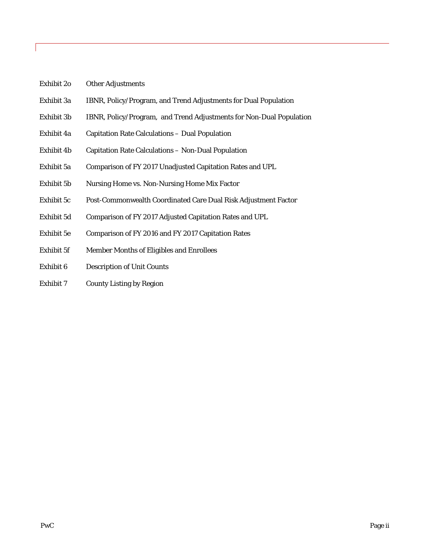- Exhibit 2o Other Adjustments
- Exhibit 3a IBNR, Policy/Program, and Trend Adjustments for Dual Population
- Exhibit 3b IBNR, Policy/Program, and Trend Adjustments for Non-Dual Population
- Exhibit 4a Capitation Rate Calculations Dual Population
- Exhibit 4b Capitation Rate Calculations Non-Dual Population
- Exhibit 5a Comparison of FY 2017 Unadjusted Capitation Rates and UPL
- Exhibit 5b Nursing Home vs. Non-Nursing Home Mix Factor
- Exhibit 5c Post-Commonwealth Coordinated Care Dual Risk Adjustment Factor
- Exhibit 5d Comparison of FY 2017 Adjusted Capitation Rates and UPL
- Exhibit 5e Comparison of FY 2016 and FY 2017 Capitation Rates
- Exhibit 5f Member Months of Eligibles and Enrollees
- Exhibit 6 Description of Unit Counts
- Exhibit 7 County Listing by Region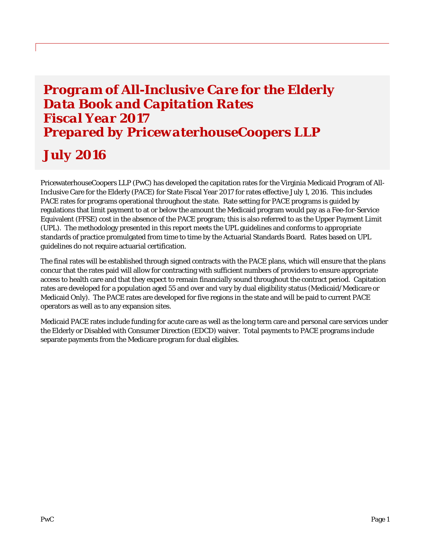# *Program of All-Inclusive Care for the Elderly Data Book and Capitation Rates Fiscal Year 2017 Prepared by PricewaterhouseCoopers LLP*

# *July 2016*

PricewaterhouseCoopers LLP (PwC) has developed the capitation rates for the Virginia Medicaid Program of All-Inclusive Care for the Elderly (PACE) for State Fiscal Year 2017 for rates effective July 1, 2016. This includes PACE rates for programs operational throughout the state. Rate setting for PACE programs is guided by regulations that limit payment to at or below the amount the Medicaid program would pay as a Fee-for-Service Equivalent (FFSE) cost in the absence of the PACE program; this is also referred to as the Upper Payment Limit (UPL). The methodology presented in this report meets the UPL guidelines and conforms to appropriate standards of practice promulgated from time to time by the Actuarial Standards Board. Rates based on UPL guidelines do not require actuarial certification.

The final rates will be established through signed contracts with the PACE plans, which will ensure that the plans concur that the rates paid will allow for contracting with sufficient numbers of providers to ensure appropriate access to health care and that they expect to remain financially sound throughout the contract period. Capitation rates are developed for a population aged 55 and over and vary by dual eligibility status (Medicaid/Medicare or Medicaid Only). The PACE rates are developed for five regions in the state and will be paid to current PACE operators as well as to any expansion sites.

Medicaid PACE rates include funding for acute care as well as the long term care and personal care services under the Elderly or Disabled with Consumer Direction (EDCD) waiver. Total payments to PACE programs include separate payments from the Medicare program for dual eligibles.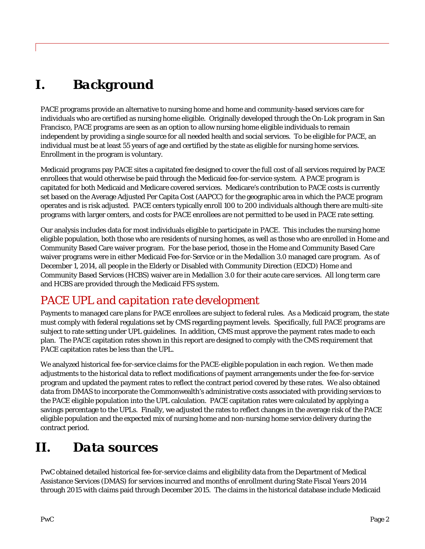# *I. Background*

PACE programs provide an alternative to nursing home and home and community-based services care for individuals who are certified as nursing home eligible. Originally developed through the On-Lok program in San Francisco, PACE programs are seen as an option to allow nursing home eligible individuals to remain independent by providing a single source for all needed health and social services. To be eligible for PACE, an individual must be at least 55 years of age and certified by the state as eligible for nursing home services. Enrollment in the program is voluntary.

Medicaid programs pay PACE sites a capitated fee designed to cover the full cost of all services required by PACE enrollees that would otherwise be paid through the Medicaid fee-for-service system. A PACE program is capitated for both Medicaid and Medicare covered services. Medicare's contribution to PACE costs is currently set based on the Average Adjusted Per Capita Cost (AAPCC) for the geographic area in which the PACE program operates and is risk adjusted. PACE centers typically enroll 100 to 200 individuals although there are multi-site programs with larger centers, and costs for PACE enrollees are not permitted to be used in PACE rate setting.

Our analysis includes data for most individuals eligible to participate in PACE. This includes the nursing home eligible population, both those who are residents of nursing homes, as well as those who are enrolled in Home and Community Based Care waiver program. For the base period, those in the Home and Community Based Care waiver programs were in either Medicaid Fee-for-Service or in the Medallion 3.0 managed care program. As of December 1, 2014, all people in the Elderly or Disabled with Community Direction (EDCD) Home and Community Based Services (HCBS) waiver are in Medallion 3.0 for their acute care services. All long term care and HCBS are provided through the Medicaid FFS system.

# *PACE UPL and capitation rate development*

Payments to managed care plans for PACE enrollees are subject to federal rules. As a Medicaid program, the state must comply with federal regulations set by CMS regarding payment levels. Specifically, full PACE programs are subject to rate setting under UPL guidelines. In addition, CMS must approve the payment rates made to each plan. The PACE capitation rates shown in this report are designed to comply with the CMS requirement that PACE capitation rates be less than the UPL.

We analyzed historical fee-for-service claims for the PACE-eligible population in each region. We then made adjustments to the historical data to reflect modifications of payment arrangements under the fee-for-service program and updated the payment rates to reflect the contract period covered by these rates. We also obtained data from DMAS to incorporate the Commonwealth's administrative costs associated with providing services to the PACE eligible population into the UPL calculation. PACE capitation rates were calculated by applying a savings percentage to the UPLs. Finally, we adjusted the rates to reflect changes in the average risk of the PACE eligible population and the expected mix of nursing home and non-nursing home service delivery during the contract period.

# *II. Data sources*

PwC obtained detailed historical fee-for-service claims and eligibility data from the Department of Medical Assistance Services (DMAS) for services incurred and months of enrollment during State Fiscal Years 2014 through 2015 with claims paid through December 2015. The claims in the historical database include Medicaid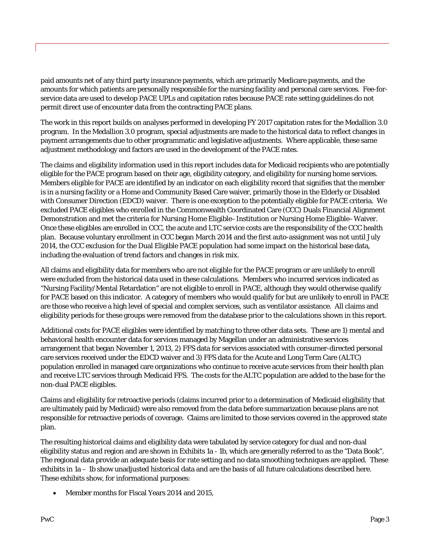paid amounts net of any third party insurance payments, which are primarily Medicare payments, and the amounts for which patients are personally responsible for the nursing facility and personal care services. Fee-forservice data are used to develop PACE UPLs and capitation rates because PACE rate setting guidelines do not permit direct use of encounter data from the contracting PACE plans.

The work in this report builds on analyses performed in developing FY 2017 capitation rates for the Medallion 3.0 program. In the Medallion 3.0 program, special adjustments are made to the historical data to reflect changes in payment arrangements due to other programmatic and legislative adjustments. Where applicable, these same adjustment methodology and factors are used in the development of the PACE rates.

The claims and eligibility information used in this report includes data for Medicaid recipients who are potentially eligible for the PACE program based on their age, eligibility category, and eligibility for nursing home services. Members eligible for PACE are identified by an indicator on each eligibility record that signifies that the member is in a nursing facility or a Home and Community Based Care waiver, primarily those in the Elderly or Disabled with Consumer Direction (EDCD) waiver. There is one exception to the potentially eligible for PACE criteria. We excluded PACE eligibles who enrolled in the Commonwealth Coordinated Care (CCC) Duals Financial Alignment Demonstration and met the criteria for Nursing Home Eligible–Institution or Nursing Home Eligible–Waiver. Once these eligibles are enrolled in CCC, the acute and LTC service costs are the responsibility of the CCC health plan. Because voluntary enrollment in CCC began March 2014 and the first auto-assignment was not until July 2014, the CCC exclusion for the Dual Eligible PACE population had some impact on the historical base data, including the evaluation of trend factors and changes in risk mix.

All claims and eligibility data for members who are not eligible for the PACE program or are unlikely to enroll were excluded from the historical data used in these calculations. Members who incurred services indicated as "Nursing Facility/Mental Retardation" are not eligible to enroll in PACE, although they would otherwise qualify for PACE based on this indicator. A category of members who would qualify for but are unlikely to enroll in PACE are those who receive a high level of special and complex services, such as ventilator assistance. All claims and eligibility periods for these groups were removed from the database prior to the calculations shown in this report.

Additional costs for PACE eligibles were identified by matching to three other data sets. These are 1) mental and behavioral health encounter data for services managed by Magellan under an administrative services arrangement that began November 1, 2013, 2) FFS data for services associated with consumer-directed personal care services received under the EDCD waiver and 3) FFS data for the Acute and Long Term Care (ALTC) population enrolled in managed care organizations who continue to receive acute services from their health plan and receive LTC services through Medicaid FFS. The costs for the ALTC population are added to the base for the non-dual PACE eligibles.

Claims and eligibility for retroactive periods (claims incurred prior to a determination of Medicaid eligibility that are ultimately paid by Medicaid) were also removed from the data before summarization because plans are not responsible for retroactive periods of coverage. Claims are limited to those services covered in the approved state plan.

The resulting historical claims and eligibility data were tabulated by service category for dual and non-dual eligibility status and region and are shown in Exhibits 1a - 1b, which are generally referred to as the "Data Book". The regional data provide an adequate basis for rate setting and no data smoothing techniques are applied. These exhibits in 1a – 1b show unadjusted historical data and are the basis of all future calculations described here. These exhibits show, for informational purposes:

Member months for Fiscal Years 2014 and 2015,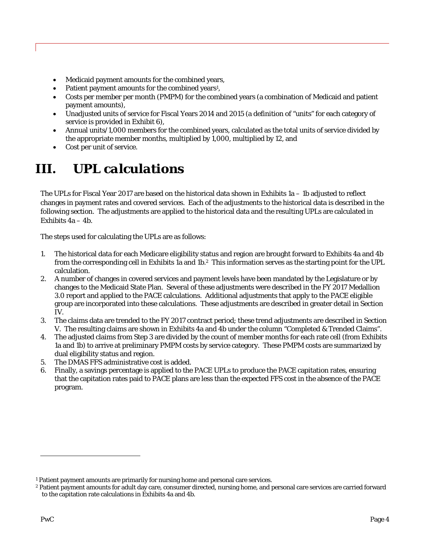- Medicaid payment amounts for the combined years,
- Patient payment amounts for the combined years<sup>1</sup>,
- Costs per member per month (PMPM) for the combined years (a combination of Medicaid and patient payment amounts),
- Unadjusted units of service for Fiscal Years 2014 and 2015 (a definition of "units" for each category of service is provided in Exhibit 6),
- Annual units/1,000 members for the combined years, calculated as the total units of service divided by the appropriate member months, multiplied by 1,000, multiplied by 12, and
- Cost per unit of service.

# *III. UPL calculations*

The UPLs for Fiscal Year 2017 are based on the historical data shown in Exhibits 1a – 1b adjusted to reflect changes in payment rates and covered services. Each of the adjustments to the historical data is described in the following section. The adjustments are applied to the historical data and the resulting UPLs are calculated in Exhibits  $4a - 4b$ .

The steps used for calculating the UPLs are as follows:

- 1. The historical data for each Medicare eligibility status and region are brought forward to Exhibits 4a and 4b from the corresponding cell in Exhibits 1a and 1b.2 This information serves as the starting point for the UPL calculation.
- 2. A number of changes in covered services and payment levels have been mandated by the Legislature or by changes to the Medicaid State Plan. Several of these adjustments were described in the FY 2017 Medallion 3.0 report and applied to the PACE calculations. Additional adjustments that apply to the PACE eligible group are incorporated into these calculations. These adjustments are described in greater detail in Section IV.
- 3. The claims data are trended to the FY 2017 contract period; these trend adjustments are described in Section V. The resulting claims are shown in Exhibits 4a and 4b under the column "Completed & Trended Claims".
- 4. The adjusted claims from Step 3 are divided by the count of member months for each rate cell (from Exhibits 1a and 1b) to arrive at preliminary PMPM costs by service category. These PMPM costs are summarized by dual eligibility status and region.
- 5. The DMAS FFS administrative cost is added.
- 6. Finally, a savings percentage is applied to the PACE UPLs to produce the PACE capitation rates, ensuring that the capitation rates paid to PACE plans are less than the expected FFS cost in the absence of the PACE program.

**.** 

<sup>&</sup>lt;sup>1</sup> Patient payment amounts are primarily for nursing home and personal care services.

<sup>2</sup> Patient payment amounts for adult day care, consumer directed, nursing home, and personal care services are carried forward to the capitation rate calculations in Exhibits 4a and 4b.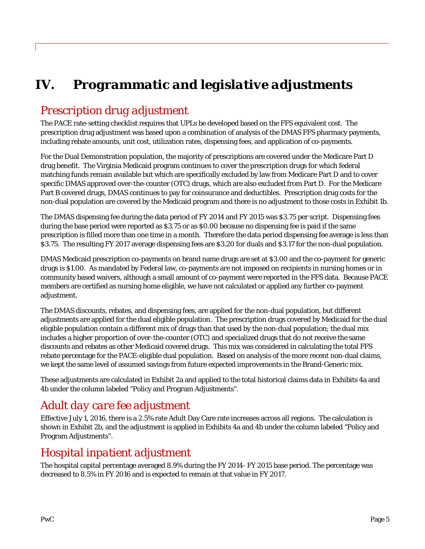# *IV. Programmatic and legislative adjustments*

# *Prescription drug adjustment*

The PACE rate-setting checklist requires that UPLs be developed based on the FFS equivalent cost. The prescription drug adjustment was based upon a combination of analysis of the DMAS FFS pharmacy payments, including rebate amounts, unit cost, utilization rates, dispensing fees, and application of co-payments.

For the Dual Demonstration population, the majority of prescriptions are covered under the Medicare Part D drug benefit. The Virginia Medicaid program continues to cover the prescription drugs for which federal matching funds remain available but which are specifically excluded by law from Medicare Part D and to cover specific DMAS approved over-the-counter (OTC) drugs, which are also excluded from Part D. For the Medicare Part B covered drugs, DMAS continues to pay for coinsurance and deductibles. Prescription drug costs for the non-dual population are covered by the Medicaid program and there is no adjustment to those costs in Exhibit 1b.

The DMAS dispensing fee during the data period of FY 2014 and FY 2015 was \$3.75 per script. Dispensing fees during the base period were reported as \$3.75 or as \$0.00 because no dispensing fee is paid if the same prescription is filled more than one time in a month. Therefore the data period dispensing fee average is less than \$3.75. The resulting FY 2017 average dispensing fees are \$3.20 for duals and \$3.17 for the non-dual population.

DMAS Medicaid prescription co-payments on brand name drugs are set at \$3.00 and the co-payment for generic drugs is \$1.00. As mandated by Federal law, co-payments are not imposed on recipients in nursing homes or in community based waivers, although a small amount of co-payment were reported in the FFS data. Because PACE members are certified as nursing home eligible, we have not calculated or applied any further co-payment adjustment.

The DMAS discounts, rebates, and dispensing fees, are applied for the non-dual population, but different adjustments are applied for the dual eligible population. The prescription drugs covered by Medicaid for the dual eligible population contain a different mix of drugs than that used by the non-dual population; the dual mix includes a higher proportion of over-the-counter (OTC) and specialized drugs that do not receive the same discounts and rebates as other Medicaid covered drugs. This mix was considered in calculating the total FFS rebate percentage for the PACE-eligible dual population. Based on analysis of the more recent non-dual claims, we kept the same level of assumed savings from future expected improvements in the Brand-Generic mix.

These adjustments are calculated in Exhibit 2a and applied to the total historical claims data in Exhibits 4a and 4b under the column labeled "Policy and Program Adjustments".

# *Adult day care fee adjustment*

Effective July 1, 2016, there is a 2.5% rate Adult Day Care rate increases across all regions. The calculation is shown in Exhibit 2b, and the adjustment is applied in Exhibits 4a and 4b under the column labeled "Policy and Program Adjustments".

## *Hospital inpatient adjustment*

The hospital capital percentage averaged 8.9% during the FY 2014- FY 2015 base period. The percentage was decreased to 8.5% in FY 2016 and is expected to remain at that value in FY 2017.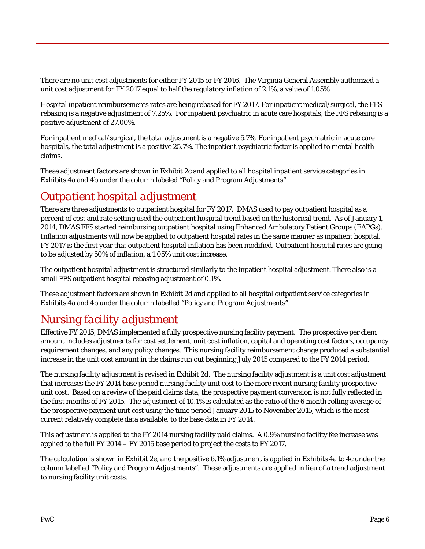There are no unit cost adjustments for either FY 2015 or FY 2016. The Virginia General Assembly authorized a unit cost adjustment for FY 2017 equal to half the regulatory inflation of 2.1%, a value of 1.05%.

Hospital inpatient reimbursements rates are being rebased for FY 2017. For inpatient medical/surgical, the FFS rebasing is a negative adjustment of 7.25%. For inpatient psychiatric in acute care hospitals, the FFS rebasing is a positive adjustment of 27.00%.

For inpatient medical/surgical, the total adjustment is a negative 5.7%. For inpatient psychiatric in acute care hospitals, the total adjustment is a positive 25.7%. The inpatient psychiatric factor is applied to mental health claims.

These adjustment factors are shown in Exhibit 2c and applied to all hospital inpatient service categories in Exhibits 4a and 4b under the column labeled "Policy and Program Adjustments".

# *Outpatient hospital adjustment*

There are three adjustments to outpatient hospital for FY 2017. DMAS used to pay outpatient hospital as a percent of cost and rate setting used the outpatient hospital trend based on the historical trend. As of January 1, 2014, DMAS FFS started reimbursing outpatient hospital using Enhanced Ambulatory Patient Groups (EAPGs). Inflation adjustments will now be applied to outpatient hospital rates in the same manner as inpatient hospital. FY 2017 is the first year that outpatient hospital inflation has been modified. Outpatient hospital rates are going to be adjusted by 50% of inflation, a 1.05% unit cost increase.

The outpatient hospital adjustment is structured similarly to the inpatient hospital adjustment. There also is a small FFS outpatient hospital rebasing adjustment of 0.1%.

These adjustment factors are shown in Exhibit 2d and applied to all hospital outpatient service categories in Exhibits 4a and 4b under the column labelled "Policy and Program Adjustments".

# *Nursing facility adjustment*

Effective FY 2015, DMAS implemented a fully prospective nursing facility payment. The prospective per diem amount includes adjustments for cost settlement, unit cost inflation, capital and operating cost factors, occupancy requirement changes, and any policy changes. This nursing facility reimbursement change produced a substantial increase in the unit cost amount in the claims run out beginning July 2015 compared to the FY 2014 period.

The nursing facility adjustment is revised in Exhibit 2d. The nursing facility adjustment is a unit cost adjustment that increases the FY 2014 base period nursing facility unit cost to the more recent nursing facility prospective unit cost. Based on a review of the paid claims data, the prospective payment conversion is not fully reflected in the first months of FY 2015. The adjustment of 10.1% is calculated as the ratio of the 6 month rolling average of the prospective payment unit cost using the time period January 2015 to November 2015, which is the most current relatively complete data available, to the base data in FY 2014.

This adjustment is applied to the FY 2014 nursing facility paid claims. A 0.9% nursing facility fee increase was applied to the full FY 2014 – FY 2015 base period to project the costs to FY 2017.

The calculation is shown in Exhibit 2e, and the positive 6.1% adjustment is applied in Exhibits 4a to 4c under the column labelled "Policy and Program Adjustments". These adjustments are applied in lieu of a trend adjustment to nursing facility unit costs.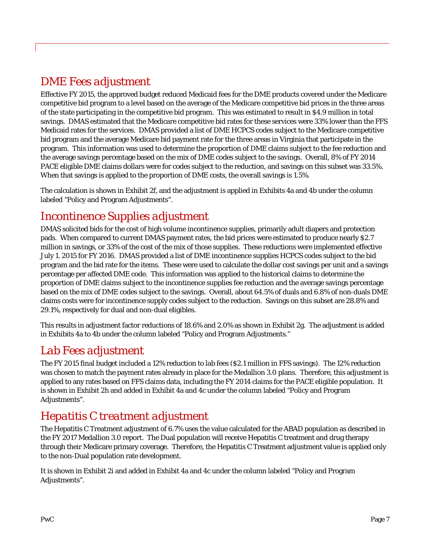# *DME Fees adjustment*

Effective FY 2015, the approved budget reduced Medicaid fees for the DME products covered under the Medicare competitive bid program to a level based on the average of the Medicare competitive bid prices in the three areas of the state participating in the competitive bid program. This was estimated to result in \$4.9 million in total savings. DMAS estimated that the Medicare competitive bid rates for these services were 33% lower than the FFS Medicaid rates for the services. DMAS provided a list of DME HCPCS codes subject to the Medicare competitive bid program and the average Medicare bid payment rate for the three areas in Virginia that participate in the program. This information was used to determine the proportion of DME claims subject to the fee reduction and the average savings percentage based on the mix of DME codes subject to the savings. Overall, 8% of FY 2014 PACE eligible DME claims dollars were for codes subject to the reduction, and savings on this subset was 33.5%. When that savings is applied to the proportion of DME costs, the overall savings is 1.5%.

The calculation is shown in Exhibit 2f, and the adjustment is applied in Exhibits 4a and 4b under the column labeled "Policy and Program Adjustments".

## *Incontinence Supplies adjustment*

DMAS solicited bids for the cost of high volume incontinence supplies, primarily adult diapers and protection pads. When compared to current DMAS payment rates, the bid prices were estimated to produce nearly \$2.7 million in savings, or 33% of the cost of the mix of those supplies. These reductions were implemented effective July 1. 2015 for FY 2016. DMAS provided a list of DME incontinence supplies HCPCS codes subject to the bid program and the bid rate for the items. These were used to calculate the dollar cost savings per unit and a savings percentage per affected DME code. This information was applied to the historical claims to determine the proportion of DME claims subject to the incontinence supplies fee reduction and the average savings percentage based on the mix of DME codes subject to the savings. Overall, about 64.5% of duals and 6.8% of non-duals DME claims costs were for incontinence supply codes subject to the reduction. Savings on this subset are 28.8% and 29.1%, respectively for dual and non-dual eligibles.

This results in adjustment factor reductions of 18.6% and 2.0% as shown in Exhibit 2g. The adjustment is added in Exhibits 4a to 4b under the column labeled "Policy and Program Adjustments."

## *Lab Fees adjustment*

The FY 2015 final budget included a 12% reduction to lab fees (\$2.1 million in FFS savings). The 12% reduction was chosen to match the payment rates already in place for the Medallion 3.0 plans. Therefore, this adjustment is applied to any rates based on FFS claims data, including the FY 2014 claims for the PACE eligible population. It is shown in Exhibit 2h and added in Exhibit 4a and 4c under the column labeled "Policy and Program Adjustments".

# *Hepatitis C treatment adjustment*

The Hepatitis C Treatment adjustment of 6.7% uses the value calculated for the ABAD population as described in the FY 2017 Medallion 3.0 report. The Dual population will receive Hepatitis C treatment and drug therapy through their Medicare primary coverage. Therefore, the Hepatitis C Treatment adjustment value is applied only to the non-Dual population rate development.

It is shown in Exhibit 2i and added in Exhibit 4a and 4c under the column labeled "Policy and Program Adjustments".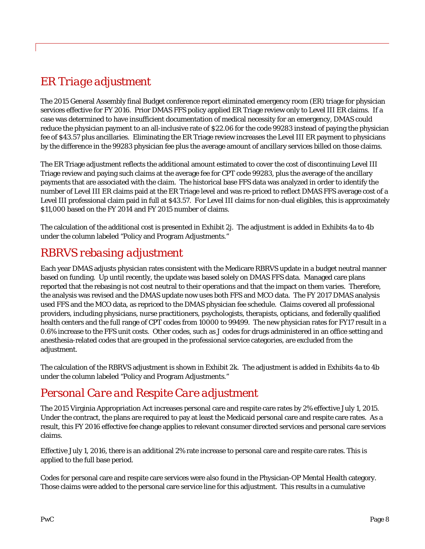# *ER Triage adjustment*

The 2015 General Assembly final Budget conference report eliminated emergency room (ER) triage for physician services effective for FY 2016. Prior DMAS FFS policy applied ER Triage review only to Level III ER claims. If a case was determined to have insufficient documentation of medical necessity for an emergency, DMAS could reduce the physician payment to an all-inclusive rate of \$22.06 for the code 99283 instead of paying the physician fee of \$43.57 plus ancillaries. Eliminating the ER Triage review increases the Level III ER payment to physicians by the difference in the 99283 physician fee plus the average amount of ancillary services billed on those claims.

The ER Triage adjustment reflects the additional amount estimated to cover the cost of discontinuing Level III Triage review and paying such claims at the average fee for CPT code 99283, plus the average of the ancillary payments that are associated with the claim. The historical base FFS data was analyzed in order to identify the number of Level III ER claims paid at the ER Triage level and was re-priced to reflect DMAS FFS average cost of a Level III professional claim paid in full at \$43.57. For Level III claims for non-dual eligibles, this is approximately \$11,000 based on the FY 2014 and FY 2015 number of claims.

The calculation of the additional cost is presented in Exhibit 2j. The adjustment is added in Exhibits 4a to 4b under the column labeled "Policy and Program Adjustments."

# *RBRVS rebasing adjustment*

Each year DMAS adjusts physician rates consistent with the Medicare RBRVS update in a budget neutral manner based on funding. Up until recently, the update was based solely on DMAS FFS data. Managed care plans reported that the rebasing is not cost neutral to their operations and that the impact on them varies. Therefore, the analysis was revised and the DMAS update now uses both FFS and MCO data. The FY 2017 DMAS analysis used FFS and the MCO data, as repriced to the DMAS physician fee schedule. Claims covered all professional providers, including physicians, nurse practitioners, psychologists, therapists, opticians, and federally qualified health centers and the full range of CPT codes from 10000 to 99499. The new physician rates for FY17 result in a 0.6% increase to the FFS unit costs. Other codes, such as J codes for drugs administered in an office setting and anesthesia-related codes that are grouped in the professional service categories, are excluded from the adjustment.

The calculation of the RBRVS adjustment is shown in Exhibit 2k.The adjustment is added in Exhibits 4a to 4b under the column labeled "Policy and Program Adjustments."

# *Personal Care and Respite Care adjustment*

The 2015 Virginia Appropriation Act increases personal care and respite care rates by 2% effective July 1, 2015. Under the contract, the plans are required to pay at least the Medicaid personal care and respite care rates. As a result, this FY 2016 effective fee change applies to relevant consumer directed services and personal care services claims.

Effective July 1, 2016, there is an additional 2% rate increase to personal care and respite care rates. This is applied to the full base period.

Codes for personal care and respite care services were also found in the Physician-OP Mental Health category. Those claims were added to the personal care service line for this adjustment. This results in a cumulative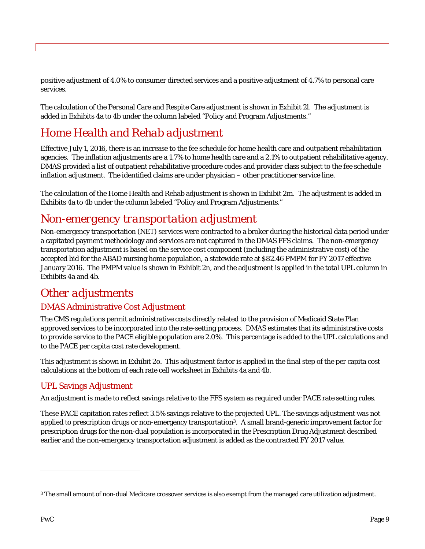positive adjustment of 4.0% to consumer directed services and a positive adjustment of 4.7% to personal care services.

The calculation of the Personal Care and Respite Care adjustment is shown in Exhibit 2l. The adjustment is added in Exhibits 4a to 4b under the column labeled "Policy and Program Adjustments."

# *Home Health and Rehab adjustment*

Effective July 1, 2016, there is an increase to the fee schedule for home health care and outpatient rehabilitation agencies. The inflation adjustments are a 1.7% to home health care and a 2.1% to outpatient rehabilitative agency. DMAS provided a list of outpatient rehabilitative procedure codes and provider class subject to the fee schedule inflation adjustment. The identified claims are under physician – other practitioner service line.

The calculation of the Home Health and Rehab adjustment is shown in Exhibit 2m. The adjustment is added in Exhibits 4a to 4b under the column labeled "Policy and Program Adjustments."

## *Non-emergency transportation adjustment*

Non-emergency transportation (NET) services were contracted to a broker during the historical data period under a capitated payment methodology and services are not captured in the DMAS FFS claims. The non-emergency transportation adjustment is based on the service cost component (including the administrative cost) of the accepted bid for the ABAD nursing home population, a statewide rate at \$82.46 PMPM for FY 2017 effective January 2016. The PMPM value is shown in Exhibit 2n, and the adjustment is applied in the total UPL column in Exhibits 4a and 4b.

## *Other adjustments*

## DMAS Administrative Cost Adjustment

The CMS regulations permit administrative costs directly related to the provision of Medicaid State Plan approved services to be incorporated into the rate-setting process. DMAS estimates that its administrative costs to provide service to the PACE eligible population are 2.0%. This percentage is added to the UPL calculations and to the PACE per capita cost rate development.

This adjustment is shown in Exhibit 2o. This adjustment factor is applied in the final step of the per capita cost calculations at the bottom of each rate cell worksheet in Exhibits 4a and 4b.

#### UPL Savings Adjustment

An adjustment is made to reflect savings relative to the FFS system as required under PACE rate setting rules.

These PACE capitation rates reflect 3.5% savings relative to the projected UPL. The savings adjustment was not applied to prescription drugs or non-emergency transportation3. A small brand-generic improvement factor for prescription drugs for the non-dual population is incorporated in the Prescription Drug Adjustment described earlier and the non-emergency transportation adjustment is added as the contracted FY 2017 value.

**.** 

<sup>3</sup> The small amount of non-dual Medicare crossover services is also exempt from the managed care utilization adjustment.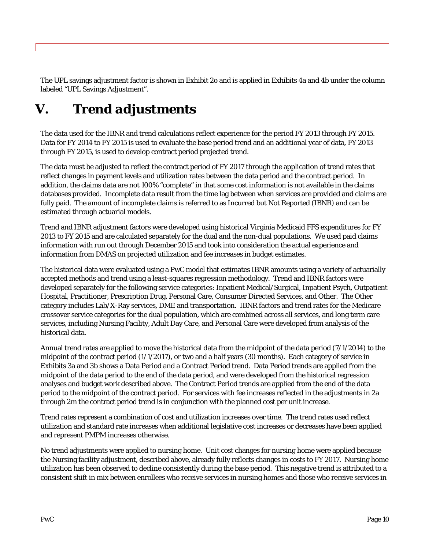The UPL savings adjustment factor is shown in Exhibit 2o and is applied in Exhibits 4a and 4b under the column labeled "UPL Savings Adjustment".

# *V. Trend adjustments*

The data used for the IBNR and trend calculations reflect experience for the period FY 2013 through FY 2015. Data for FY 2014 to FY 2015 is used to evaluate the base period trend and an additional year of data, FY 2013 through FY 2015, is used to develop contract period projected trend.

The data must be adjusted to reflect the contract period of FY 2017 through the application of trend rates that reflect changes in payment levels and utilization rates between the data period and the contract period. In addition, the claims data are not 100% "complete" in that some cost information is not available in the claims databases provided. Incomplete data result from the time lag between when services are provided and claims are fully paid. The amount of incomplete claims is referred to as Incurred but Not Reported (IBNR) and can be estimated through actuarial models.

Trend and IBNR adjustment factors were developed using historical Virginia Medicaid FFS expenditures for FY 2013 to FY 2015 and are calculated separately for the dual and the non-dual populations. We used paid claims information with run out through December 2015 and took into consideration the actual experience and information from DMAS on projected utilization and fee increases in budget estimates.

The historical data were evaluated using a PwC model that estimates IBNR amounts using a variety of actuarially accepted methods and trend using a least-squares regression methodology. Trend and IBNR factors were developed separately for the following service categories: Inpatient Medical/Surgical, Inpatient Psych, Outpatient Hospital, Practitioner, Prescription Drug, Personal Care, Consumer Directed Services, and Other. The Other category includes Lab/X-Ray services, DME and transportation. IBNR factors and trend rates for the Medicare crossover service categories for the dual population, which are combined across all services, and long term care services, including Nursing Facility, Adult Day Care, and Personal Care were developed from analysis of the historical data.

Annual trend rates are applied to move the historical data from the midpoint of the data period (7/1/2014) to the midpoint of the contract period (1/1/2017), or two and a half years (30 months). Each category of service in Exhibits 3a and 3b shows a Data Period and a Contract Period trend. Data Period trends are applied from the midpoint of the data period to the end of the data period, and were developed from the historical regression analyses and budget work described above. The Contract Period trends are applied from the end of the data period to the midpoint of the contract period. For services with fee increases reflected in the adjustments in 2a through 2m the contract period trend is in conjunction with the planned cost per unit increase.

Trend rates represent a combination of cost and utilization increases over time. The trend rates used reflect utilization and standard rate increases when additional legislative cost increases or decreases have been applied and represent PMPM increases otherwise.

No trend adjustments were applied to nursing home. Unit cost changes for nursing home were applied because the Nursing facility adjustment, described above, already fully reflects changes in costs to FY 2017. Nursing home utilization has been observed to decline consistently during the base period. This negative trend is attributed to a consistent shift in mix between enrollees who receive services in nursing homes and those who receive services in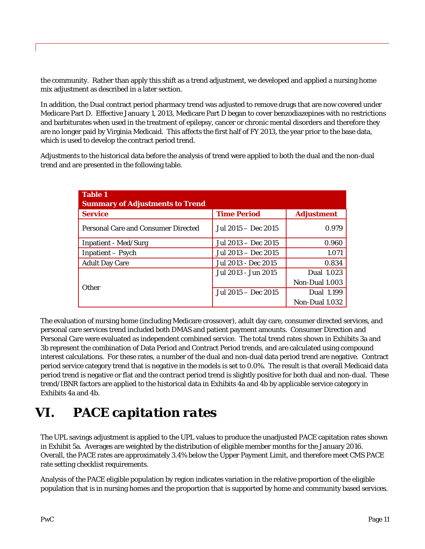the community. Rather than apply this shift as a trend adjustment, we developed and applied a nursing home mix adjustment as described in a later section.

In addition, the Dual contract period pharmacy trend was adjusted to remove drugs that are now covered under Medicare Part D. Effective January 1, 2013, Medicare Part D began to cover benzodiazepines with no restrictions and barbiturates when used in the treatment of epilepsy, cancer or chronic mental disorders and therefore they are no longer paid by Virginia Medicaid. This affects the first half of FY 2013, the year prior to the base data, which is used to develop the contract period trend.

Adjustments to the historical data before the analysis of trend were applied to both the dual and the non-dual trend and are presented in the following table.

| <b>Table 1</b><br><b>Summary of Adjustments to Trend</b> |                     |                   |
|----------------------------------------------------------|---------------------|-------------------|
| <b>Service</b>                                           | <b>Time Period</b>  | <b>Adjustment</b> |
| <b>Personal Care and Consumer Directed</b>               | Jul 2015 – Dec 2015 | 0.979             |
| <b>Inpatient - Med/Surg</b>                              | Jul 2013 – Dec 2015 | 0.960             |
| Inpatient – Psych                                        | Jul 2013 – Dec 2015 | 1.071             |
| <b>Adult Day Care</b>                                    | Jul 2013 - Dec 2015 | 0.834             |
|                                                          | Jul 2013 - Jun 2015 | Dual 1.023        |
| <b>Other</b>                                             |                     | Non-Dual 1.003    |
|                                                          | Jul 2015 – Dec 2015 | Dual 1.199        |
|                                                          |                     | Non-Dual 1.032    |

The evaluation of nursing home (including Medicare crossover), adult day care, consumer directed services, and personal care services trend included both DMAS and patient payment amounts. Consumer Direction and Personal Care were evaluated as independent combined service. The total trend rates shown in Exhibits 3a and 3b represent the combination of Data Period and Contract Period trends, and are calculated using compound interest calculations. For these rates, a number of the dual and non-dual data period trend are negative. Contract period service category trend that is negative in the models is set to 0.0%. The result is that overall Medicaid data period trend is negative or flat and the contract period trend is slightly positive for both dual and non-dual. These trend/IBNR factors are applied to the historical data in Exhibits 4a and 4b by applicable service category in Exhibits 4a and 4b.

# *VI. PACE capitation rates*

The UPL savings adjustment is applied to the UPL values to produce the unadjusted PACE capitation rates shown in Exhibit 5a. Averages are weighted by the distribution of eligible member months for the January 2016. Overall, the PACE rates are approximately 3.4% below the Upper Payment Limit, and therefore meet CMS PACE rate setting checklist requirements.

Analysis of the PACE eligible population by region indicates variation in the relative proportion of the eligible population that is in nursing homes and the proportion that is supported by home and community based services.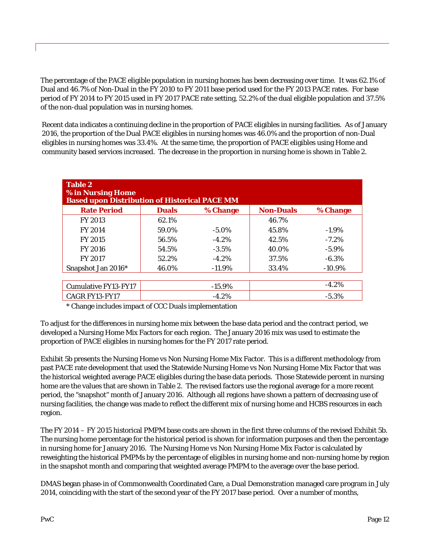The percentage of the PACE eligible population in nursing homes has been decreasing over time. It was 62.1% of Dual and 46.7% of Non-Dual in the FY 2010 to FY 2011 base period used for the FY 2013 PACE rates. For base period of FY 2014 to FY 2015 used in FY 2017 PACE rate setting, 52.2% of the dual eligible population and 37.5% of the non-dual population was in nursing homes.

Recent data indicates a continuing decline in the proportion of PACE eligibles in nursing facilities. As of January 2016, the proportion of the Dual PACE eligibles in nursing homes was 46.0% and the proportion of non-Dual eligibles in nursing homes was 33.4%. At the same time, the proportion of PACE eligibles using Home and community based services increased. The decrease in the proportion in nursing home is shown in Table 2.

| <b>Table 2</b><br>% in Nursing Home<br><b>Based upon Distribution of Historical PACE MM</b> |              |           |                  |           |  |  |  |  |  |  |  |
|---------------------------------------------------------------------------------------------|--------------|-----------|------------------|-----------|--|--|--|--|--|--|--|
| <b>Rate Period</b>                                                                          | <b>Duals</b> | % Change  | <b>Non-Duals</b> | % Change  |  |  |  |  |  |  |  |
| <b>FY 2013</b>                                                                              | 62.1%        |           | 46.7%            |           |  |  |  |  |  |  |  |
| <b>FY 2014</b>                                                                              | 59.0%        | $-5.0\%$  | 45.8%            | $-1.9\%$  |  |  |  |  |  |  |  |
| <b>FY 2015</b>                                                                              | 56.5%        | $-4.2\%$  | 42.5%            | $-7.2\%$  |  |  |  |  |  |  |  |
| <b>FY 2016</b>                                                                              | 54.5%        | $-3.5\%$  | 40.0%            | $-5.9\%$  |  |  |  |  |  |  |  |
| <b>FY 2017</b>                                                                              | 52.2%        | $-4.2\%$  | 37.5%            | $-6.3\%$  |  |  |  |  |  |  |  |
| Snapshot Jan 2016*                                                                          | 46.0%        | $-11.9\%$ | 33.4%            | $-10.9\%$ |  |  |  |  |  |  |  |
|                                                                                             |              |           |                  |           |  |  |  |  |  |  |  |
| <b>Cumulative FY13-FY17</b>                                                                 |              | $-15.9\%$ |                  | $-4.2%$   |  |  |  |  |  |  |  |
| <b>CAGR FY13-FY17</b>                                                                       |              | $-4.2%$   |                  | $-5.3%$   |  |  |  |  |  |  |  |

\* Change includes impact of CCC Duals implementation

To adjust for the differences in nursing home mix between the base data period and the contract period, we developed a Nursing Home Mix Factors for each region. The January 2016 mix was used to estimate the proportion of PACE eligibles in nursing homes for the FY 2017 rate period.

Exhibit 5b presents the Nursing Home vs Non Nursing Home Mix Factor. This is a different methodology from past PACE rate development that used the Statewide Nursing Home vs Non Nursing Home Mix Factor that was the historical weighted average PACE eligibles during the base data periods. Those Statewide percent in nursing home are the values that are shown in Table 2. The revised factors use the regional average for a more recent period, the "snapshot" month of January 2016. Although all regions have shown a pattern of decreasing use of nursing facilities, the change was made to reflect the different mix of nursing home and HCBS resources in each region.

The FY 2014 – FY 2015 historical PMPM base costs are shown in the first three columns of the revised Exhibit 5b. The nursing home percentage for the historical period is shown for information purposes and then the percentage in nursing home for January 2016. The Nursing Home vs Non Nursing Home Mix Factor is calculated by reweighting the historical PMPMs by the percentage of eligibles in nursing home and non-nursing home by region in the snapshot month and comparing that weighted average PMPM to the average over the base period.

DMAS began phase-in of Commonwealth Coordinated Care, a Dual Demonstration managed care program in July 2014, coinciding with the start of the second year of the FY 2017 base period. Over a number of months,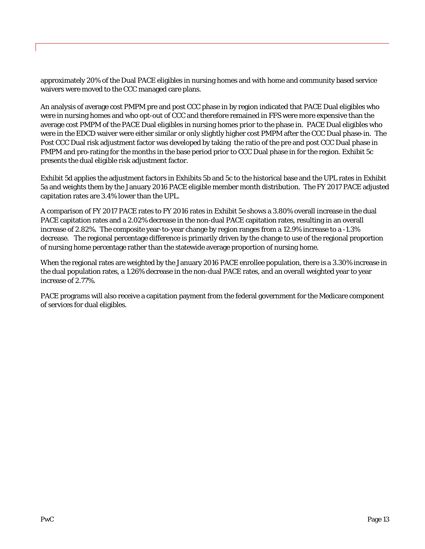approximately 20% of the Dual PACE eligibles in nursing homes and with home and community based service waivers were moved to the CCC managed care plans.

An analysis of average cost PMPM pre and post CCC phase in by region indicated that PACE Dual eligibles who were in nursing homes and who opt-out of CCC and therefore remained in FFS were more expensive than the average cost PMPM of the PACE Dual eligibles in nursing homes prior to the phase in. PACE Dual eligibles who were in the EDCD waiver were either similar or only slightly higher cost PMPM after the CCC Dual phase-in. The Post CCC Dual risk adjustment factor was developed by taking the ratio of the pre and post CCC Dual phase in PMPM and pro-rating for the months in the base period prior to CCC Dual phase in for the region. Exhibit 5c presents the dual eligible risk adjustment factor.

Exhibit 5d applies the adjustment factors in Exhibits 5b and 5c to the historical base and the UPL rates in Exhibit 5a and weights them by the January 2016 PACE eligible member month distribution. The FY 2017 PACE adjusted capitation rates are 3.4% lower than the UPL.

A comparison of FY 2017 PACE rates to FY 2016 rates in Exhibit 5e shows a 3.80% overall increase in the dual PACE capitation rates and a 2.02% decrease in the non-dual PACE capitation rates, resulting in an overall increase of 2.82%. The composite year-to-year change by region ranges from a 12.9% increase to a -1.3% decrease. The regional percentage difference is primarily driven by the change to use of the regional proportion of nursing home percentage rather than the statewide average proportion of nursing home.

When the regional rates are weighted by the January 2016 PACE enrollee population, there is a 3.30% increase in the dual population rates, a 1.26% decrease in the non-dual PACE rates, and an overall weighted year to year increase of 2.77%.

PACE programs will also receive a capitation payment from the federal government for the Medicare component of services for dual eligibles.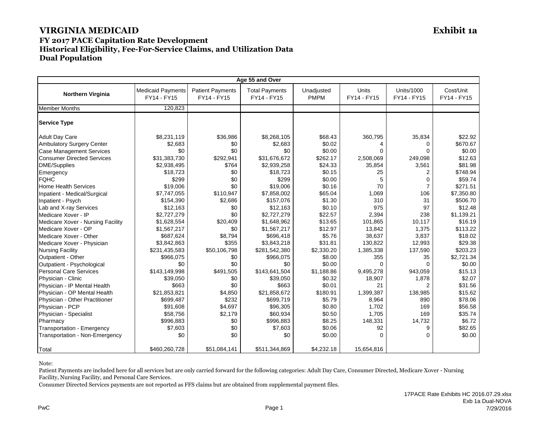## **FY 2017 PACE Capitation Rate Development Historical Eligibility, Fee-For-Service Claims, and Utilization Data Dual Population**

|                                   | Age 55 and Over                         |                                        |                                      |                           |                      |                                  |                          |  |  |
|-----------------------------------|-----------------------------------------|----------------------------------------|--------------------------------------|---------------------------|----------------------|----------------------------------|--------------------------|--|--|
| <b>Northern Virginia</b>          | <b>Medicaid Payments</b><br>FY14 - FY15 | <b>Patient Payments</b><br>FY14 - FY15 | <b>Total Payments</b><br>FY14 - FY15 | Unadjusted<br><b>PMPM</b> | Units<br>FY14 - FY15 | <b>Units/1000</b><br>FY14 - FY15 | Cost/Unit<br>FY14 - FY15 |  |  |
| <b>Member Months</b>              | 120.823                                 |                                        |                                      |                           |                      |                                  |                          |  |  |
| <b>Service Type</b>               |                                         |                                        |                                      |                           |                      |                                  |                          |  |  |
| <b>Adult Day Care</b>             | \$8,231,119                             | \$36,986                               | \$8,268,105                          | \$68.43                   | 360,795              | 35,834                           | \$22.92                  |  |  |
| Ambulatory Surgery Center         | \$2,683                                 | \$0                                    | \$2,683                              | \$0.02                    | 4                    | 0                                | \$670.67                 |  |  |
| <b>Case Management Services</b>   | \$0                                     | \$0                                    | \$0                                  | \$0.00                    | 0                    | ∩                                | \$0.00                   |  |  |
| <b>Consumer Directed Services</b> | \$31,383,730                            | \$292,941                              | \$31,676,672                         | \$262.17                  | 2,508,069            | 249,098                          | \$12.63                  |  |  |
| DME/Supplies                      | \$2,938,495                             | \$764                                  | \$2,939,258                          | \$24.33                   | 35,854               | 3,561                            | \$81.98                  |  |  |
| Emergency                         | \$18,723                                | \$0                                    | \$18,723                             | \$0.15                    | 25                   | $\overline{2}$                   | \$748.94                 |  |  |
| <b>FQHC</b>                       | \$299                                   | \$0                                    | \$299                                | \$0.00                    | 5                    | $\mathbf 0$                      | \$59.74                  |  |  |
| <b>Home Health Services</b>       | \$19,006                                | \$0                                    | \$19,006                             | \$0.16                    | 70                   |                                  | \$271.51                 |  |  |
| Inpatient - Medical/Surgical      | \$7,747,055                             | \$110,947                              | \$7,858,002                          | \$65.04                   | 1,069                | 106                              | \$7,350.80               |  |  |
| Inpatient - Psych                 | \$154,390                               | \$2,686                                | \$157,076                            | \$1.30                    | 310                  | 31                               | \$506.70                 |  |  |
| Lab and X-ray Services            | \$12,163                                | \$0                                    | \$12,163                             | \$0.10                    | 975                  | 97                               | \$12.48                  |  |  |
| Medicare Xover - IP               | \$2,727,279                             | \$0                                    | \$2,727,279                          | \$22.57                   | 2,394                | 238                              | \$1,139.21               |  |  |
| Medicare Xover - Nursing Facility | \$1,628,554                             | \$20,409                               | \$1,648,962                          | \$13.65                   | 101,865              | 10,117                           | \$16.19                  |  |  |
| Medicare Xover - OP               | \$1,567,217                             | \$0                                    | \$1,567,217                          | \$12.97                   | 13,842               | 1,375                            | \$113.22                 |  |  |
| Medicare Xover - Other            | \$687,624                               | \$8,794                                | \$696,418                            | \$5.76                    | 38,637               | 3,837                            | \$18.02                  |  |  |
| Medicare Xover - Physician        | \$3,842,863                             | \$355                                  | \$3,843,218                          | \$31.81                   | 130,822              | 12,993                           | \$29.38                  |  |  |
| <b>Nursing Facility</b>           | \$231,435,583                           | \$50,106,798                           | \$281,542,380                        | \$2,330.20                | 1,385,338            | 137,590                          | \$203.23                 |  |  |
| Outpatient - Other                | \$966,075                               | \$0                                    | \$966,075                            | \$8.00                    | 355                  | 35                               | \$2,721.34               |  |  |
| Outpatient - Psychological        | \$0                                     | \$0                                    | \$0                                  | \$0.00                    | $\Omega$             | $\Omega$                         | \$0.00                   |  |  |
| <b>Personal Care Services</b>     | \$143,149,998                           | \$491,505                              | \$143,641,504                        | \$1,188.86                | 9,495,278            | 943,059                          | \$15.13                  |  |  |
| Physician - Clinic                | \$39,050                                | \$0                                    | \$39,050                             | \$0.32                    | 18,907               | 1,878                            | \$2.07                   |  |  |
| Physician - IP Mental Health      | \$663                                   | \$0                                    | \$663                                | \$0.01                    | 21                   |                                  | \$31.56                  |  |  |
| Physician - OP Mental Health      | \$21,853,821                            | \$4,850                                | \$21,858,672                         | \$180.91                  | 1,399,387            | 138,985                          | \$15.62                  |  |  |
| Physician - Other Practitioner    | \$699,487                               | \$232                                  | \$699,719                            | \$5.79                    | 8,964                | 890                              | \$78.06                  |  |  |
| Physician - PCP                   | \$91,608                                | \$4,697                                | \$96,305                             | \$0.80                    | 1,702                | 169                              | \$56.58                  |  |  |
| Physician - Specialist            | \$58,756                                | \$2,179                                | \$60,934                             | \$0.50                    | 1,705                | 169                              | \$35.74                  |  |  |
| Pharmacy                          | \$996,883                               | \$0                                    | \$996,883                            | \$8.25                    | 148,331              | 14,732                           | \$6.72                   |  |  |
| Transportation - Emergency        | \$7,603                                 | \$0                                    | \$7,603                              | \$0.06                    | 92                   | 9                                | \$82.65                  |  |  |
| Transportation - Non-Emergency    | \$0                                     | \$0                                    | \$0                                  | \$0.00                    | $\Omega$             | $\Omega$                         | \$0.00                   |  |  |
| Total                             | \$460,260,728                           | \$51,084,141                           | \$511,344,869                        | \$4,232.18                | 15,654,816           |                                  |                          |  |  |

Note:

Patient Payments are included here for all services but are only carried forward for the following categories: Adult Day Care, Consumer Directed, Medicare Xover - Nursing Facility, Nursing Facility, and Personal Care Services.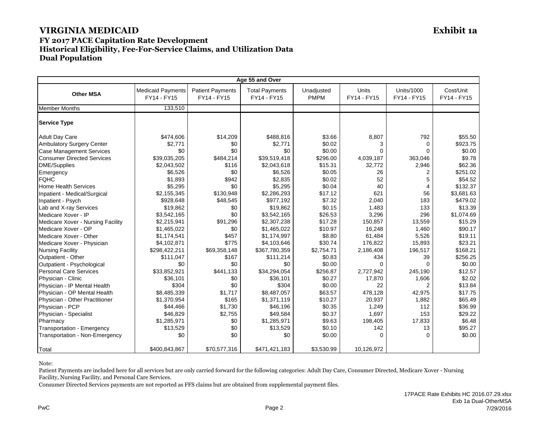#### **FY 2017 PACE Capitation Rate Development Historical Eligibility, Fee-For-Service Claims, and Utilization Data Dual Population**

|                                   | Age 55 and Over                         |                                        |                                      |                           |                             |                                  |                          |  |
|-----------------------------------|-----------------------------------------|----------------------------------------|--------------------------------------|---------------------------|-----------------------------|----------------------------------|--------------------------|--|
| <b>Other MSA</b>                  | <b>Medicaid Payments</b><br>FY14 - FY15 | <b>Patient Payments</b><br>FY14 - FY15 | <b>Total Payments</b><br>FY14 - FY15 | Unadjusted<br><b>PMPM</b> | <b>Units</b><br>FY14 - FY15 | <b>Units/1000</b><br>FY14 - FY15 | Cost/Unit<br>FY14 - FY15 |  |
| <b>Member Months</b>              | 133,510                                 |                                        |                                      |                           |                             |                                  |                          |  |
| <b>Service Type</b>               |                                         |                                        |                                      |                           |                             |                                  |                          |  |
| <b>Adult Day Care</b>             | \$474,606                               | \$14,209                               | \$488,816                            | \$3.66                    | 8,807                       | 792                              | \$55.50                  |  |
| Ambulatory Surgery Center         | \$2,771                                 | \$0                                    | \$2,771                              | \$0.02                    | 3                           | $\Omega$                         | \$923.75                 |  |
| <b>Case Management Services</b>   | \$0                                     | \$0                                    | \$0                                  | \$0.00                    | $\Omega$                    | 0                                | \$0.00                   |  |
| <b>Consumer Directed Services</b> | \$39,035,205                            | \$484,214                              | \$39,519,418                         | \$296.00                  | 4,039,187                   | 363,046                          | \$9.78                   |  |
| <b>DME/Supplies</b>               | \$2,043,502                             | \$116                                  | \$2,043,618                          | \$15.31                   | 32,772                      | 2,946                            | \$62.36                  |  |
| Emergency                         | \$6,526                                 | \$0                                    | \$6,526                              | \$0.05                    | 26                          | $\overline{2}$                   | \$251.02                 |  |
| <b>FQHC</b>                       | \$1,893                                 | \$942                                  | \$2,835                              | \$0.02                    | 52                          | 5                                | \$54.52                  |  |
| <b>Home Health Services</b>       | \$5,295                                 | \$0                                    | \$5,295                              | \$0.04                    | 40                          | 4                                | \$132.37                 |  |
| Inpatient - Medical/Surgical      | \$2,155,345                             | \$130,948                              | \$2,286,293                          | \$17.12                   | 621                         | 56                               | \$3,681.63               |  |
| Inpatient - Psych                 | \$928,648                               | \$48,545                               | \$977,192                            | \$7.32                    | 2,040                       | 183                              | \$479.02                 |  |
| Lab and X-ray Services            | \$19,862                                | \$0                                    | \$19,862                             | \$0.15                    | 1,483                       | 133                              | \$13.39                  |  |
| Medicare Xover - IP               | \$3,542,165                             | \$0                                    | \$3,542,165                          | \$26.53                   | 3,296                       | 296                              | \$1,074.69               |  |
| Medicare Xover - Nursing Facility | \$2,215,941                             | \$91,296                               | \$2,307,238                          | \$17.28                   | 150,857                     | 13,559                           | \$15.29                  |  |
| Medicare Xover - OP               | \$1,465,022                             | \$0                                    | \$1,465,022                          | \$10.97                   | 16,248                      | 1,460                            | \$90.17                  |  |
| Medicare Xover - Other            | \$1,174,541                             | \$457                                  | \$1,174,997                          | \$8.80                    | 61,484                      | 5,526                            | \$19.11                  |  |
| Medicare Xover - Physician        | \$4,102,871                             | \$775                                  | \$4,103,646                          | \$30.74                   | 176,822                     | 15,893                           | \$23.21                  |  |
| <b>Nursing Facility</b>           | \$298,422,211                           | \$69,358,148                           | \$367,780,359                        | \$2,754.71                | 2,186,408                   | 196,517                          | \$168.21                 |  |
| Outpatient - Other                | \$111,047                               | \$167                                  | \$111,214                            | \$0.83                    | 434                         | 39                               | \$256.25                 |  |
| Outpatient - Psychological        | \$0                                     | \$0                                    | \$0                                  | \$0.00                    | $\Omega$                    | $\Omega$                         | \$0.00                   |  |
| <b>Personal Care Services</b>     | \$33,852,921                            | \$441,133                              | \$34,294,054                         | \$256.87                  | 2,727,942                   | 245,190                          | \$12.57                  |  |
| Physician - Clinic                | \$36,101                                | \$0                                    | \$36,101                             | \$0.27                    | 17,870                      | 1,606                            | \$2.02                   |  |
| Physician - IP Mental Health      | \$304                                   | \$0                                    | \$304                                | \$0.00                    | 22                          | 2                                | \$13.84                  |  |
| Physician - OP Mental Health      | \$8,485,339                             | \$1,717                                | \$8,487,057                          | \$63.57                   | 478,128                     | 42,975                           | \$17.75                  |  |
| Physician - Other Practitioner    | \$1,370,954                             | \$165                                  | \$1,371,119                          | \$10.27                   | 20,937                      | 1,882                            | \$65.49                  |  |
| Physician - PCP                   | \$44,466                                | \$1,730                                | \$46,196                             | \$0.35                    | 1,249                       | 112                              | \$36.99                  |  |
| Physician - Specialist            | \$46,829                                | \$2,755                                | \$49,584                             | \$0.37                    | 1,697                       | 153                              | \$29.22                  |  |
| Pharmacy                          | \$1,285,971                             | \$0                                    | \$1,285,971                          | \$9.63                    | 198,405                     | 17,833                           | \$6.48                   |  |
| Transportation - Emergency        | \$13,529                                | \$0                                    | \$13,529                             | \$0.10                    | 142                         | 13                               | \$95.27                  |  |
| Transportation - Non-Emergency    | \$0                                     | \$0                                    | \$0                                  | \$0.00                    | $\Omega$                    | $\Omega$                         | \$0.00                   |  |
| Total                             | \$400,843,867                           | \$70.577.316                           | \$471,421,183                        | \$3,530.99                | 10.126.972                  |                                  |                          |  |

Note:

Patient Payments are included here for all services but are only carried forward for the following categories: Adult Day Care, Consumer Directed, Medicare Xover - Nursing Facility, Nursing Facility, and Personal Care Services.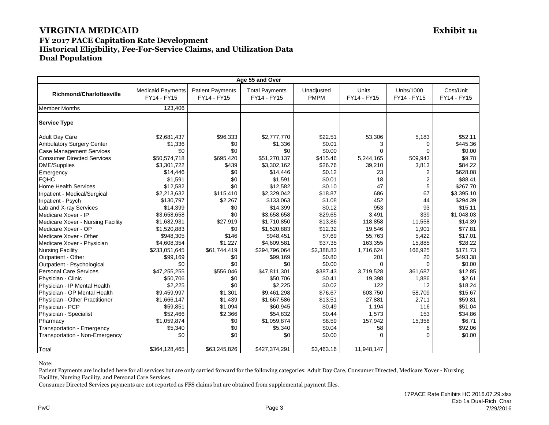#### **FY 2017 PACE Capitation Rate Development Historical Eligibility, Fee-For-Service Claims, and Utilization Data Dual Population**

|                                   | Age 55 and Over                         |                                        |                                      |                           |                      |                           |                          |  |  |
|-----------------------------------|-----------------------------------------|----------------------------------------|--------------------------------------|---------------------------|----------------------|---------------------------|--------------------------|--|--|
| <b>Richmond/Charlottesville</b>   | <b>Medicaid Payments</b><br>FY14 - FY15 | <b>Patient Payments</b><br>FY14 - FY15 | <b>Total Payments</b><br>FY14 - FY15 | Unadjusted<br><b>PMPM</b> | Units<br>FY14 - FY15 | Units/1000<br>FY14 - FY15 | Cost/Unit<br>FY14 - FY15 |  |  |
| <b>Member Months</b>              | 123.406                                 |                                        |                                      |                           |                      |                           |                          |  |  |
| <b>Service Type</b>               |                                         |                                        |                                      |                           |                      |                           |                          |  |  |
| <b>Adult Day Care</b>             | \$2,681,437                             | \$96,333                               | \$2,777,770                          | \$22.51                   | 53,306               | 5,183                     | \$52.11                  |  |  |
| Ambulatory Surgery Center         | \$1,336                                 | \$0                                    | \$1,336                              | \$0.01                    | 3                    | $\Omega$                  | \$445.36                 |  |  |
| <b>Case Management Services</b>   | \$0                                     | \$0                                    | \$0                                  | \$0.00                    | $\Omega$             | ∩                         | \$0.00                   |  |  |
| <b>Consumer Directed Services</b> | \$50,574,718                            | \$695,420                              | \$51,270,137                         | \$415.46                  | 5,244,165            | 509,943                   | \$9.78                   |  |  |
| DME/Supplies                      | \$3,301,722                             | \$439                                  | \$3,302,162                          | \$26.76                   | 39,210               | 3,813                     | \$84.22                  |  |  |
| Emergency                         | \$14,446                                | \$0                                    | \$14,446                             | \$0.12                    | 23                   | $\overline{2}$            | \$628.08                 |  |  |
| <b>FQHC</b>                       | \$1,591                                 | \$0                                    | \$1,591                              | \$0.01                    | 18                   | $\overline{2}$            | \$88.41                  |  |  |
| <b>Home Health Services</b>       | \$12,582                                | \$0                                    | \$12,582                             | \$0.10                    | 47                   | 5                         | \$267.70                 |  |  |
| Inpatient - Medical/Surgical      | \$2,213,632                             | \$115,410                              | \$2,329,042                          | \$18.87                   | 686                  | 67                        | \$3,395.10               |  |  |
| Inpatient - Psych                 | \$130,797                               | \$2,267                                | \$133,063                            | \$1.08                    | 452                  | 44                        | \$294.39                 |  |  |
| Lab and X-ray Services            | \$14,399                                | \$0                                    | \$14,399                             | \$0.12                    | 953                  | 93                        | \$15.11                  |  |  |
| Medicare Xover - IP               | \$3,658,658                             | \$0                                    | \$3,658,658                          | \$29.65                   | 3,491                | 339                       | \$1,048.03               |  |  |
| Medicare Xover - Nursing Facility | \$1,682,931                             | \$27,919                               | \$1,710,850                          | \$13.86                   | 118,858              | 11,558                    | \$14.39                  |  |  |
| Medicare Xover - OP               | \$1,520,883                             | \$0                                    | \$1,520,883                          | \$12.32                   | 19,546               | 1,901                     | \$77.81                  |  |  |
| Medicare Xover - Other            | \$948,305                               | \$146                                  | \$948,451                            | \$7.69                    | 55,763               | 5,422                     | \$17.01                  |  |  |
| Medicare Xover - Physician        | \$4,608,354                             | \$1.227                                | \$4,609,581                          | \$37.35                   | 163,355              | 15,885                    | \$28.22                  |  |  |
| <b>Nursing Facility</b>           | \$233,051,645                           | \$61,744,419                           | \$294,796,064                        | \$2,388.83                | 1,716,624            | 166,925                   | \$171.73                 |  |  |
| Outpatient - Other                | \$99,169                                | \$0                                    | \$99,169                             | \$0.80                    | 201                  | 20                        | \$493.38                 |  |  |
| Outpatient - Psychological        | \$0                                     | \$0                                    | \$0                                  | \$0.00                    | $\Omega$             | $\Omega$                  | \$0.00                   |  |  |
| <b>Personal Care Services</b>     | \$47,255,255                            | \$556,046                              | \$47,811,301                         | \$387.43                  | 3,719,528            | 361.687                   | \$12.85                  |  |  |
| Physician - Clinic                | \$50,706                                | \$0                                    | \$50,706                             | \$0.41                    | 19,398               | 1,886                     | \$2.61                   |  |  |
| Physician - IP Mental Health      | \$2,225                                 | \$0                                    | \$2,225                              | \$0.02                    | 122                  | 12                        | \$18.24                  |  |  |
| Physician - OP Mental Health      | \$9,459,997                             | \$1,301                                | \$9,461,298                          | \$76.67                   | 603,750              | 58,709                    | \$15.67                  |  |  |
| Physician - Other Practitioner    | \$1,666,147                             | \$1,439                                | \$1,667,586                          | \$13.51                   | 27,881               | 2,711                     | \$59.81                  |  |  |
| Physician - PCP                   | \$59,851                                | \$1,094                                | \$60,945                             | \$0.49                    | 1,194                | 116                       | \$51.04                  |  |  |
| Physician - Specialist            | \$52,466                                | \$2,366                                | \$54,832                             | \$0.44                    | 1,573                | 153                       | \$34.86                  |  |  |
| Pharmacy                          | \$1,059,874                             | \$0                                    | \$1,059,874                          | \$8.59                    | 157,942              | 15,358                    | \$6.71                   |  |  |
| Transportation - Emergency        | \$5,340                                 | \$0                                    | \$5,340                              | \$0.04                    | 58                   | 6                         | \$92.06                  |  |  |
| Transportation - Non-Emergency    | \$0                                     | \$0                                    | \$0                                  | \$0.00                    | $\Omega$             | $\Omega$                  | \$0.00                   |  |  |
| Total                             | \$364,128,465                           | \$63,245,826                           | \$427,374,291                        | \$3,463.16                | 11,948,147           |                           |                          |  |  |

Note:

Patient Payments are included here for all services but are only carried forward for the following categories: Adult Day Care, Consumer Directed, Medicare Xover - Nursing Facility, Nursing Facility, and Personal Care Services.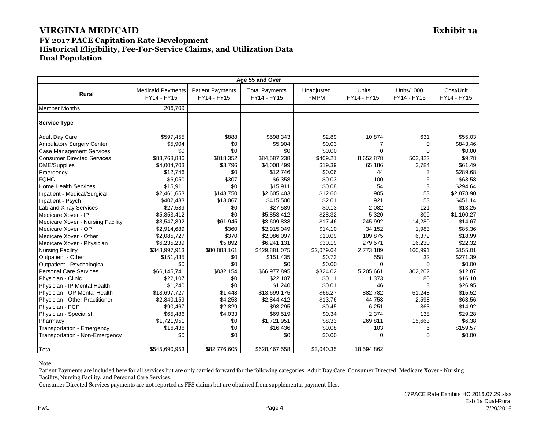### **FY 2017 PACE Capitation Rate Development Historical Eligibility, Fee-For-Service Claims, and Utilization Data Dual Population**

|                                   | Age 55 and Over                         |                                        |                                      |                           |                      |                                  |                          |  |
|-----------------------------------|-----------------------------------------|----------------------------------------|--------------------------------------|---------------------------|----------------------|----------------------------------|--------------------------|--|
| <b>Rural</b>                      | <b>Medicaid Payments</b><br>FY14 - FY15 | <b>Patient Payments</b><br>FY14 - FY15 | <b>Total Payments</b><br>FY14 - FY15 | Unadjusted<br><b>PMPM</b> | Units<br>FY14 - FY15 | <b>Units/1000</b><br>FY14 - FY15 | Cost/Unit<br>FY14 - FY15 |  |
| <b>Member Months</b>              | 206.709                                 |                                        |                                      |                           |                      |                                  |                          |  |
| <b>Service Type</b>               |                                         |                                        |                                      |                           |                      |                                  |                          |  |
| <b>Adult Day Care</b>             | \$597,455                               | \$888                                  | \$598,343                            | \$2.89                    | 10,874               | 631                              | \$55.03                  |  |
| <b>Ambulatory Surgery Center</b>  | \$5.904                                 | \$0                                    | \$5,904                              | \$0.03                    | 7                    | $\Omega$                         | \$843.46                 |  |
| <b>Case Management Services</b>   | \$0                                     | \$0                                    | \$0                                  | \$0.00                    | 0                    | ∩                                | \$0.00                   |  |
| <b>Consumer Directed Services</b> | \$83,768,886                            | \$818,352                              | \$84,587,238                         | \$409.21                  | 8,652,878            | 502,322                          | \$9.78                   |  |
| DME/Supplies                      | \$4,004,703                             | \$3,796                                | \$4,008,499                          | \$19.39                   | 65,186               | 3,784                            | \$61.49                  |  |
| Emergency                         | \$12,746                                | \$0                                    | \$12,746                             | \$0.06                    | 44                   | 3                                | \$289.68                 |  |
| <b>FQHC</b>                       | \$6,050                                 | \$307                                  | \$6,358                              | \$0.03                    | 100                  | 6                                | \$63.58                  |  |
| <b>Home Health Services</b>       | \$15,911                                | \$0                                    | \$15,911                             | \$0.08                    | 54                   | 3                                | \$294.64                 |  |
| Inpatient - Medical/Surgical      | \$2,461,653                             | \$143,750                              | \$2,605,403                          | \$12.60                   | 905                  | 53                               | \$2,878.90               |  |
| Inpatient - Psych                 | \$402,433                               | \$13,067                               | \$415,500                            | \$2.01                    | 921                  | 53                               | \$451.14                 |  |
| Lab and X-ray Services            | \$27,589                                | \$0                                    | \$27,589                             | \$0.13                    | 2.082                | 121                              | \$13.25                  |  |
| Medicare Xover - IP               | \$5,853,412                             | \$0                                    | \$5,853,412                          | \$28.32                   | 5,320                | 309                              | \$1.100.27               |  |
| Medicare Xover - Nursing Facility | \$3,547,892                             | \$61,945                               | \$3,609,838                          | \$17.46                   | 245,992              | 14,280                           | \$14.67                  |  |
| Medicare Xover - OP               | \$2,914,689                             | \$360                                  | \$2,915,049                          | \$14.10                   | 34,152               | 1,983                            | \$85.36                  |  |
| Medicare Xover - Other            | \$2,085,727                             | \$370                                  | \$2,086,097                          | \$10.09                   | 109,875              | 6,379                            | \$18.99                  |  |
| Medicare Xover - Physician        | \$6,235,239                             | \$5,892                                | \$6,241,131                          | \$30.19                   | 279,571              | 16,230                           | \$22.32                  |  |
| <b>Nursing Facility</b>           | \$348,997,913                           | \$80,883,161                           | \$429,881,075                        | \$2,079.64                | 2,773,189            | 160,991                          | \$155.01                 |  |
| Outpatient - Other                | \$151,435                               | \$0                                    | \$151,435                            | \$0.73                    | 558                  | 32                               | \$271.39                 |  |
| Outpatient - Psychological        | \$0                                     | \$0                                    | \$0                                  | \$0.00                    | $\Omega$             | $\Omega$                         | \$0.00                   |  |
| <b>Personal Care Services</b>     | \$66,145,741                            | \$832,154                              | \$66,977,895                         | \$324.02                  | 5,205,661            | 302,202                          | \$12.87                  |  |
| Physician - Clinic                | \$22,107                                | \$0                                    | \$22,107                             | \$0.11                    | 1,373                | 80                               | \$16.10                  |  |
| Physician - IP Mental Health      | \$1,240                                 | \$0                                    | \$1,240                              | \$0.01                    | 46                   |                                  | \$26.95                  |  |
| Physician - OP Mental Health      | \$13,697,727                            | \$1,448                                | \$13,699,175                         | \$66.27                   | 882,782              | 51,248                           | \$15.52                  |  |
| Physician - Other Practitioner    | \$2,840,159                             | \$4,253                                | \$2,844,412                          | \$13.76                   | 44,753               | 2,598                            | \$63.56                  |  |
| Physician - PCP                   | \$90,467                                | \$2,829                                | \$93,295                             | \$0.45                    | 6,251                | 363                              | \$14.92                  |  |
| Physician - Specialist            | \$65,486                                | \$4,033                                | \$69,519                             | \$0.34                    | 2,374                | 138                              | \$29.28                  |  |
| Pharmacy                          | \$1,721,951                             | \$0                                    | \$1,721,951                          | \$8.33                    | 269,811              | 15,663                           | \$6.38                   |  |
| Transportation - Emergency        | \$16,436                                | \$0                                    | \$16,436                             | \$0.08                    | 103                  | 6                                | \$159.57                 |  |
| Transportation - Non-Emergency    | \$0                                     | \$0                                    | \$0                                  | \$0.00                    | $\Omega$             | $\Omega$                         | \$0.00                   |  |
| Total                             | \$545,690,953                           | \$82,776,605                           | \$628,467,558                        | \$3,040.35                | 18,594,862           |                                  |                          |  |

Note:

Patient Payments are included here for all services but are only carried forward for the following categories: Adult Day Care, Consumer Directed, Medicare Xover - Nursing Facility, Nursing Facility, and Personal Care Services.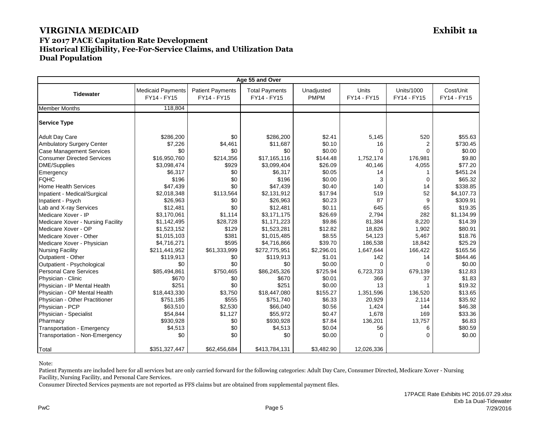#### **FY 2017 PACE Capitation Rate Development Historical Eligibility, Fee-For-Service Claims, and Utilization Data Dual Population**

|                                   | Age 55 and Over                         |                                        |                                      |                           |                             |                                  |                          |  |
|-----------------------------------|-----------------------------------------|----------------------------------------|--------------------------------------|---------------------------|-----------------------------|----------------------------------|--------------------------|--|
| <b>Tidewater</b>                  | <b>Medicaid Payments</b><br>FY14 - FY15 | <b>Patient Payments</b><br>FY14 - FY15 | <b>Total Payments</b><br>FY14 - FY15 | Unadjusted<br><b>PMPM</b> | <b>Units</b><br>FY14 - FY15 | <b>Units/1000</b><br>FY14 - FY15 | Cost/Unit<br>FY14 - FY15 |  |
| <b>Member Months</b>              | 118,804                                 |                                        |                                      |                           |                             |                                  |                          |  |
| <b>Service Type</b>               |                                         |                                        |                                      |                           |                             |                                  |                          |  |
| <b>Adult Day Care</b>             | \$286,200                               | \$0                                    | \$286,200                            | \$2.41                    | 5,145                       | 520                              | \$55.63                  |  |
| <b>Ambulatory Surgery Center</b>  | \$7,226                                 | \$4,461                                | \$11,687                             | \$0.10                    | 16                          | $\overline{2}$                   | \$730.45                 |  |
| <b>Case Management Services</b>   | \$0                                     | \$0                                    | \$0                                  | \$0.00                    | $\Omega$                    | $\Omega$                         | \$0.00                   |  |
| <b>Consumer Directed Services</b> | \$16,950,760                            | \$214,356                              | \$17,165,116                         | \$144.48                  | 1,752,174                   | 176,981                          | \$9.80                   |  |
| <b>DME/Supplies</b>               | \$3,098,474                             | \$929                                  | \$3,099,404                          | \$26.09                   | 40,146                      | 4,055                            | \$77.20                  |  |
| Emergency                         | \$6,317                                 | \$0                                    | \$6,317                              | \$0.05                    | 14                          |                                  | \$451.24                 |  |
| <b>FQHC</b>                       | \$196                                   | \$0                                    | \$196                                | \$0.00                    | 3                           | $\mathbf 0$                      | \$65.32                  |  |
| <b>Home Health Services</b>       | \$47,439                                | \$0                                    | \$47,439                             | \$0.40                    | 140                         | 14                               | \$338.85                 |  |
| Inpatient - Medical/Surgical      | \$2,018,348                             | \$113,564                              | \$2,131,912                          | \$17.94                   | 519                         | 52                               | \$4,107.73               |  |
| Inpatient - Psych                 | \$26,963                                | \$0                                    | \$26,963                             | \$0.23                    | 87                          | 9                                | \$309.91                 |  |
| Lab and X-ray Services            | \$12,481                                | \$0                                    | \$12,481                             | \$0.11                    | 645                         | 65                               | \$19.35                  |  |
| Medicare Xover - IP               | \$3,170,061                             | \$1,114                                | \$3,171,175                          | \$26.69                   | 2,794                       | 282                              | \$1,134.99               |  |
| Medicare Xover - Nursing Facility | \$1,142,495                             | \$28,728                               | \$1,171,223                          | \$9.86                    | 81,384                      | 8,220                            | \$14.39                  |  |
| Medicare Xover - OP               | \$1,523,152                             | \$129                                  | \$1,523,281                          | \$12.82                   | 18,826                      | 1,902                            | \$80.91                  |  |
| Medicare Xover - Other            | \$1,015,103                             | \$381                                  | \$1,015,485                          | \$8.55                    | 54,123                      | 5,467                            | \$18.76                  |  |
| Medicare Xover - Physician        | \$4,716,271                             | \$595                                  | \$4,716,866                          | \$39.70                   | 186,538                     | 18,842                           | \$25.29                  |  |
| <b>Nursing Facility</b>           | \$211,441,952                           | \$61,333,999                           | \$272,775,951                        | \$2,296.01                | 1,647,644                   | 166,422                          | \$165.56                 |  |
| Outpatient - Other                | \$119,913                               | \$0                                    | \$119,913                            | \$1.01                    | 142                         | 14                               | \$844.46                 |  |
| Outpatient - Psychological        | \$0                                     | \$0                                    | \$0                                  | \$0.00                    | $\Omega$                    | $\Omega$                         | \$0.00                   |  |
| <b>Personal Care Services</b>     | \$85,494,861                            | \$750,465                              | \$86,245,326                         | \$725.94                  | 6,723,733                   | 679,139                          | \$12.83                  |  |
| Physician - Clinic                | \$670                                   | \$0                                    | \$670                                | \$0.01                    | 366                         | 37                               | \$1.83                   |  |
| Physician - IP Mental Health      | \$251                                   | \$0                                    | \$251                                | \$0.00                    | 13                          |                                  | \$19.32                  |  |
| Physician - OP Mental Health      | \$18,443,330                            | \$3,750                                | \$18,447,080                         | \$155.27                  | 1,351,596                   | 136,520                          | \$13.65                  |  |
| Physician - Other Practitioner    | \$751,185                               | \$555                                  | \$751,740                            | \$6.33                    | 20,929                      | 2,114                            | \$35.92                  |  |
| Physician - PCP                   | \$63,510                                | \$2,530                                | \$66,040                             | \$0.56                    | 1,424                       | 144                              | \$46.38                  |  |
| Physician - Specialist            | \$54,844                                | \$1,127                                | \$55,972                             | \$0.47                    | 1,678                       | 169                              | \$33.36                  |  |
| Pharmacy                          | \$930,928                               | \$0                                    | \$930,928                            | \$7.84                    | 136,201                     | 13,757                           | \$6.83                   |  |
| Transportation - Emergency        | \$4,513                                 | \$0                                    | \$4,513                              | \$0.04                    | 56                          | 6                                | \$80.59                  |  |
| Transportation - Non-Emergency    | \$0                                     | \$0                                    | \$0                                  | \$0.00                    | $\Omega$                    | $\Omega$                         | \$0.00                   |  |
| Total                             | \$351,327,447                           | \$62,456,684                           | \$413,784,131                        | \$3,482.90                | 12,026,336                  |                                  |                          |  |

Note:

Patient Payments are included here for all services but are only carried forward for the following categories: Adult Day Care, Consumer Directed, Medicare Xover - Nursing Facility, Nursing Facility, and Personal Care Services.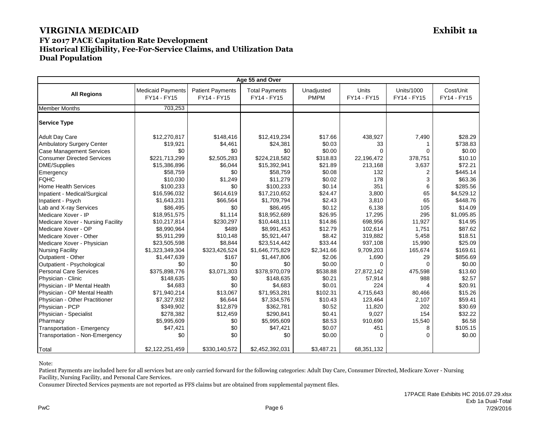## **FY 2017 PACE Capitation Rate Development Historical Eligibility, Fee-For-Service Claims, and Utilization Data Dual Population**

|                                   | Age 55 and Over                         |                                        |                                      |                           |                      |                                  |                          |  |  |
|-----------------------------------|-----------------------------------------|----------------------------------------|--------------------------------------|---------------------------|----------------------|----------------------------------|--------------------------|--|--|
| <b>All Regions</b>                | <b>Medicaid Payments</b><br>FY14 - FY15 | <b>Patient Payments</b><br>FY14 - FY15 | <b>Total Payments</b><br>FY14 - FY15 | Unadjusted<br><b>PMPM</b> | Units<br>FY14 - FY15 | <b>Units/1000</b><br>FY14 - FY15 | Cost/Unit<br>FY14 - FY15 |  |  |
| <b>Member Months</b>              | 703,253                                 |                                        |                                      |                           |                      |                                  |                          |  |  |
| <b>Service Type</b>               |                                         |                                        |                                      |                           |                      |                                  |                          |  |  |
| <b>Adult Day Care</b>             | \$12,270,817                            | \$148,416                              | \$12,419,234                         | \$17.66                   | 438,927              | 7,490                            | \$28.29                  |  |  |
| <b>Ambulatory Surgery Center</b>  | \$19,921                                | \$4,461                                | \$24,381                             | \$0.03                    | 33                   |                                  | \$738.83                 |  |  |
| Case Management Services          | \$0                                     | \$0                                    | \$0                                  | \$0.00                    | 0                    |                                  | \$0.00                   |  |  |
| <b>Consumer Directed Services</b> | \$221,713,299                           | \$2,505,283                            | \$224,218,582                        | \$318.83                  | 22,196,472           | 378,751                          | \$10.10                  |  |  |
| <b>DME/Supplies</b>               | \$15,386,896                            | \$6,044                                | \$15,392,941                         | \$21.89                   | 213,168              | 3,637                            | \$72.21                  |  |  |
| Emergency                         | \$58,759                                | \$0                                    | \$58,759                             | \$0.08                    | 132                  | 2                                | \$445.14                 |  |  |
| <b>FQHC</b>                       | \$10,030                                | \$1,249                                | \$11,279                             | \$0.02                    | 178                  | 3                                | \$63.36                  |  |  |
| <b>Home Health Services</b>       | \$100,233                               | \$0                                    | \$100,233                            | \$0.14                    | 351                  | 6                                | \$285.56                 |  |  |
| Inpatient - Medical/Surgical      | \$16,596,032                            | \$614,619                              | \$17,210,652                         | \$24.47                   | 3,800                | 65                               | \$4,529.12               |  |  |
| Inpatient - Psych                 | \$1,643,231                             | \$66,564                               | \$1,709,794                          | \$2.43                    | 3,810                | 65                               | \$448.76                 |  |  |
| Lab and X-ray Services            | \$86,495                                | \$0                                    | \$86,495                             | \$0.12                    | 6,138                | 105                              | \$14.09                  |  |  |
| Medicare Xover - IP               | \$18,951,575                            | \$1.114                                | \$18,952,689                         | \$26.95                   | 17.295               | 295                              | \$1.095.85               |  |  |
| Medicare Xover - Nursing Facility | \$10,217,814                            | \$230,297                              | \$10,448,111                         | \$14.86                   | 698,956              | 11,927                           | \$14.95                  |  |  |
| Medicare Xover - OP               | \$8,990,964                             | \$489                                  | \$8,991,453                          | \$12.79                   | 102,614              | 1,751                            | \$87.62                  |  |  |
| Medicare Xover - Other            | \$5,911,299                             | \$10,148                               | \$5,921,447                          | \$8.42                    | 319,882              | 5,458                            | \$18.51                  |  |  |
| Medicare Xover - Physician        | \$23,505,598                            | \$8,844                                | \$23,514,442                         | \$33.44                   | 937,108              | 15,990                           | \$25.09                  |  |  |
| <b>Nursing Facility</b>           | \$1,323,349,304                         | \$323,426,524                          | \$1,646,775,829                      | \$2,341.66                | 9,709,203            | 165,674                          | \$169.61                 |  |  |
| Outpatient - Other                | \$1,447,639                             | \$167                                  | \$1,447,806                          | \$2.06                    | 1,690                | 29                               | \$856.69                 |  |  |
| Outpatient - Psychological        | \$0                                     | \$0                                    | \$0                                  | \$0.00                    | 0                    | $\Omega$                         | \$0.00                   |  |  |
| Personal Care Services            | \$375.898.776                           | \$3,071,303                            | \$378.970.079                        | \$538.88                  | 27,872,142           | 475,598                          | \$13.60                  |  |  |
| Physician - Clinic                | \$148,635                               | \$0                                    | \$148,635                            | \$0.21                    | 57,914               | 988                              | \$2.57                   |  |  |
| Physician - IP Mental Health      | \$4,683                                 | \$0                                    | \$4,683                              | \$0.01                    | 224                  |                                  | \$20.91                  |  |  |
| Physician - OP Mental Health      | \$71,940,214                            | \$13,067                               | \$71,953,281                         | \$102.31                  | 4,715,643            | 80,466                           | \$15.26                  |  |  |
| Physician - Other Practitioner    | \$7,327,932                             | \$6,644                                | \$7,334,576                          | \$10.43                   | 123,464              | 2,107                            | \$59.41                  |  |  |
| Physician - PCP                   | \$349,902                               | \$12,879                               | \$362,781                            | \$0.52                    | 11,820               | 202                              | \$30.69                  |  |  |
| Physician - Specialist            | \$278,382                               | \$12,459                               | \$290,841                            | \$0.41                    | 9,027                | 154                              | \$32.22                  |  |  |
| Pharmacy                          | \$5,995,609                             | \$0                                    | \$5,995,609                          | \$8.53                    | 910,690              | 15,540                           | \$6.58                   |  |  |
| Transportation - Emergency        | \$47,421                                | \$0                                    | \$47,421                             | \$0.07                    | 451                  | 8                                | \$105.15                 |  |  |
| Transportation - Non-Emergency    | \$0                                     | \$0                                    | \$0                                  | \$0.00                    | 0                    | $\Omega$                         | \$0.00                   |  |  |
| Total                             | \$2,122,251,459                         | \$330,140,572                          | \$2,452,392,031                      | \$3,487.21                | 68,351,132           |                                  |                          |  |  |

Note:

Patient Payments are included here for all services but are only carried forward for the following categories: Adult Day Care, Consumer Directed, Medicare Xover - Nursing Facility, Nursing Facility, and Personal Care Services.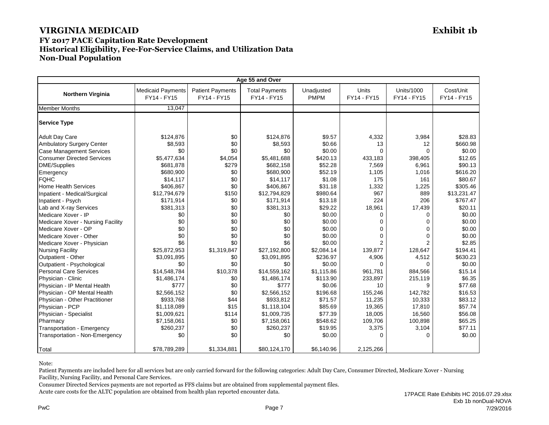#### **FY 2017 PACE Capitation Rate Development Historical Eligibility, Fee-For-Service Claims, and Utilization Data Non-Dual Population**

|                                   |                                         |                                        | Age 55 and Over                      |                           |                             |                                  |                          |
|-----------------------------------|-----------------------------------------|----------------------------------------|--------------------------------------|---------------------------|-----------------------------|----------------------------------|--------------------------|
| <b>Northern Virginia</b>          | <b>Medicaid Payments</b><br>FY14 - FY15 | <b>Patient Payments</b><br>FY14 - FY15 | <b>Total Payments</b><br>FY14 - FY15 | Unadjusted<br><b>PMPM</b> | <b>Units</b><br>FY14 - FY15 | <b>Units/1000</b><br>FY14 - FY15 | Cost/Unit<br>FY14 - FY15 |
| <b>Member Months</b>              | 13.047                                  |                                        |                                      |                           |                             |                                  |                          |
| <b>Service Type</b>               |                                         |                                        |                                      |                           |                             |                                  |                          |
| <b>Adult Day Care</b>             | \$124,876                               | \$0                                    | \$124,876                            | \$9.57                    | 4,332                       | 3,984                            | \$28.83                  |
| Ambulatory Surgery Center         | \$8,593                                 | \$0                                    | \$8,593                              | \$0.66                    | 13                          | 12                               | \$660.98                 |
| <b>Case Management Services</b>   | \$0                                     | \$0                                    | \$0                                  | \$0.00                    | $\Omega$                    | $\Omega$                         | \$0.00                   |
| <b>Consumer Directed Services</b> | \$5,477,634                             | \$4,054                                | \$5,481,688                          | \$420.13                  | 433,183                     | 398,405                          | \$12.65                  |
| <b>DME/Supplies</b>               | \$681,878                               | \$279                                  | \$682,158                            | \$52.28                   | 7,569                       | 6,961                            | \$90.13                  |
| Emergency                         | \$680,900                               | \$0                                    | \$680,900                            | \$52.19                   | 1,105                       | 1,016                            | \$616.20                 |
| <b>FQHC</b>                       | \$14,117                                | \$0                                    | \$14,117                             | \$1.08                    | 175                         | 161                              | \$80.67                  |
| <b>Home Health Services</b>       | \$406,867                               | \$0                                    | \$406,867                            | \$31.18                   | 1,332                       | 1,225                            | \$305.46                 |
| Inpatient - Medical/Surgical      | \$12,794,679                            | \$150                                  | \$12,794,829                         | \$980.64                  | 967                         | 889                              | \$13,231.47              |
| Inpatient - Psych                 | \$171,914                               | \$0                                    | \$171,914                            | \$13.18                   | 224                         | 206                              | \$767.47                 |
| Lab and X-ray Services            | \$381,313                               | \$0                                    | \$381,313                            | \$29.22                   | 18,961                      | 17,439                           | \$20.11                  |
| Medicare Xover - IP               | \$0                                     | \$0                                    | \$0                                  | \$0.00                    | $\Omega$                    | $\Omega$                         | \$0.00                   |
| Medicare Xover - Nursing Facility | \$0                                     | \$0                                    | \$0                                  | \$0.00                    | $\Omega$                    | $\Omega$                         | \$0.00                   |
| Medicare Xover - OP               | \$0                                     | \$0                                    | \$0                                  | \$0.00                    | $\Omega$                    | $\Omega$                         | \$0.00                   |
| Medicare Xover - Other            | \$0                                     | \$0                                    | \$0                                  | \$0.00                    | $\Omega$                    | $\Omega$                         | \$0.00                   |
| Medicare Xover - Physician        | \$6                                     | \$0                                    | \$6                                  | \$0.00                    | $\overline{2}$              | $\overline{2}$                   | \$2.85                   |
| <b>Nursing Facility</b>           | \$25,872,953                            | \$1,319,847                            | \$27,192,800                         | \$2.084.14                | 139.877                     | 128.647                          | \$194.41                 |
| Outpatient - Other                | \$3,091,895                             | \$0                                    | \$3,091,895                          | \$236.97                  | 4,906                       | 4,512                            | \$630.23                 |
| Outpatient - Psychological        | \$0                                     | \$0                                    | \$0                                  | \$0.00                    | $\Omega$                    | $\Omega$                         | \$0.00                   |
| Personal Care Services            | \$14,548,784                            | \$10,378                               | \$14,559,162                         | \$1,115.86                | 961,781                     | 884,566                          | \$15.14                  |
| Physician - Clinic                | \$1,486,174                             | \$0                                    | \$1,486,174                          | \$113.90                  | 233,897                     | 215,119                          | \$6.35                   |
| Physician - IP Mental Health      | \$777                                   | \$0                                    | \$777                                | \$0.06                    | 10                          | 9                                | \$77.68                  |
| Physician - OP Mental Health      | \$2,566,152                             | \$0                                    | \$2,566,152                          | \$196.68                  | 155,246                     | 142,782                          | \$16.53                  |
| Physician - Other Practitioner    | \$933,768                               | \$44                                   | \$933,812                            | \$71.57                   | 11,235                      | 10,333                           | \$83.12                  |
| Physician - PCP                   | \$1,118,089                             | \$15                                   | \$1,118,104                          | \$85.69                   | 19,365                      | 17,810                           | \$57.74                  |
| Physician - Specialist            | \$1,009,621                             | \$114                                  | \$1,009,735                          | \$77.39                   | 18,005                      | 16,560                           | \$56.08                  |
| Pharmacy                          | \$7,158,061                             | \$0                                    | \$7,158,061                          | \$548.62                  | 109,706                     | 100,898                          | \$65.25                  |
| Transportation - Emergency        | \$260,237                               | \$0                                    | \$260,237                            | \$19.95                   | 3,375                       | 3,104                            | \$77.11                  |
| Transportation - Non-Emergency    | \$0                                     | \$0                                    | \$0                                  | \$0.00                    | $\Omega$                    | $\Omega$                         | \$0.00                   |
| Total                             | \$78,789,289                            | \$1,334,881                            | \$80,124,170                         | \$6,140.96                | 2,125,266                   |                                  |                          |

Note:

Patient Payments are included here for all services but are only carried forward for the following categories: Adult Day Care, Consumer Directed, Medicare Xover - Nursing Facility, Nursing Facility, and Personal Care Services.

Consumer Directed Services payments are not reported as FFS claims but are obtained from supplemental payment files.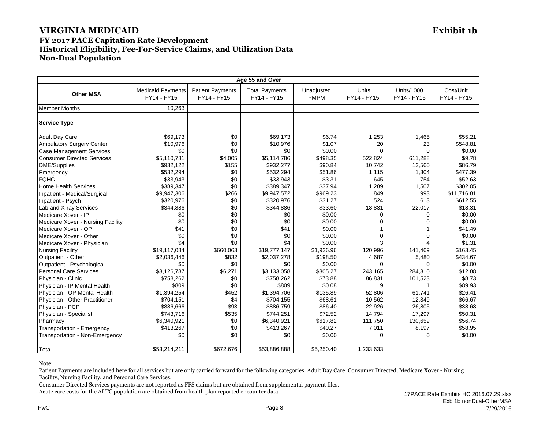#### **FY 2017 PACE Capitation Rate Development Historical Eligibility, Fee-For-Service Claims, and Utilization Data Non-Dual Population**

|                                   |                                         |                                        | Age 55 and Over                      |                           |                      |                                  |                          |
|-----------------------------------|-----------------------------------------|----------------------------------------|--------------------------------------|---------------------------|----------------------|----------------------------------|--------------------------|
| <b>Other MSA</b>                  | <b>Medicaid Payments</b><br>FY14 - FY15 | <b>Patient Payments</b><br>FY14 - FY15 | <b>Total Payments</b><br>FY14 - FY15 | Unadjusted<br><b>PMPM</b> | Units<br>FY14 - FY15 | <b>Units/1000</b><br>FY14 - FY15 | Cost/Unit<br>FY14 - FY15 |
| <b>Member Months</b>              | 10.263                                  |                                        |                                      |                           |                      |                                  |                          |
| <b>Service Type</b>               |                                         |                                        |                                      |                           |                      |                                  |                          |
| <b>Adult Day Care</b>             | \$69,173                                | \$0                                    | \$69,173                             | \$6.74                    | 1,253                | 1,465                            | \$55.21                  |
| Ambulatory Surgery Center         | \$10,976                                | \$0                                    | \$10,976                             | \$1.07                    | 20                   | 23                               | \$548.81                 |
| <b>Case Management Services</b>   | \$0                                     | \$0                                    | \$0                                  | \$0.00                    | $\Omega$             | $\Omega$                         | \$0.00                   |
| <b>Consumer Directed Services</b> | \$5,110,781                             | \$4,005                                | \$5,114,786                          | \$498.35                  | 522,824              | 611,288                          | \$9.78                   |
| <b>DME/Supplies</b>               | \$932,122                               | \$155                                  | \$932,277                            | \$90.84                   | 10,742               | 12,560                           | \$86.79                  |
| Emergency                         | \$532,294                               | \$0                                    | \$532,294                            | \$51.86                   | 1,115                | 1,304                            | \$477.39                 |
| <b>FQHC</b>                       | \$33,943                                | \$0                                    | \$33,943                             | \$3.31                    | 645                  | 754                              | \$52.63                  |
| <b>Home Health Services</b>       | \$389,347                               | \$0                                    | \$389,347                            | \$37.94                   | 1,289                | 1,507                            | \$302.05                 |
| Inpatient - Medical/Surgical      | \$9,947,306                             | \$266                                  | \$9,947,572                          | \$969.23                  | 849                  | 993                              | \$11,716.81              |
| Inpatient - Psych                 | \$320,976                               | \$0                                    | \$320,976                            | \$31.27                   | 524                  | 613                              | \$612.55                 |
| Lab and X-ray Services            | \$344,886                               | \$0                                    | \$344,886                            | \$33.60                   | 18,831               | 22,017                           | \$18.31                  |
| Medicare Xover - IP               | \$0                                     | \$0                                    | \$0                                  | \$0.00                    | $\Omega$             | $\Omega$                         | \$0.00                   |
| Medicare Xover - Nursing Facility | \$0                                     | \$0                                    | \$0                                  | \$0.00                    | $\Omega$             | $\Omega$                         | \$0.00                   |
| Medicare Xover - OP               | \$41                                    | \$0                                    | \$41                                 | \$0.00                    |                      |                                  | \$41.49                  |
| Medicare Xover - Other            | \$0                                     | \$0                                    | \$0                                  | \$0.00                    | $\Omega$             | $\Omega$                         | \$0.00                   |
| Medicare Xover - Physician        | \$4                                     | \$0                                    | \$4                                  | \$0.00                    | 3                    |                                  | \$1.31                   |
| <b>Nursing Facility</b>           | \$19,117,084                            | \$660,063                              | \$19,777,147                         | \$1,926.96                | 120,996              | 141,469                          | \$163.45                 |
| Outpatient - Other                | \$2,036,446                             | \$832                                  | \$2,037,278                          | \$198.50                  | 4,687                | 5,480                            | \$434.67                 |
| Outpatient - Psychological        | \$0                                     | \$0                                    | \$0                                  | \$0.00                    | 0                    | $\Omega$                         | \$0.00                   |
| <b>Personal Care Services</b>     | \$3.126.787                             | \$6,271                                | \$3,133,058                          | \$305.27                  | 243,165              | 284,310                          | \$12.88                  |
| Physician - Clinic                | \$758,262                               | \$0                                    | \$758,262                            | \$73.88                   | 86,831               | 101,523                          | \$8.73                   |
| Physician - IP Mental Health      | \$809                                   | \$0                                    | \$809                                | \$0.08                    | 9                    | 11                               | \$89.93                  |
| Physician - OP Mental Health      | \$1,394,254                             | \$452                                  | \$1.394.706                          | \$135.89                  | 52.806               | 61.741                           | \$26.41                  |
| Physician - Other Practitioner    | \$704,151                               | \$4                                    | \$704,155                            | \$68.61                   | 10,562               | 12,349                           | \$66.67                  |
| Physician - PCP                   | \$886,666                               | \$93                                   | \$886,759                            | \$86.40                   | 22,926               | 26,805                           | \$38.68                  |
| Physician - Specialist            | \$743,716                               | \$535                                  | \$744,251                            | \$72.52                   | 14,794               | 17,297                           | \$50.31                  |
| Pharmacv                          | \$6,340,921                             | \$0                                    | \$6,340,921                          | \$617.82                  | 111,750              | 130,659                          | \$56.74                  |
| Transportation - Emergency        | \$413,267                               | \$0                                    | \$413,267                            | \$40.27                   | 7,011                | 8,197                            | \$58.95                  |
| Transportation - Non-Emergency    | \$0                                     | \$0                                    | \$0                                  | \$0.00                    | 0                    | $\Omega$                         | \$0.00                   |
| Total                             | \$53,214,211                            | \$672,676                              | \$53,886,888                         | \$5,250.40                | 1,233,633            |                                  |                          |

Note:

Patient Payments are included here for all services but are only carried forward for the following categories: Adult Day Care, Consumer Directed, Medicare Xover - Nursing Facility, Nursing Facility, and Personal Care Services.

Consumer Directed Services payments are not reported as FFS claims but are obtained from supplemental payment files.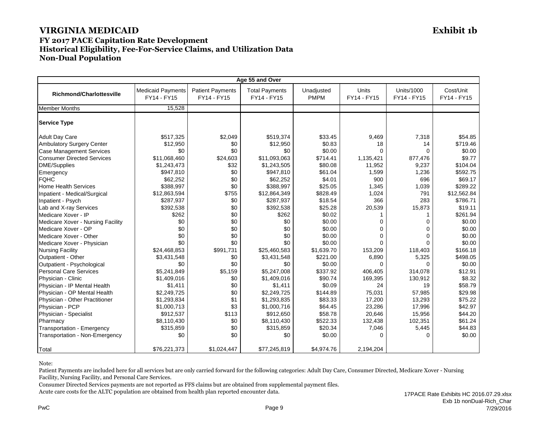#### **FY 2017 PACE Capitation Rate Development Historical Eligibility, Fee-For-Service Claims, and Utilization Data Non-Dual Population**

| Age 55 and Over                   |                                         |                                        |                                      |                           |                             |                                  |                          |
|-----------------------------------|-----------------------------------------|----------------------------------------|--------------------------------------|---------------------------|-----------------------------|----------------------------------|--------------------------|
| <b>Richmond/Charlottesville</b>   | <b>Medicaid Payments</b><br>FY14 - FY15 | <b>Patient Payments</b><br>FY14 - FY15 | <b>Total Payments</b><br>FY14 - FY15 | Unadjusted<br><b>PMPM</b> | <b>Units</b><br>FY14 - FY15 | <b>Units/1000</b><br>FY14 - FY15 | Cost/Unit<br>FY14 - FY15 |
| <b>Member Months</b>              | 15.528                                  |                                        |                                      |                           |                             |                                  |                          |
| <b>Service Type</b>               |                                         |                                        |                                      |                           |                             |                                  |                          |
| <b>Adult Day Care</b>             | \$517,325                               | \$2,049                                | \$519,374                            | \$33.45                   | 9,469                       | 7,318                            | \$54.85                  |
| <b>Ambulatory Surgery Center</b>  | \$12,950                                | \$0                                    | \$12,950                             | \$0.83                    | 18                          | 14                               | \$719.46                 |
| <b>Case Management Services</b>   | \$0                                     | \$0                                    | \$0                                  | \$0.00                    | $\Omega$                    | $\Omega$                         | \$0.00                   |
| <b>Consumer Directed Services</b> | \$11,068,460                            | \$24,603                               | \$11,093,063                         | \$714.41                  | 1,135,421                   | 877,476                          | \$9.77                   |
| <b>DME/Supplies</b>               | \$1,243,473                             | \$32                                   | \$1,243,505                          | \$80.08                   | 11,952                      | 9,237                            | \$104.04                 |
| Emergency                         | \$947,810                               | \$0                                    | \$947,810                            | \$61.04                   | 1,599                       | 1,236                            | \$592.75                 |
| <b>FQHC</b>                       | \$62,252                                | \$0                                    | \$62,252                             | \$4.01                    | 900                         | 696                              | \$69.17                  |
| <b>Home Health Services</b>       | \$388,997                               | \$0                                    | \$388,997                            | \$25.05                   | 1,345                       | 1,039                            | \$289.22                 |
| Inpatient - Medical/Surgical      | \$12,863,594                            | \$755                                  | \$12,864,349                         | \$828.49                  | 1,024                       | 791                              | \$12,562.84              |
| Inpatient - Psych                 | \$287,937                               | \$0                                    | \$287,937                            | \$18.54                   | 366                         | 283                              | \$786.71                 |
| Lab and X-ray Services            | \$392,538                               | \$0                                    | \$392,538                            | \$25.28                   | 20,539                      | 15,873                           | \$19.11                  |
| Medicare Xover - IP               | \$262                                   | \$0                                    | \$262                                | \$0.02                    |                             | 1                                | \$261.94                 |
| Medicare Xover - Nursing Facility | \$0                                     | \$0                                    | \$0                                  | \$0.00                    | $\mathbf 0$                 | $\Omega$                         | \$0.00                   |
| Medicare Xover - OP               | \$0                                     | \$0                                    | \$0                                  | \$0.00                    | $\Omega$                    | $\Omega$                         | \$0.00                   |
| Medicare Xover - Other            | \$0                                     | \$0                                    | \$0                                  | \$0.00                    | $\Omega$                    | $\Omega$                         | \$0.00                   |
| Medicare Xover - Physician        | \$0                                     | \$0                                    | \$0                                  | \$0.00                    | $\Omega$                    | $\Omega$                         | \$0.00                   |
| <b>Nursing Facility</b>           | \$24,468,853                            | \$991,731                              | \$25,460,583                         | \$1,639.70                | 153,209                     | 118,403                          | \$166.18                 |
| Outpatient - Other                | \$3,431,548                             | \$0                                    | \$3,431,548                          | \$221.00                  | 6,890                       | 5,325                            | \$498.05                 |
| Outpatient - Psychological        | \$0                                     | \$0                                    | \$0                                  | \$0.00                    | $\Omega$                    | $\Omega$                         | \$0.00                   |
| <b>Personal Care Services</b>     | \$5,241,849                             | \$5,159                                | \$5,247,008                          | \$337.92                  | 406,405                     | 314.078                          | \$12.91                  |
| Physician - Clinic                | \$1,409,016                             | \$0                                    | \$1,409,016                          | \$90.74                   | 169,395                     | 130,912                          | \$8.32                   |
| Physician - IP Mental Health      | \$1,411                                 | \$0                                    | \$1,411                              | \$0.09                    | 24                          | 19                               | \$58.79                  |
| Physician - OP Mental Health      | \$2,249,725                             | \$0                                    | \$2,249,725                          | \$144.89                  | 75,031                      | 57,985                           | \$29.98                  |
| Physician - Other Practitioner    | \$1,293,834                             | \$1                                    | \$1,293,835                          | \$83.33                   | 17,200                      | 13,293                           | \$75.22                  |
| Physician - PCP                   | \$1,000,713                             | \$3                                    | \$1,000,716                          | \$64.45                   | 23,286                      | 17,996                           | \$42.97                  |
| Physician - Specialist            | \$912,537                               | \$113                                  | \$912,650                            | \$58.78                   | 20,646                      | 15,956                           | \$44.20                  |
| Pharmacy                          | \$8,110,430                             | \$0                                    | \$8,110,430                          | \$522.33                  | 132,438                     | 102,351                          | \$61.24                  |
| Transportation - Emergency        | \$315,859                               | \$0                                    | \$315,859                            | \$20.34                   | 7,046                       | 5,445                            | \$44.83                  |
| Transportation - Non-Emergency    | \$0                                     | \$0                                    | \$0                                  | \$0.00                    | $\Omega$                    | $\Omega$                         | \$0.00                   |
| Total                             | \$76,221,373                            | \$1,024,447                            | \$77,245,819                         | \$4,974.76                | 2,194,204                   |                                  |                          |

Note:

Patient Payments are included here for all services but are only carried forward for the following categories: Adult Day Care, Consumer Directed, Medicare Xover - Nursing Facility, Nursing Facility, and Personal Care Services.

Consumer Directed Services payments are not reported as FFS claims but are obtained from supplemental payment files.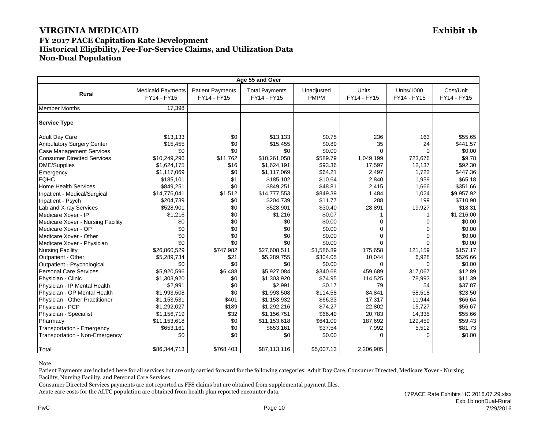#### **FY 2017 PACE Capitation Rate Development Historical Eligibility, Fee-For-Service Claims, and Utilization Data Non-Dual Population**

| Age 55 and Over                   |                                         |                                        |                                      |                           |                             |                                  |                          |
|-----------------------------------|-----------------------------------------|----------------------------------------|--------------------------------------|---------------------------|-----------------------------|----------------------------------|--------------------------|
| Rural                             | <b>Medicaid Payments</b><br>FY14 - FY15 | <b>Patient Payments</b><br>FY14 - FY15 | <b>Total Payments</b><br>FY14 - FY15 | Unadjusted<br><b>PMPM</b> | <b>Units</b><br>FY14 - FY15 | <b>Units/1000</b><br>FY14 - FY15 | Cost/Unit<br>FY14 - FY15 |
| <b>Member Months</b>              | 17,398                                  |                                        |                                      |                           |                             |                                  |                          |
| <b>Service Type</b>               |                                         |                                        |                                      |                           |                             |                                  |                          |
| <b>Adult Day Care</b>             | \$13,133                                | \$0                                    | \$13,133                             | \$0.75                    | 236                         | 163                              | \$55.65                  |
| Ambulatory Surgery Center         | \$15,455                                | \$0                                    | \$15,455                             | \$0.89                    | 35                          | 24                               | \$441.57                 |
| Case Management Services          | \$0                                     | \$0                                    | \$0                                  | \$0.00                    | $\Omega$                    | $\Omega$                         | \$0.00                   |
| <b>Consumer Directed Services</b> | \$10,249,296                            | \$11,762                               | \$10,261,058                         | \$589.79                  | 1,049,199                   | 723,676                          | \$9.78                   |
| <b>DME/Supplies</b>               | \$1,624,175                             | \$16                                   | \$1,624,191                          | \$93.36                   | 17,597                      | 12,137                           | \$92.30                  |
| Emergency                         | \$1,117,069                             | \$0                                    | \$1,117,069                          | \$64.21                   | 2,497                       | 1,722                            | \$447.36                 |
| <b>FQHC</b>                       | \$185,101                               | \$1                                    | \$185,102                            | \$10.64                   | 2,840                       | 1,959                            | \$65.18                  |
| <b>Home Health Services</b>       | \$849,251                               | \$0                                    | \$849,251                            | \$48.81                   | 2,415                       | 1,666                            | \$351.66                 |
| Inpatient - Medical/Surgical      | \$14,776,041                            | \$1,512                                | \$14,777,553                         | \$849.39                  | 1,484                       | 1,024                            | \$9,957.92               |
| Inpatient - Psych                 | \$204,739                               | \$0                                    | \$204,739                            | \$11.77                   | 288                         | 199                              | \$710.90                 |
| Lab and X-ray Services            | \$528,901                               | \$0                                    | \$528,901                            | \$30.40                   | 28,891                      | 19,927                           | \$18.31                  |
| Medicare Xover - IP               | \$1,216                                 | \$0                                    | \$1,216                              | \$0.07                    | 1                           |                                  | \$1,216.00               |
| Medicare Xover - Nursing Facility | \$0                                     | \$0                                    | \$0                                  | \$0.00                    | 0                           | $\Omega$                         | \$0.00                   |
| Medicare Xover - OP               | \$0                                     | \$0                                    | \$0                                  | \$0.00                    | $\Omega$                    | $\Omega$                         | \$0.00                   |
| Medicare Xover - Other            | \$0                                     | \$0                                    | \$0                                  | \$0.00                    | $\Omega$                    | $\Omega$                         | \$0.00                   |
| Medicare Xover - Physician        | \$0                                     | \$0                                    | \$0                                  | \$0.00                    | 0                           | $\Omega$                         | \$0.00                   |
| <b>Nursing Facility</b>           | \$26,860,529                            | \$747,982                              | \$27,608,511                         | \$1,586.89                | 175,658                     | 121,159                          | \$157.17                 |
| Outpatient - Other                | \$5,289,734                             | \$21                                   | \$5,289,755                          | \$304.05                  | 10,044                      | 6,928                            | \$526.66                 |
| Outpatient - Psychological        | \$0                                     | \$0                                    | \$0                                  | \$0.00                    | $\Omega$                    | $\Omega$                         | \$0.00                   |
| <b>Personal Care Services</b>     | \$5.920.596                             | \$6,488                                | \$5.927.084                          | \$340.68                  | 459.689                     | 317.067                          | \$12.89                  |
| Physician - Clinic                | \$1,303,920                             | \$0                                    | \$1,303,920                          | \$74.95                   | 114,525                     | 78,993                           | \$11.39                  |
| Physician - IP Mental Health      | \$2,991                                 | \$0                                    | \$2,991                              | \$0.17                    | 79                          | 54                               | \$37.87                  |
| Physician - OP Mental Health      | \$1,993,508                             | \$0                                    | \$1,993,508                          | \$114.58                  | 84,841                      | 58,518                           | \$23.50                  |
| Physician - Other Practitioner    | \$1,153,531                             | \$401                                  | \$1,153,932                          | \$66.33                   | 17,317                      | 11,944                           | \$66.64                  |
| Physician - PCP                   | \$1,292,027                             | \$189                                  | \$1,292,216                          | \$74.27                   | 22,802                      | 15,727                           | \$56.67                  |
| Physician - Specialist            | \$1,156,719                             | \$32                                   | \$1,156,751                          | \$66.49                   | 20,783                      | 14,335                           | \$55.66                  |
| Pharmacy                          | \$11,153,618                            | \$0                                    | \$11,153,618                         | \$641.09                  | 187,692                     | 129,459                          | \$59.43                  |
| Transportation - Emergency        | \$653,161                               | \$0                                    | \$653,161                            | \$37.54                   | 7,992                       | 5,512                            | \$81.73                  |
| Transportation - Non-Emergency    | \$0                                     | \$0                                    | \$0                                  | \$0.00                    | $\Omega$                    | $\Omega$                         | \$0.00                   |
| Total                             | \$86,344,713                            | \$768,403                              | \$87,113,116                         | \$5,007.13                | 2,206,905                   |                                  |                          |

Note:

Patient Payments are included here for all services but are only carried forward for the following categories: Adult Day Care, Consumer Directed, Medicare Xover - Nursing Facility, Nursing Facility, and Personal Care Services.

Consumer Directed Services payments are not reported as FFS claims but are obtained from supplemental payment files.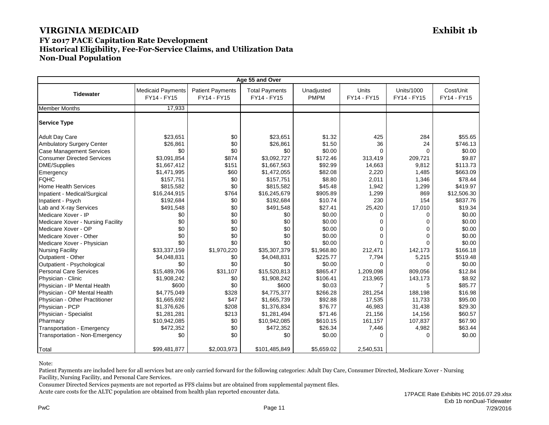#### **FY 2017 PACE Capitation Rate Development Historical Eligibility, Fee-For-Service Claims, and Utilization Data Non-Dual Population**

| Age 55 and Over                   |                                         |                                        |                                      |                           |                      |                                  |                          |
|-----------------------------------|-----------------------------------------|----------------------------------------|--------------------------------------|---------------------------|----------------------|----------------------------------|--------------------------|
| <b>Tidewater</b>                  | <b>Medicaid Payments</b><br>FY14 - FY15 | <b>Patient Payments</b><br>FY14 - FY15 | <b>Total Payments</b><br>FY14 - FY15 | Unadjusted<br><b>PMPM</b> | Units<br>FY14 - FY15 | <b>Units/1000</b><br>FY14 - FY15 | Cost/Unit<br>FY14 - FY15 |
| <b>Member Months</b>              | 17,933                                  |                                        |                                      |                           |                      |                                  |                          |
| <b>Service Type</b>               |                                         |                                        |                                      |                           |                      |                                  |                          |
| <b>Adult Day Care</b>             | \$23,651                                | \$0                                    | \$23,651                             | \$1.32                    | 425                  | 284                              | \$55.65                  |
| <b>Ambulatory Surgery Center</b>  | \$26,861                                | \$0                                    | \$26,861                             | \$1.50                    | 36                   | 24                               | \$746.13                 |
| <b>Case Management Services</b>   | \$0                                     | \$0                                    | \$0                                  | \$0.00                    | $\Omega$             | $\Omega$                         | \$0.00                   |
| <b>Consumer Directed Services</b> | \$3,091,854                             | \$874                                  | \$3,092,727                          | \$172.46                  | 313,419              | 209,721                          | \$9.87                   |
| <b>DME/Supplies</b>               | \$1,667,412                             | \$151                                  | \$1,667,563                          | \$92.99                   | 14,663               | 9,812                            | \$113.73                 |
| Emergency                         | \$1,471,995                             | \$60                                   | \$1,472,055                          | \$82.08                   | 2,220                | 1,485                            | \$663.09                 |
| <b>FQHC</b>                       | \$157,751                               | \$0                                    | \$157,751                            | \$8.80                    | 2,011                | 1,346                            | \$78.44                  |
| <b>Home Health Services</b>       | \$815,582                               | \$0                                    | \$815,582                            | \$45.48                   | 1,942                | 1,299                            | \$419.97                 |
| Inpatient - Medical/Surgical      | \$16,244,915                            | \$764                                  | \$16,245,679                         | \$905.89                  | 1,299                | 869                              | \$12,506.30              |
| Inpatient - Psych                 | \$192,684                               | \$0                                    | \$192,684                            | \$10.74                   | 230                  | 154                              | \$837.76                 |
| Lab and X-ray Services            | \$491,548                               | \$0                                    | \$491,548                            | \$27.41                   | 25,420               | 17,010                           | \$19.34                  |
| Medicare Xover - IP               | \$0                                     | \$0                                    | \$0                                  | \$0.00                    | $\Omega$             | $\Omega$                         | \$0.00                   |
| Medicare Xover - Nursing Facility | \$0                                     | \$0                                    | \$0                                  | \$0.00                    | $\Omega$             | $\Omega$                         | \$0.00                   |
| Medicare Xover - OP               | \$0                                     | \$0                                    | \$0                                  | \$0.00                    | $\Omega$             | $\Omega$                         | \$0.00                   |
| Medicare Xover - Other            | \$0                                     | \$0                                    | \$0                                  | \$0.00                    | $\Omega$             | $\Omega$                         | \$0.00                   |
| Medicare Xover - Physician        | \$0                                     | \$0                                    | \$0                                  | \$0.00                    | $\Omega$             | $\Omega$                         | \$0.00                   |
| <b>Nursing Facility</b>           | \$33,337,159                            | \$1,970,220                            | \$35,307,379                         | \$1,968.80                | 212,471              | 142,173                          | \$166.18                 |
| Outpatient - Other                | \$4,048,831                             | \$0                                    | \$4,048,831                          | \$225.77                  | 7,794                | 5,215                            | \$519.48                 |
| Outpatient - Psychological        | \$0                                     | \$0                                    | \$0                                  | \$0.00                    | 0                    | $\Omega$                         | \$0.00                   |
| <b>Personal Care Services</b>     | \$15.489.706                            | \$31,107                               | \$15.520.813                         | \$865.47                  | 1,209,098            | 809.056                          | \$12.84                  |
| Physician - Clinic                | \$1,908,242                             | \$0                                    | \$1,908,242                          | \$106.41                  | 213,965              | 143,173                          | \$8.92                   |
| Physician - IP Mental Health      | \$600                                   | \$0                                    | \$600                                | \$0.03                    | 7                    | 5                                | \$85.77                  |
| Physician - OP Mental Health      | \$4.775.049                             | \$328                                  | \$4,775,377                          | \$266.28                  | 281.254              | 188.198                          | \$16.98                  |
| Physician - Other Practitioner    | \$1,665,692                             | \$47                                   | \$1,665,739                          | \$92.88                   | 17,535               | 11,733                           | \$95.00                  |
| Physician - PCP                   | \$1,376,626                             | \$208                                  | \$1,376,834                          | \$76.77                   | 46,983               | 31,438                           | \$29.30                  |
| Physician - Specialist            | \$1,281,281                             | \$213                                  | \$1,281,494                          | \$71.46                   | 21,156               | 14,156                           | \$60.57                  |
| Pharmacy                          | \$10,942,085                            | \$0                                    | \$10,942,085                         | \$610.15                  | 161,157              | 107,837                          | \$67.90                  |
| Transportation - Emergency        | \$472,352                               | \$0                                    | \$472,352                            | \$26.34                   | 7,446                | 4,982                            | \$63.44                  |
| Transportation - Non-Emergency    | \$0                                     | \$0                                    | \$0                                  | \$0.00                    | 0                    | $\Omega$                         | \$0.00                   |
| Total                             | \$99,481,877                            | \$2,003,973                            | \$101,485,849                        | \$5,659.02                | 2,540,531            |                                  |                          |

Note:

Patient Payments are included here for all services but are only carried forward for the following categories: Adult Day Care, Consumer Directed, Medicare Xover - Nursing Facility, Nursing Facility, and Personal Care Services.

Consumer Directed Services payments are not reported as FFS claims but are obtained from supplemental payment files.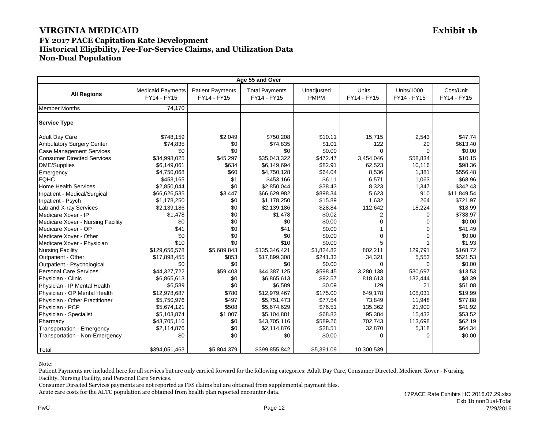#### **FY 2017 PACE Capitation Rate Development Historical Eligibility, Fee-For-Service Claims, and Utilization Data Non-Dual Population**

| Age 55 and Over                   |                                         |                                        |                                      |                           |                      |                           |                          |
|-----------------------------------|-----------------------------------------|----------------------------------------|--------------------------------------|---------------------------|----------------------|---------------------------|--------------------------|
| <b>All Regions</b>                | <b>Medicaid Payments</b><br>FY14 - FY15 | <b>Patient Payments</b><br>FY14 - FY15 | <b>Total Payments</b><br>FY14 - FY15 | Unadjusted<br><b>PMPM</b> | Units<br>FY14 - FY15 | Units/1000<br>FY14 - FY15 | Cost/Unit<br>FY14 - FY15 |
| <b>Member Months</b>              | 74,170                                  |                                        |                                      |                           |                      |                           |                          |
| <b>Service Type</b>               |                                         |                                        |                                      |                           |                      |                           |                          |
| <b>Adult Day Care</b>             | \$748,159                               | \$2,049                                | \$750,208                            | \$10.11                   | 15,715               | 2,543                     | \$47.74                  |
| <b>Ambulatory Surgery Center</b>  | \$74,835                                | \$0                                    | \$74,835                             | \$1.01                    | 122                  | 20                        | \$613.40                 |
| <b>Case Management Services</b>   | \$0                                     | \$0                                    | \$0                                  | \$0.00                    | $\Omega$             | $\cap$                    | \$0.00                   |
| <b>Consumer Directed Services</b> | \$34,998,025                            | \$45,297                               | \$35,043,322                         | \$472.47                  | 3,454,046            | 558,834                   | \$10.15                  |
| <b>DME/Supplies</b>               | \$6,149,061                             | \$634                                  | \$6,149,694                          | \$82.91                   | 62,523               | 10,116                    | \$98.36                  |
| Emergency                         | \$4,750,068                             | \$60                                   | \$4,750,128                          | \$64.04                   | 8,536                | 1,381                     | \$556.48                 |
| <b>FQHC</b>                       | \$453,165                               | \$1                                    | \$453,166                            | \$6.11                    | 6,571                | 1,063                     | \$68.96                  |
| <b>Home Health Services</b>       | \$2,850,044                             | \$0                                    | \$2,850,044                          | \$38.43                   | 8,323                | 1,347                     | \$342.43                 |
| Inpatient - Medical/Surgical      | \$66,626,535                            | \$3,447                                | \$66,629,982                         | \$898.34                  | 5,623                | 910                       | \$11,849.54              |
| Inpatient - Psych                 | \$1,178,250                             | \$0                                    | \$1,178,250                          | \$15.89                   | 1,632                | 264                       | \$721.97                 |
| Lab and X-ray Services            | \$2,139,186                             | \$0                                    | \$2,139,186                          | \$28.84                   | 112,642              | 18,224                    | \$18.99                  |
| Medicare Xover - IP               | \$1,478                                 | \$0                                    | \$1,478                              | \$0.02                    | 2                    | $\Omega$                  | \$738.97                 |
| Medicare Xover - Nursing Facility | \$0                                     | \$0                                    | \$0                                  | \$0.00                    | $\Omega$             | $\Omega$                  | \$0.00                   |
| Medicare Xover - OP               | \$41                                    | \$0                                    | \$41                                 | \$0.00                    |                      | $\Omega$                  | \$41.49                  |
| Medicare Xover - Other            | \$0                                     | \$0                                    | \$0                                  | \$0.00                    | 0                    | $\Omega$                  | \$0.00                   |
| Medicare Xover - Physician        | \$10                                    | \$0                                    | \$10                                 | \$0.00                    | 5                    |                           | \$1.93                   |
| <b>Nursing Facility</b>           | \$129,656,578                           | \$5,689,843                            | \$135,346,421                        | \$1,824.82                | 802,211              | 129,791                   | \$168.72                 |
| Outpatient - Other                | \$17,898,455                            | \$853                                  | \$17,899,308                         | \$241.33                  | 34,321               | 5,553                     | \$521.53                 |
| Outpatient - Psychological        | \$0                                     | \$0                                    | \$0                                  | \$0.00                    | 0                    | $\Omega$                  | \$0.00                   |
| <b>Personal Care Services</b>     | \$44,327,722                            | \$59,403                               | \$44,387,125                         | \$598.45                  | 3,280,138            | 530.697                   | \$13.53                  |
| Physician - Clinic                | \$6,865,613                             | \$0                                    | \$6,865,613                          | \$92.57                   | 818.613              | 132,444                   | \$8.39                   |
| Physician - IP Mental Health      | \$6,589                                 | \$0                                    | \$6,589                              | \$0.09                    | 129                  | 21                        | \$51.08                  |
| Physician - OP Mental Health      | \$12,978,687                            | \$780                                  | \$12,979,467                         | \$175.00                  | 649,178              | 105,031                   | \$19.99                  |
| Physician - Other Practitioner    | \$5,750,976                             | \$497                                  | \$5,751,473                          | \$77.54                   | 73,849               | 11,948                    | \$77.88                  |
| Physician - PCP                   | \$5,674,121                             | \$508                                  | \$5,674,629                          | \$76.51                   | 135,362              | 21,900                    | \$41.92                  |
| Physician - Specialist            | \$5,103,874                             | \$1,007                                | \$5,104,881                          | \$68.83                   | 95,384               | 15,432                    | \$53.52                  |
| Pharmacy                          | \$43,705,116                            | \$0                                    | \$43,705,116                         | \$589.26                  | 702,743              | 113,698                   | \$62.19                  |
| Transportation - Emergency        | \$2,114,876                             | \$0                                    | \$2,114,876                          | \$28.51                   | 32,870               | 5,318                     | \$64.34                  |
| Transportation - Non-Emergency    | \$0                                     | \$0                                    | \$0                                  | \$0.00                    | 0                    | $\Omega$                  | \$0.00                   |
| Total                             | \$394,051,463                           | \$5,804,379                            | \$399,855,842                        | \$5,391.09                | 10,300,539           |                           |                          |

Note:

Patient Payments are included here for all services but are only carried forward for the following categories: Adult Day Care, Consumer Directed, Medicare Xover - Nursing Facility, Nursing Facility, and Personal Care Services.

Consumer Directed Services payments are not reported as FFS claims but are obtained from supplemental payment files.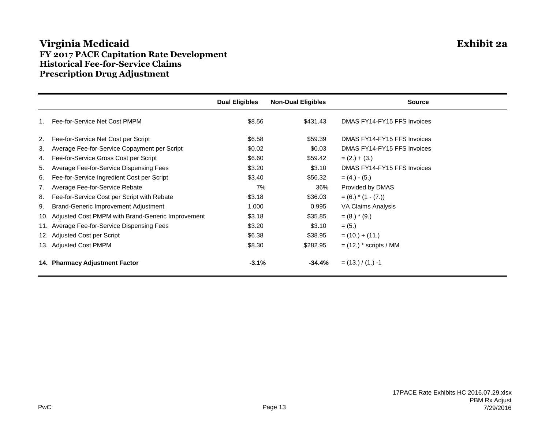## **Virginia Medicaid Exhibit 2a FY 2017 PACE Capitation Rate Development Historical Fee-for-Service Claims Prescription Drug Adjustment**

|     |                                                   | <b>Dual Eligibles</b> | <b>Non-Dual Eligibles</b> | <b>Source</b>               |
|-----|---------------------------------------------------|-----------------------|---------------------------|-----------------------------|
|     | Fee-for-Service Net Cost PMPM                     | \$8.56                | \$431.43                  | DMAS FY14-FY15 FFS Invoices |
| 2.  | Fee-for-Service Net Cost per Script               | \$6.58                | \$59.39                   | DMAS FY14-FY15 FFS Invoices |
| 3.  | Average Fee-for-Service Copayment per Script      | \$0.02                | \$0.03                    | DMAS FY14-FY15 FFS Invoices |
| 4.  | Fee-for-Service Gross Cost per Script             | \$6.60                | \$59.42                   | $= (2.) + (3.)$             |
| 5.  | Average Fee-for-Service Dispensing Fees           | \$3.20                | \$3.10                    | DMAS FY14-FY15 FFS Invoices |
| 6.  | Fee-for-Service Ingredient Cost per Script        | \$3.40                | \$56.32                   | $= (4.) - (5.)$             |
| 7.  | Average Fee-for-Service Rebate                    | 7%                    | 36%                       | Provided by DMAS            |
| 8.  | Fee-for-Service Cost per Script with Rebate       | \$3.18                | \$36.03                   | $= (6.) * (1 - (7.))$       |
| 9.  | <b>Brand-Generic Improvement Adjustment</b>       | 1.000                 | 0.995                     | VA Claims Analysis          |
| 10. | Adjusted Cost PMPM with Brand-Generic Improvement | \$3.18                | \$35.85                   | $= (8.)$ * $(9.)$           |
|     | 11. Average Fee-for-Service Dispensing Fees       | \$3.20                | \$3.10                    | $= (5.)$                    |
|     | 12. Adjusted Cost per Script                      | \$6.38                | \$38.95                   | $= (10.) + (11.)$           |
|     | 13. Adjusted Cost PMPM                            | \$8.30                | \$282.95                  | $=$ (12.) $*$ scripts / MM  |
|     | 14. Pharmacy Adjustment Factor                    | $-3.1%$               | $-34.4%$                  | $=$ (13.) / (1.) -1         |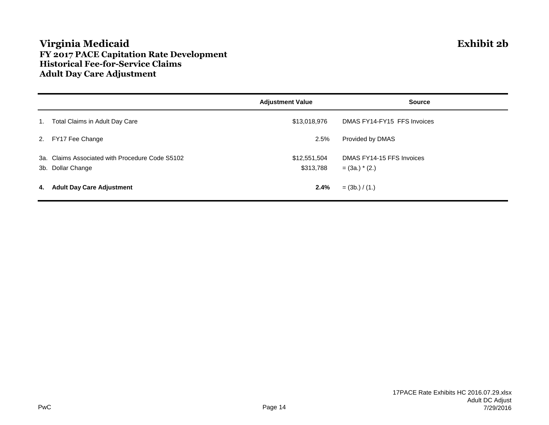## **Virginia Medicaid Exhibit 2b FY 2017 PACE Capitation Rate Development Historical Fee-for-Service Claims Adult Day Care Adjustment**

|                                                                      | <b>Adjustment Value</b>   | <b>Source</b>                                   |
|----------------------------------------------------------------------|---------------------------|-------------------------------------------------|
| 1. Total Claims in Adult Day Care                                    | \$13,018,976              | DMAS FY14-FY15 FFS Invoices                     |
| 2. FY17 Fee Change                                                   | 2.5%                      | Provided by DMAS                                |
| 3a. Claims Associated with Procedure Code S5102<br>3b. Dollar Change | \$12,551,504<br>\$313,788 | DMAS FY14-15 FFS Invoices<br>$=$ (3a.) $*$ (2.) |
| 4. Adult Day Care Adjustment                                         | 2.4%                      | $=$ (3b.) / (1.)                                |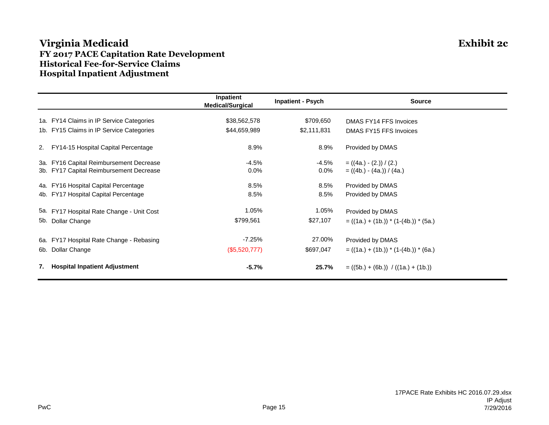## **Virginia Medicaid Exhibit 2c FY 2017 PACE Capitation Rate Development Historical Fee-for-Service Claims Hospital Inpatient Adjustment**

|     |                                           | Inpatient<br><b>Medical/Surgical</b> | <b>Inpatient - Psych</b> | <b>Source</b>                           |
|-----|-------------------------------------------|--------------------------------------|--------------------------|-----------------------------------------|
|     | 1a. FY14 Claims in IP Service Categories  | \$38,562,578                         | \$709,650                | DMAS FY14 FFS Invoices                  |
|     | 1b. FY15 Claims in IP Service Categories  | \$44,659,989                         | \$2,111,831              | DMAS FY15 FFS Invoices                  |
| 2.  | FY14-15 Hospital Capital Percentage       | 8.9%                                 | 8.9%                     | Provided by DMAS                        |
|     | 3a. FY16 Capital Reimbursement Decrease   | $-4.5%$                              | -4.5%                    | $= ((4a.) - (2.)) / (2.)$               |
|     | 3b. FY17 Capital Reimbursement Decrease   | 0.0%                                 | $0.0\%$                  | $= ((4b.) - (4a.)) / (4a.)$             |
|     | 4a. FY16 Hospital Capital Percentage      | 8.5%                                 | 8.5%                     | Provided by DMAS                        |
|     | 4b. FY17 Hospital Capital Percentage      | 8.5%                                 | 8.5%                     | Provided by DMAS                        |
|     | 5a. FY17 Hospital Rate Change - Unit Cost | 1.05%                                | 1.05%                    | Provided by DMAS                        |
| 5b. | Dollar Change                             | \$799,561                            | \$27,107                 | $= ((1a.) + (1b.)) * (1-(4b.)) * (5a.)$ |
|     | 6a. FY17 Hospital Rate Change - Rebasing  | $-7.25%$                             | 27.00%                   | Provided by DMAS                        |
|     | 6b. Dollar Change                         | (\$5,520,777)                        | \$697,047                | $= ((1a.) + (1b.)) * (1-(4b.)) * (6a.)$ |
| 7.  | <b>Hospital Inpatient Adjustment</b>      | $-5.7%$                              | 25.7%                    | $= ((5b.) + (6b.)) / ((1a.) + (1b.))$   |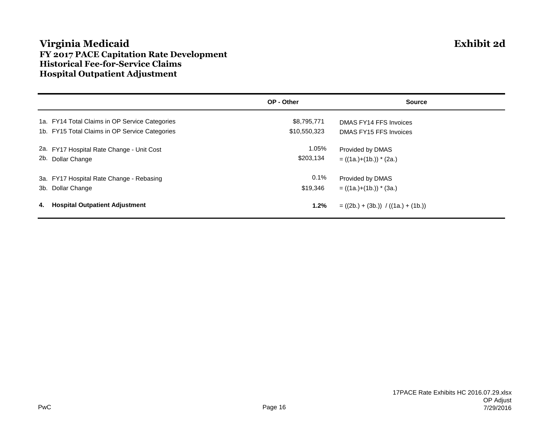## **Virginia Medicaid Exhibit 2d FY 2017 PACE Capitation Rate Development Historical Fee-for-Service Claims Hospital Outpatient Adjustment**

|                   |                                                | OP - Other   | <b>Source</b>                         |
|-------------------|------------------------------------------------|--------------|---------------------------------------|
|                   | 1a. FY14 Total Claims in OP Service Categories | \$8,795,771  | DMAS FY14 FFS Invoices                |
|                   | 1b. FY15 Total Claims in OP Service Categories | \$10,550,323 | DMAS FY15 FFS Invoices                |
|                   | 2a. FY17 Hospital Rate Change - Unit Cost      | 1.05%        | Provided by DMAS                      |
| 2b. Dollar Change |                                                | \$203,134    | $= ((1a.)+(1b.))$ * (2a.)             |
|                   | 3a. FY17 Hospital Rate Change - Rebasing       | $0.1\%$      | Provided by DMAS                      |
| 3b. Dollar Change |                                                | \$19,346     | $= ((1a.)+(1b.))$ * (3a.)             |
|                   | 4. Hospital Outpatient Adjustment              | 1.2%         | $= ((2b.) + (3b.)) / ((1a.) + (1b.))$ |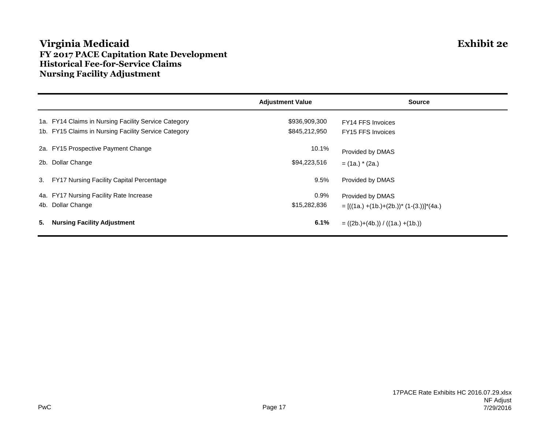## **Virginia Medicaid Exhibit 2e FY 2017 PACE Capitation Rate Development Historical Fee-for-Service Claims Nursing Facility Adjustment**

|                                                      | <b>Adjustment Value</b> | <b>Source</b>                                   |
|------------------------------------------------------|-------------------------|-------------------------------------------------|
| 1a. FY14 Claims in Nursing Facility Service Category | \$936,909,300           | FY14 FFS Invoices                               |
| 1b. FY15 Claims in Nursing Facility Service Category | \$845,212,950           | FY15 FFS Invoices                               |
| 2a. FY15 Prospective Payment Change                  | 10.1%                   | Provided by DMAS                                |
| 2b. Dollar Change                                    | \$94,223,516            | $=$ (1a.) $*$ (2a.)                             |
| 3. FY17 Nursing Facility Capital Percentage          | 9.5%                    | Provided by DMAS                                |
| 4a. FY17 Nursing Facility Rate Increase              | 0.9%                    | Provided by DMAS                                |
| 4b. Dollar Change                                    | \$15,282,836            | $= [((1a.) + (1b.) + (2b.))^* (1-(3.))]^*(4a.)$ |
| 5.<br><b>Nursing Facility Adjustment</b>             | 6.1%                    | $= ((2b.)+(4b.)) / ((1a.)+(1b.))$               |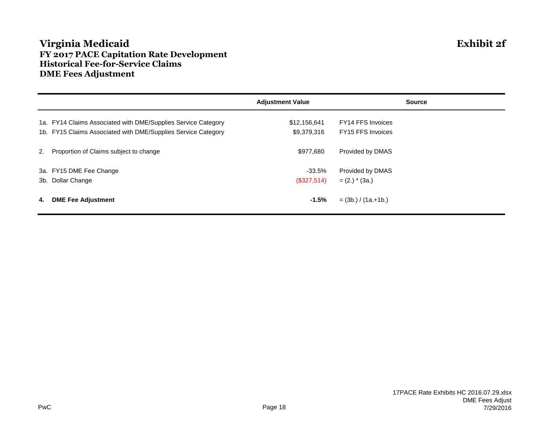## **Virginia Medicaid Exhibit 2f FY 2017 PACE Capitation Rate Development Historical Fee-for-Service Claims DME Fees Adjustment**

|    |                                                               | <b>Adjustment Value</b> | <b>Source</b>            |
|----|---------------------------------------------------------------|-------------------------|--------------------------|
|    | 1a. FY14 Claims Associated with DME/Supplies Service Category | \$12,156,641            | <b>FY14 FFS Invoices</b> |
|    | 1b. FY15 Claims Associated with DME/Supplies Service Category | \$9,379,316             | FY15 FFS Invoices        |
|    | 2. Proportion of Claims subject to change                     | \$977,680               | Provided by DMAS         |
|    | 3a. FY15 DME Fee Change                                       | -33.5%                  | Provided by DMAS         |
|    | 3b. Dollar Change                                             | (\$327,514)             | $= (2.)$ * (3a.)         |
| 4. | <b>DME Fee Adjustment</b>                                     | $-1.5%$                 | $=$ (3b.) / (1a.+1b.)    |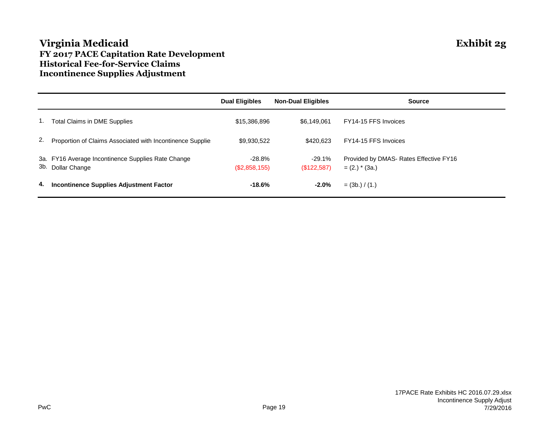## **Virginia Medicaid Exhibit 2g FY 2017 PACE Capitation Rate Development Historical Fee-for-Service Claims Incontinence Supplies Adjustment**

|    |                                                                         | <b>Dual Eligibles</b>   | <b>Non-Dual Eligibles</b> | <b>Source</b>                                              |
|----|-------------------------------------------------------------------------|-------------------------|---------------------------|------------------------------------------------------------|
|    | Total Claims in DME Supplies                                            | \$15,386,896            | \$6.149.061               | FY14-15 FFS Invoices                                       |
| 2. | Proportion of Claims Associated with Incontinence Supplie               | \$9,930,522             | \$420.623                 | FY14-15 FFS Invoices                                       |
|    | 3a. FY16 Average Incontinence Supplies Rate Change<br>3b. Dollar Change | -28.8%<br>(\$2,858,155) | -29.1%<br>(S122, 587)     | Provided by DMAS- Rates Effective FY16<br>$= (2.)$ * (3a.) |
| 4. | <b>Incontinence Supplies Adjustment Factor</b>                          | $-18.6%$                | $-2.0%$                   | $=$ (3b.) / (1.)                                           |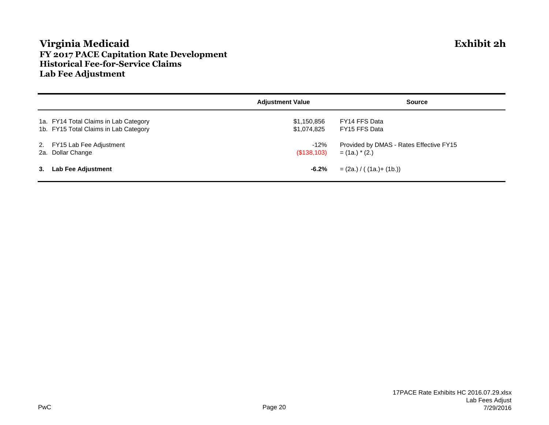## **Virginia Medicaid Exhibit 2h FY 2017 PACE Capitation Rate Development Historical Fee-for-Service Claims Lab Fee Adjustment**

|    |                                       | <b>Adjustment Value</b> | <b>Source</b>                           |
|----|---------------------------------------|-------------------------|-----------------------------------------|
|    | 1a. FY14 Total Claims in Lab Category | \$1,150,856             | FY14 FFS Data                           |
|    | 1b. FY15 Total Claims in Lab Category | \$1,074,825             | FY15 FFS Data                           |
|    | 2. FY15 Lab Fee Adjustment            | $-12%$                  | Provided by DMAS - Rates Effective FY15 |
|    | 2a. Dollar Change                     | (S138,103)              | $=$ (1a.) $*$ (2.)                      |
| 3. | <b>Lab Fee Adjustment</b>             | $-6.2%$                 | $= (2a.) / ( (1a.) + (1b.))$            |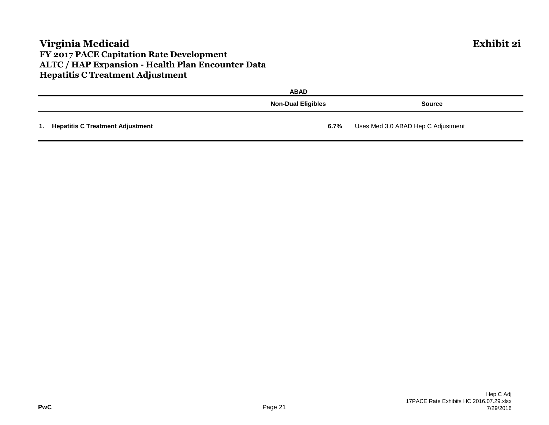## **Virginia Medicaid Exhibit 2i FY 2017 PACE Capitation Rate Development ALTC / HAP Expansion - Health Plan Encounter Data Hepatitis C Treatment Adjustment**

|                                     | <b>ABAD</b>               |                                    |
|-------------------------------------|---------------------------|------------------------------------|
|                                     | <b>Non-Dual Eligibles</b> | <b>Source</b>                      |
| 1. Hepatitis C Treatment Adjustment | $6.7\%$                   | Uses Med 3.0 ABAD Hep C Adjustment |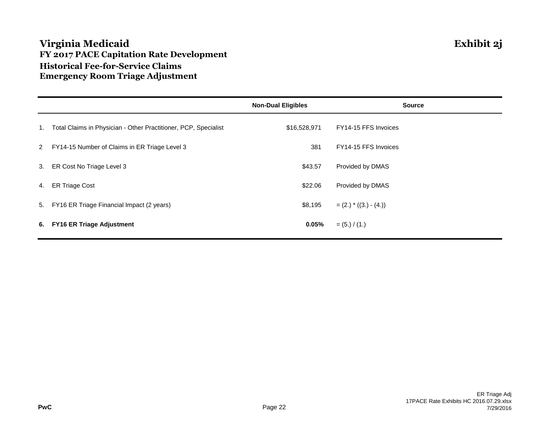## **Virginia Medicaid Exhibit 2j FY 2017 PACE Capitation Rate Development Historical Fee-for-Service Claims Emergency Room Triage Adjustment**

|                                                                    | <b>Non-Dual Eligibles</b> | <b>Source</b>           |
|--------------------------------------------------------------------|---------------------------|-------------------------|
| 1. Total Claims in Physician - Other Practitioner, PCP, Specialist | \$16,528,971              | FY14-15 FFS Invoices    |
| 2 FY14-15 Number of Claims in ER Triage Level 3                    | 381                       | FY14-15 FFS Invoices    |
| 3. ER Cost No Triage Level 3                                       | \$43.57                   | Provided by DMAS        |
| 4. ER Triage Cost                                                  | \$22.06                   | Provided by DMAS        |
| 5. FY16 ER Triage Financial Impact (2 years)                       | \$8,195                   | $= (2.) * ((3.) - (4.)$ |
| 6. FY16 ER Triage Adjustment                                       | 0.05%                     | $= (5.) / (1.)$         |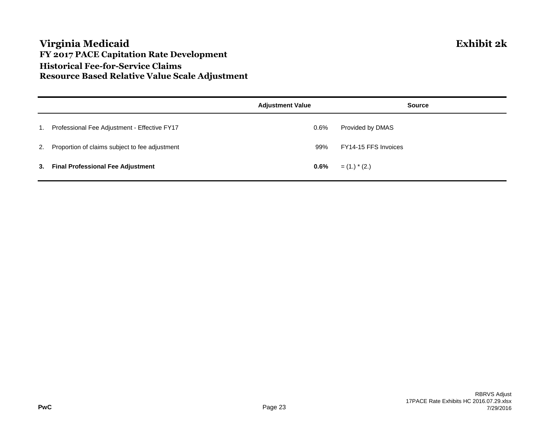## **Virginia Medicaid Exhibit 2k FY 2017 PACE Capitation Rate Development Historical Fee-for-Service Claims Resource Based Relative Value Scale Adjustment**

|    |                                                   | <b>Adjustment Value</b> | <b>Source</b>        |
|----|---------------------------------------------------|-------------------------|----------------------|
| 1. | Professional Fee Adjustment - Effective FY17      | 0.6%                    | Provided by DMAS     |
|    | 2. Proportion of claims subject to fee adjustment | 99%                     | FY14-15 FFS Invoices |
|    | 3. Final Professional Fee Adjustment              | $0.6\%$                 | $=$ (1.) $*$ (2.)    |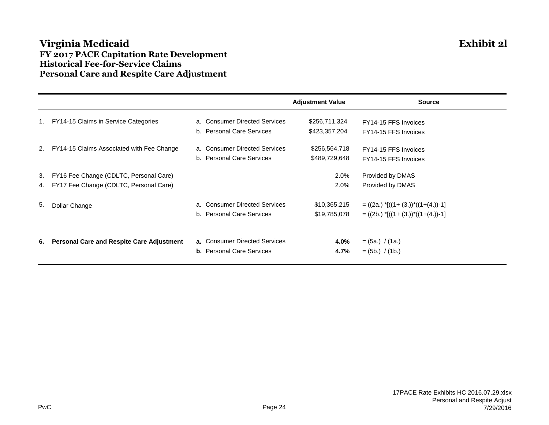## **Virginia Medicaid Exhibit 2l FY 2017 PACE Capitation Rate Development Historical Fee-for-Service Claims Personal Care and Respite Care Adjustment**

|    |                                                  |                                  | <b>Adjustment Value</b> | <b>Source</b>                                 |
|----|--------------------------------------------------|----------------------------------|-------------------------|-----------------------------------------------|
|    | FY14-15 Claims in Service Categories             | a. Consumer Directed Services    | \$256,711,324           | FY14-15 FFS Invoices                          |
|    |                                                  | b. Personal Care Services        | \$423,357,204           | FY14-15 FFS Invoices                          |
|    | 2. FY14-15 Claims Associated with Fee Change     | a. Consumer Directed Services    | \$256,564,718           | FY14-15 FFS Invoices                          |
|    |                                                  | b. Personal Care Services        | \$489,729,648           | FY14-15 FFS Invoices                          |
| 3. | FY16 Fee Change (CDLTC, Personal Care)           |                                  | 2.0%                    | Provided by DMAS                              |
| 4. | FY17 Fee Change (CDLTC, Personal Care)           |                                  | 2.0%                    | Provided by DMAS                              |
| 5. | Dollar Change                                    | a. Consumer Directed Services    | \$10,365,215            | $= ((2a.)$ $*[(1+(3.))*(1+(4.))-1]$           |
|    |                                                  | b. Personal Care Services        | \$19,785,078            | $= ((2b.)$ *[ $((1 + (3.))$ * $((1+(4.))$ -1] |
|    |                                                  |                                  |                         |                                               |
| 6. | <b>Personal Care and Respite Care Adjustment</b> | a. Consumer Directed Services    | 4.0%                    | $=$ (5a.) / (1a.)                             |
|    |                                                  | <b>b.</b> Personal Care Services | 4.7%                    | $=$ (5b.) / (1b.)                             |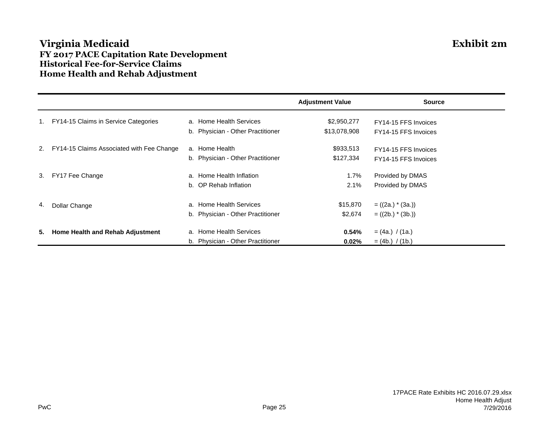## **Virginia Medicaid Exhibit 2m FY 2017 PACE Capitation Rate Development Historical Fee-for-Service Claims Home Health and Rehab Adjustment**

|    |                                           |                                   | <b>Adjustment Value</b> | <b>Source</b>        |
|----|-------------------------------------------|-----------------------------------|-------------------------|----------------------|
| 1. | FY14-15 Claims in Service Categories      | a. Home Health Services           | \$2,950,277             | FY14-15 FFS Invoices |
|    |                                           | b. Physician - Other Practitioner | \$13,078,908            | FY14-15 FFS Invoices |
| 2. | FY14-15 Claims Associated with Fee Change | a. Home Health                    | \$933,513               | FY14-15 FFS Invoices |
|    |                                           | b. Physician - Other Practitioner | \$127,334               | FY14-15 FFS Invoices |
| 3. | FY17 Fee Change                           | a. Home Health Inflation          | 1.7%                    | Provided by DMAS     |
|    |                                           | b. OP Rehab Inflation             | 2.1%                    | Provided by DMAS     |
| 4. | Dollar Change                             | a. Home Health Services           | \$15,870                | $= ((2a.) * (3a.))$  |
|    |                                           | b. Physician - Other Practitioner | \$2,674                 | $= ((2b.) * (3b.))$  |
| 5. | Home Health and Rehab Adjustment          | a. Home Health Services           | 0.54%                   | $= (4a.) / (1a.)$    |
|    |                                           | b. Physician - Other Practitioner | 0.02%                   | $= (4b.)$ /(1b.)     |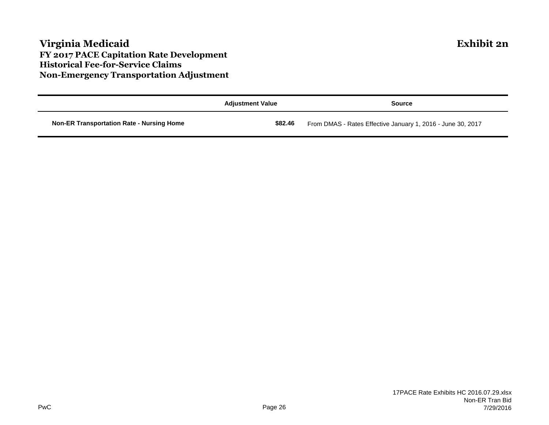## **Virginia Medicaid Exhibit 2n FY 2017 PACE Capitation Rate Development Historical Fee-for-Service Claims Non-Emergency Transportation Adjustment**

|                                                  | <b>Adjustment Value</b> | Source                                                      |
|--------------------------------------------------|-------------------------|-------------------------------------------------------------|
| <b>Non-ER Transportation Rate - Nursing Home</b> | \$82.46                 | From DMAS - Rates Effective January 1, 2016 - June 30, 2017 |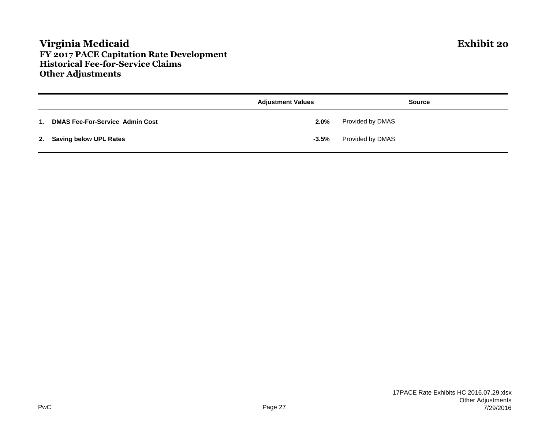## **Virginia Medicaid Exhibit 2o FY 2017 PACE Capitation Rate Development Historical Fee-for-Service Claims Other Adjustments**

|                |                                        | <b>Adjustment Values</b> | <b>Source</b>    |
|----------------|----------------------------------------|--------------------------|------------------|
| $\mathbf{1}$ . | <b>DMAS Fee-For-Service Admin Cost</b> | $2.0\%$                  | Provided by DMAS |
|                | 2. Saving below UPL Rates              | $-3.5%$                  | Provided by DMAS |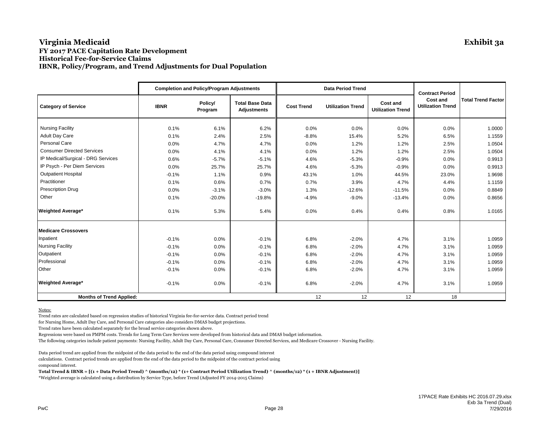#### **Virginia Medicaid Exhibit 3a FY 2017 PACE Capitation Rate Development Historical Fee-for-Service Claims IBNR, Policy/Program, and Trend Adjustments for Dual Population**

|                                    |             | <b>Completion and Policy/Program Adjustments</b> |                                              |                   | <b>Data Period Trend</b> |                                      | <b>Contract Period</b>                      |                           |  |
|------------------------------------|-------------|--------------------------------------------------|----------------------------------------------|-------------------|--------------------------|--------------------------------------|---------------------------------------------|---------------------------|--|
| <b>Category of Service</b>         | <b>IBNR</b> | Policy/<br>Program                               | <b>Total Base Data</b><br><b>Adjustments</b> | <b>Cost Trend</b> | <b>Utilization Trend</b> | Cost and<br><b>Utilization Trend</b> | <b>Cost and</b><br><b>Utilization Trend</b> | <b>Total Trend Factor</b> |  |
| <b>Nursing Facility</b>            | 0.1%        | 6.1%                                             | 6.2%                                         | 0.0%              | 0.0%                     | 0.0%                                 | 0.0%                                        | 1.0000                    |  |
| <b>Adult Day Care</b>              | 0.1%        | 2.4%                                             | 2.5%                                         | $-8.8%$           | 15.4%                    | 5.2%                                 | 6.5%                                        | 1.1559                    |  |
| Personal Care                      | 0.0%        | 4.7%                                             | 4.7%                                         | 0.0%              | 1.2%                     | 1.2%                                 | 2.5%                                        | 1.0504                    |  |
| <b>Consumer Directed Services</b>  | 0.0%        | 4.1%                                             | 4.1%                                         | 0.0%              | 1.2%                     | 1.2%                                 | 2.5%                                        | 1.0504                    |  |
| IP Medical/Surgical - DRG Services | 0.6%        | $-5.7%$                                          | $-5.1%$                                      | 4.6%              | $-5.3%$                  | $-0.9%$                              | 0.0%                                        | 0.9913                    |  |
| IP Psych - Per Diem Services       | 0.0%        | 25.7%                                            | 25.7%                                        | 4.6%              | $-5.3%$                  | $-0.9%$                              | 0.0%                                        | 0.9913                    |  |
| <b>Outpatient Hospital</b>         | $-0.1%$     | 1.1%                                             | 0.9%                                         | 43.1%             | 1.0%                     | 44.5%                                | 23.0%                                       | 1.9698                    |  |
| Practitioner                       | 0.1%        | 0.6%                                             | 0.7%                                         | 0.7%              | 3.9%                     | 4.7%                                 | 4.4%                                        | 1.1159                    |  |
| <b>Prescription Drug</b>           | 0.0%        | $-3.1%$                                          | $-3.0%$                                      | 1.3%              | $-12.6%$                 | $-11.5%$                             | 0.0%                                        | 0.8849                    |  |
| Other                              | 0.1%        | $-20.0%$                                         | $-19.8%$                                     | $-4.9%$           | $-9.0%$                  | $-13.4%$                             | 0.0%                                        | 0.8656                    |  |
| <b>Weighted Average*</b>           | 0.1%        | 5.3%                                             | 5.4%                                         | 0.0%              | 0.4%                     | 0.4%                                 | 0.8%                                        | 1.0165                    |  |
| <b>Medicare Crossovers</b>         |             |                                                  |                                              |                   |                          |                                      |                                             |                           |  |
| Inpatient                          | $-0.1%$     | 0.0%                                             | $-0.1%$                                      | 6.8%              | $-2.0%$                  | 4.7%                                 | 3.1%                                        | 1.0959                    |  |
| <b>Nursing Facility</b>            | $-0.1%$     | 0.0%                                             | $-0.1%$                                      | 6.8%              | $-2.0%$                  | 4.7%                                 | 3.1%                                        | 1.0959                    |  |
| Outpatient                         | $-0.1%$     | 0.0%                                             | $-0.1%$                                      | 6.8%              | $-2.0%$                  | 4.7%                                 | 3.1%                                        | 1.0959                    |  |
| Professional                       | $-0.1%$     | 0.0%                                             | $-0.1%$                                      | 6.8%              | $-2.0%$                  | 4.7%                                 | 3.1%                                        | 1.0959                    |  |
| Other                              | $-0.1%$     | 0.0%                                             | $-0.1%$                                      | 6.8%              | $-2.0%$                  | 4.7%                                 | 3.1%                                        | 1.0959                    |  |
| <b>Weighted Average*</b>           | $-0.1%$     | 0.0%                                             | $-0.1%$                                      | 6.8%              | $-2.0%$                  | 4.7%                                 | 3.1%                                        | 1.0959                    |  |
| <b>Months of Trend Applied:</b>    |             |                                                  |                                              | 12                | 12                       | 12                                   | 18                                          |                           |  |

Notes:

Trend rates are calculated based on regression studies of historical Virginia fee-for-service data. Contract period trend

for Nursing Home, Adult Day Care, and Personal Care categories also considers DMAS budget projections.

Trend rates have been calculated separately for the broad service categories shown above.

Regressions were based on PMPM costs. Trends for Long Term Care Services were developed from historical data and DMAS budget information.

The following categories include patient payments: Nursing Facility, Adult Day Care, Personal Care, Consumer Directed Services, and Medicare Crossover - Nursing Facility.

Data period trend are applied from the midpoint of the data period to the end of the data period using compound interest

calculations. Contract period trends are applied from the end of the data period to the midpoint of the contract period using compound interest.

**Total Trend & IBNR = [(1 + Data Period Trend) ^ (months/12) \* (1+ Contract Period Utilization Trend) ^ (months/12) \* (1 + IBNR Adjustment)]** \*Weighted average is calculated using a distribution by Service Type, before Trend (Adjusted FY 2014-2015 Claims)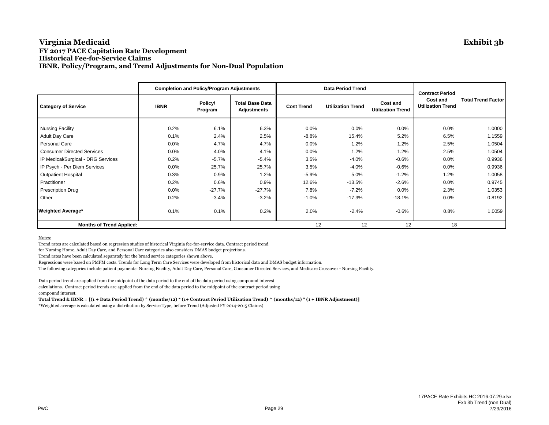#### **Virginia Medicaid Exhibit 3b FY 2017 PACE Capitation Rate Development Historical Fee-for-Service Claims IBNR, Policy/Program, and Trend Adjustments for Non-Dual Population**

|                                    |             | <b>Completion and Policy/Program Adjustments</b> |                                              |                                               | <b>Data Period Trend</b> | <b>Contract Period</b>               |                                             |                           |
|------------------------------------|-------------|--------------------------------------------------|----------------------------------------------|-----------------------------------------------|--------------------------|--------------------------------------|---------------------------------------------|---------------------------|
| <b>Category of Service</b>         | <b>IBNR</b> | Policy/<br>Program                               | <b>Total Base Data</b><br><b>Adjustments</b> | <b>Utilization Trend</b><br><b>Cost Trend</b> |                          | Cost and<br><b>Utilization Trend</b> | <b>Cost and</b><br><b>Utilization Trend</b> | <b>Total Trend Factor</b> |
| <b>Nursing Facility</b>            | 0.2%        | 6.1%                                             | 6.3%                                         | 0.0%                                          | 0.0%                     | 0.0%                                 | 0.0%                                        | 1.0000                    |
| <b>Adult Day Care</b>              | 0.1%        | 2.4%                                             | 2.5%                                         | $-8.8%$                                       | 15.4%                    | 5.2%                                 | 6.5%                                        | 1.1559                    |
| Personal Care                      | 0.0%        | 4.7%                                             | 4.7%                                         | 0.0%                                          | 1.2%                     | 1.2%                                 | 2.5%                                        | 1.0504                    |
| <b>Consumer Directed Services</b>  | 0.0%        | 4.0%                                             | 4.1%                                         | 0.0%                                          | 1.2%                     | 1.2%                                 | 2.5%                                        | 1.0504                    |
| IP Medical/Surgical - DRG Services | 0.2%        | $-5.7%$                                          | $-5.4%$                                      | 3.5%                                          | $-4.0%$                  | $-0.6%$                              | 0.0%                                        | 0.9936                    |
| IP Psych - Per Diem Services       | 0.0%        | 25.7%                                            | 25.7%                                        | 3.5%                                          | $-4.0%$                  | $-0.6%$                              | 0.0%                                        | 0.9936                    |
| <b>Outpatient Hospital</b>         | 0.3%        | 0.9%                                             | 1.2%                                         | $-5.9%$                                       | 5.0%                     | $-1.2%$                              | 1.2%                                        | 1.0058                    |
| Practitioner                       | 0.2%        | 0.6%                                             | 0.9%                                         | 12.6%                                         | $-13.5%$                 | $-2.6%$                              | 0.0%                                        | 0.9745                    |
| <b>Prescription Drug</b>           | 0.0%        | $-27.7\%$                                        | $-27.7%$                                     | 7.8%                                          | $-7.2%$                  | 0.0%                                 | 2.3%                                        | 1.0353                    |
| Other                              | 0.2%        | $-3.4%$                                          | $-3.2%$                                      | $-1.0%$                                       | $-17.3%$                 | $-18.1%$                             | 0.0%                                        | 0.8192                    |
| <b>Weighted Average*</b>           | 0.1%        | 0.1%                                             | 0.2%                                         | 2.0%                                          | $-2.4%$                  | $-0.6%$                              | 0.8%                                        | 1.0059                    |
| <b>Months of Trend Applied:</b>    |             |                                                  |                                              | 12                                            | 12                       | 12                                   | 18                                          |                           |

Notes:

Trend rates are calculated based on regression studies of historical Virginia fee-for-service data. Contract period trend

for Nursing Home, Adult Day Care, and Personal Care categories also considers DMAS budget projections.

Trend rates have been calculated separately for the broad service categories shown above.

Regressions were based on PMPM costs. Trends for Long Term Care Services were developed from historical data and DMAS budget information.

The following categories include patient payments: Nursing Facility, Adult Day Care, Personal Care, Consumer Directed Services, and Medicare Crossover - Nursing Facility.

Data period trend are applied from the midpoint of the data period to the end of the data period using compound interest calculations. Contract period trends are applied from the end of the data period to the midpoint of the contract period using compound interest.

**Total Trend & IBNR = [(1 + Data Period Trend) ^ (months/12) \* (1+ Contract Period Utilization Trend) ^ (months/12) \* (1 + IBNR Adjustment)]** \*Weighted average is calculated using a distribution by Service Type, before Trend (Adjusted FY 2014-2015 Claims)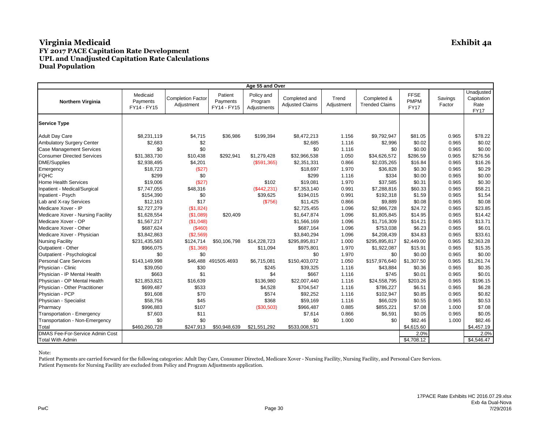|                                        |                                     |                                        |                                    | Age 55 and Over                      |                                         |                     |                                      |                                           |                   |                                                 |
|----------------------------------------|-------------------------------------|----------------------------------------|------------------------------------|--------------------------------------|-----------------------------------------|---------------------|--------------------------------------|-------------------------------------------|-------------------|-------------------------------------------------|
| <b>Northern Virginia</b>               | Medicaid<br>Payments<br>FY14 - FY15 | <b>Completion Factor</b><br>Adjustment | Patient<br>Payments<br>FY14 - FY15 | Policy and<br>Program<br>Adjustments | Completed and<br><b>Adjusted Claims</b> | Trend<br>Adjustment | Completed &<br><b>Trended Claims</b> | <b>FFSE</b><br><b>PMPM</b><br><b>FY17</b> | Savings<br>Factor | Unadjusted<br>Capitation<br>Rate<br><b>FY17</b> |
| <b>Service Type</b>                    |                                     |                                        |                                    |                                      |                                         |                     |                                      |                                           |                   |                                                 |
| <b>Adult Day Care</b>                  | \$8,231,119                         | \$4,715                                | \$36,986                           | \$199,394                            | \$8,472,213                             | 1.156               | \$9,792,947                          | \$81.05                                   | 0.965             | \$78.22                                         |
| <b>Ambulatory Surgery Center</b>       | \$2,683                             | \$2                                    |                                    |                                      | \$2,685                                 | 1.116               | \$2,996                              | \$0.02                                    | 0.965             | \$0.02                                          |
| <b>Case Management Services</b>        | \$0                                 | \$0                                    |                                    |                                      | \$0                                     | 1.116               | \$0                                  | \$0.00                                    | 0.965             | \$0.00                                          |
| <b>Consumer Directed Services</b>      | \$31,383,730                        | \$10,438                               | \$292,941                          | \$1,279,428                          | \$32,966,538                            | 1.050               | \$34.626.572                         | \$286.59                                  | 0.965             | \$276.56                                        |
| DME/Supplies                           | \$2,938,495                         | \$4,201                                |                                    | (\$591,365)                          | \$2,351,331                             | 0.866               | \$2,035,265                          | \$16.84                                   | 0.965             | \$16.26                                         |
| Emergency                              | \$18,723                            | (\$27)                                 |                                    |                                      | \$18,697                                | 1.970               | \$36,828                             | \$0.30                                    | 0.965             | \$0.29                                          |
| <b>FQHC</b>                            | \$299                               | \$0                                    |                                    |                                      | \$299                                   | 1.116               | \$334                                | \$0.00                                    | 0.965             | \$0.00                                          |
| <b>Home Health Services</b>            | \$19,006                            | (S27)                                  |                                    | \$102                                | \$19,081                                | 1.970               | \$37,585                             | \$0.31                                    | 0.965             | \$0.30                                          |
| Inpatient - Medical/Surgical           | \$7,747,055                         | \$48,316                               |                                    | (\$442,231)                          | \$7,353,140                             | 0.991               | \$7,288,816                          | \$60.33                                   | 0.965             | \$58.21                                         |
| Inpatient - Psych                      | \$154,390                           | \$0                                    |                                    | \$39,625                             | \$194,015                               | 0.991               | \$192,318                            | \$1.59                                    | 0.965             | \$1.54                                          |
| Lab and X-ray Services                 | \$12,163                            | \$17                                   |                                    | (\$756)                              | \$11,425                                | 0.866               | \$9,889                              | \$0.08                                    | 0.965             | \$0.08                                          |
| Medicare Xover - IP                    | \$2,727,279                         | (\$1,824)                              |                                    |                                      | \$2,725,455                             | 1.096               | \$2,986,728                          | \$24.72                                   | 0.965             | \$23.85                                         |
| Medicare Xover - Nursing Facility      | \$1,628,554                         | (\$1,089)                              | \$20,409                           |                                      | \$1,647,874                             | 1.096               | \$1,805,845                          | \$14.95                                   | 0.965             | \$14.42                                         |
| Medicare Xover - OP                    | \$1,567,217                         | (\$1,048)                              |                                    |                                      | \$1,566,169                             | 1.096               | \$1,716,309                          | \$14.21                                   | 0.965             | \$13.71                                         |
| Medicare Xover - Other                 | \$687,624                           | (\$460)                                |                                    |                                      | \$687,164                               | 1.096               | \$753,038                            | \$6.23                                    | 0.965             | \$6.01                                          |
| Medicare Xover - Physician             | \$3,842,863                         | (\$2,569)                              |                                    |                                      | \$3,840,294                             | 1.096               | \$4,208,439                          | \$34.83                                   | 0.965             | \$33.61                                         |
| <b>Nursing Facility</b>                | \$231,435,583                       | \$124,714                              | \$50,106,798                       | \$14,228,723                         | \$295,895,817                           | 1.000               | \$295,895,817                        | \$2,449.00                                | 0.965             | \$2,363.28                                      |
| Outpatient - Other                     | \$966,075                           | (\$1,368)                              |                                    | \$11,094                             | \$975,801                               | 1.970               | \$1,922,087                          | \$15.91                                   | 0.965             | \$15.35                                         |
| Outpatient - Psychological             | \$0                                 | \$0                                    |                                    |                                      | \$0                                     | 1.970               | \$0                                  | \$0.00                                    | 0.965             | \$0.00                                          |
| <b>Personal Care Services</b>          | \$143,149,998                       | \$46,488                               | 491505.4693                        | \$6,715,081                          | \$150,403,072                           | 1.050               | \$157,976,640                        | \$1.307.50                                | 0.965             | \$1,261.74                                      |
| Physician - Clinic                     | \$39,050                            | \$30                                   |                                    | \$245                                | \$39,325                                | 1.116               | \$43,884                             | \$0.36                                    | 0.965             | \$0.35                                          |
| Physician - IP Mental Health           | \$663                               | \$1                                    |                                    | \$4                                  | \$667                                   | 1.116               | \$745                                | \$0.01                                    | 0.965             | \$0.01                                          |
| Physician - OP Mental Health           | \$21,853,821                        | \$16,639                               |                                    | \$136,980                            | \$22,007,440                            | 1.116               | \$24,558,795                         | \$203.26                                  | 0.965             | \$196.15                                        |
| Physician - Other Practitioner         | \$699,487                           | \$533                                  |                                    | \$4,528                              | \$704,547                               | 1.116               | \$786,227                            | \$6.51                                    | 0.965             | \$6.28                                          |
| Physician - PCP                        | \$91,608                            | \$70                                   |                                    | \$574                                | \$92,252                                | 1.116               | \$102,947                            | \$0.85                                    | 0.965             | \$0.82                                          |
| Physician - Specialist                 | \$58,756                            | \$45                                   |                                    | \$368                                | \$59,169                                | 1.116               | \$66,029                             | \$0.55                                    | 0.965             | \$0.53                                          |
| Pharmacy                               | \$996,883                           | \$107                                  |                                    | (\$30,503)                           | \$966,487                               | 0.885               | \$855,221                            | \$7.08                                    | 1.000             | \$7.08                                          |
| Transportation - Emergency             | \$7,603                             | \$11                                   |                                    |                                      | \$7,614                                 | 0.866               | \$6,591                              | \$0.05                                    | 0.965             | \$0.05                                          |
| Transportation - Non-Emergency         | \$0                                 | \$0                                    |                                    |                                      | \$0                                     | 1.000               | \$0                                  | \$82.46                                   | 1.000             | \$82.46                                         |
| Total                                  | \$460,260,728                       | \$247,913                              | \$50.948.639                       | \$21.551.292                         | \$533,008,571                           |                     |                                      | \$4,615.60                                |                   | \$4,457.19                                      |
| <b>DMAS Fee-For-Service Admin Cost</b> |                                     |                                        |                                    |                                      |                                         |                     |                                      | 2.0%                                      |                   | 2.0%                                            |
| <b>Total With Admin</b>                |                                     |                                        |                                    |                                      |                                         |                     |                                      | \$4,708.12                                |                   | \$4,546.47                                      |

Note: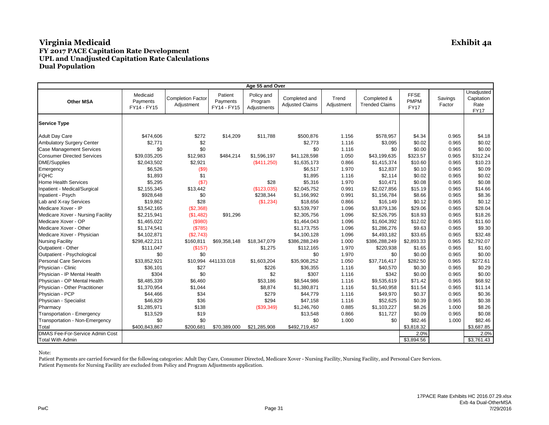|                                        |                                     |                                        |                                    | Age 55 and Over                      |                                         |                     |                                      |                                           |                   |                                                 |
|----------------------------------------|-------------------------------------|----------------------------------------|------------------------------------|--------------------------------------|-----------------------------------------|---------------------|--------------------------------------|-------------------------------------------|-------------------|-------------------------------------------------|
| <b>Other MSA</b>                       | Medicaid<br>Payments<br>FY14 - FY15 | <b>Completion Factor</b><br>Adjustment | Patient<br>Payments<br>FY14 - FY15 | Policy and<br>Program<br>Adjustments | Completed and<br><b>Adjusted Claims</b> | Trend<br>Adjustment | Completed &<br><b>Trended Claims</b> | <b>FFSE</b><br><b>PMPM</b><br><b>FY17</b> | Savings<br>Factor | Unadjusted<br>Capitation<br>Rate<br><b>FY17</b> |
| <b>Service Type</b>                    |                                     |                                        |                                    |                                      |                                         |                     |                                      |                                           |                   |                                                 |
| <b>Adult Day Care</b>                  | \$474,606                           | \$272                                  | \$14,209                           | \$11,788                             | \$500,876                               | 1.156               | \$578,957                            | \$4.34                                    | 0.965             | \$4.18                                          |
| <b>Ambulatory Surgery Center</b>       | \$2,771                             | \$2                                    |                                    |                                      | \$2,773                                 | 1.116               | \$3,095                              | \$0.02                                    | 0.965             | \$0.02                                          |
| <b>Case Management Services</b>        | \$0                                 | \$0                                    |                                    |                                      | \$0                                     | 1.116               | \$0                                  | \$0.00                                    | 0.965             | \$0.00                                          |
| <b>Consumer Directed Services</b>      | \$39,035,205                        | \$12,983                               | \$484,214                          | \$1,596,197                          | \$41,128,598                            | 1.050               | \$43.199.635                         | \$323.57                                  | 0.965             | \$312.24                                        |
| DME/Supplies                           | \$2,043,502                         | \$2,921                                |                                    | (\$411,250)                          | \$1,635,173                             | 0.866               | \$1,415,374                          | \$10.60                                   | 0.965             | \$10.23                                         |
| Emergency                              | \$6,526                             | (\$9)                                  |                                    |                                      | \$6,517                                 | 1.970               | \$12,837                             | \$0.10                                    | 0.965             | \$0.09                                          |
| <b>FQHC</b>                            | \$1,893                             | \$1                                    |                                    |                                      | \$1,895                                 | 1.116               | \$2,114                              | \$0.02                                    | 0.965             | \$0.02                                          |
| <b>Home Health Services</b>            | \$5,295                             | (S7)                                   |                                    | \$28                                 | \$5,316                                 | 1.970               | \$10,471                             | \$0.08                                    | 0.965             | \$0.08                                          |
| Inpatient - Medical/Surgical           | \$2,155,345                         | \$13,442                               |                                    | (\$123,035)                          | \$2,045,752                             | 0.991               | \$2,027,856                          | \$15.19                                   | 0.965             | \$14.66                                         |
| Inpatient - Psych                      | \$928,648                           | \$0                                    |                                    | \$238,344                            | \$1,166,992                             | 0.991               | \$1,156,784                          | \$8.66                                    | 0.965             | \$8.36                                          |
| Lab and X-ray Services                 | \$19,862                            | \$28                                   |                                    | (\$1,234)                            | \$18,656                                | 0.866               | \$16,149                             | \$0.12                                    | 0.965             | \$0.12                                          |
| Medicare Xover - IP                    | \$3,542,165                         | (\$2,368)                              |                                    |                                      | \$3,539,797                             | 1.096               | \$3,879,136                          | \$29.06                                   | 0.965             | \$28.04                                         |
| Medicare Xover - Nursing Facility      | \$2,215,941                         | (\$1,482)                              | \$91,296                           |                                      | \$2,305,756                             | 1.096               | \$2,526,795                          | \$18.93                                   | 0.965             | \$18.26                                         |
| Medicare Xover - OP                    | \$1,465,022                         | (\$980)                                |                                    |                                      | \$1,464,043                             | 1.096               | \$1,604,392                          | \$12.02                                   | 0.965             | \$11.60                                         |
| Medicare Xover - Other                 | \$1,174,541                         | (S785)                                 |                                    |                                      | \$1,173,755                             | 1.096               | \$1,286,276                          | \$9.63                                    | 0.965             | \$9.30                                          |
| Medicare Xover - Physician             | \$4,102,871                         | (\$2,743)                              |                                    |                                      | \$4,100,128                             | 1.096               | \$4,493,182                          | \$33.65                                   | 0.965             | \$32.48                                         |
| <b>Nursing Facility</b>                | \$298,422,211                       | \$160,811                              | \$69,358,148                       | \$18,347,079                         | \$386,288,249                           | 1.000               | \$386,288,249                        | \$2,893.33                                | 0.965             | \$2,792.07                                      |
| Outpatient - Other                     | \$111,047                           | (\$157)                                |                                    | \$1,275                              | \$112,165                               | 1.970               | \$220,938                            | \$1.65                                    | 0.965             | \$1.60                                          |
| Outpatient - Psychological             | \$0                                 | \$0                                    |                                    |                                      | \$0                                     | 1.970               | \$0                                  | \$0.00                                    | 0.965             | \$0.00                                          |
| <b>Personal Care Services</b>          | \$33,852,921                        |                                        | \$10.994 441133.018                | \$1,603,204                          | \$35,908,252                            | 1.050               | \$37,716,417                         | \$282.50                                  | 0.965             | \$272.61                                        |
| Physician - Clinic                     | \$36,101                            | \$27                                   |                                    | \$226                                | \$36,355                                | 1.116               | \$40,570                             | \$0.30                                    | 0.965             | \$0.29                                          |
| Physician - IP Mental Health           | \$304                               | \$0                                    |                                    | \$2                                  | \$307                                   | 1.116               | \$342                                | \$0.00                                    | 0.965             | \$0.00                                          |
| Physician - OP Mental Health           | \$8,485,339                         | \$6,460                                |                                    | \$53,186                             | \$8,544,986                             | 1.116               | \$9,535,619                          | \$71.42                                   | 0.965             | \$68.92                                         |
| Physician - Other Practitioner         | \$1,370,954                         | \$1,044                                |                                    | \$8,874                              | \$1,380,871                             | 1.116               | \$1,540,958                          | \$11.54                                   | 0.965             | \$11.14                                         |
| Physician - PCP                        | \$44,466                            | \$34                                   |                                    | \$279                                | \$44,779                                | 1.116               | \$49,970                             | \$0.37                                    | 0.965             | \$0.36                                          |
| Physician - Specialist                 | \$46,829                            | \$36                                   |                                    | \$294                                | \$47,158                                | 1.116               | \$52,625                             | \$0.39                                    | 0.965             | \$0.38                                          |
| Pharmacy                               | \$1,285,971                         | \$138                                  |                                    | (\$39,349)                           | \$1,246,760                             | 0.885               | \$1,103,227                          | \$8.26                                    | 1.000             | \$8.26                                          |
| Transportation - Emergency             | \$13,529                            | \$19                                   |                                    |                                      | \$13,548                                | 0.866               | \$11,727                             | \$0.09                                    | 0.965             | \$0.08                                          |
| Transportation - Non-Emergency         | \$0                                 | \$0                                    |                                    |                                      | \$0                                     | 1.000               | \$0                                  | \$82.46                                   | 1.000             | \$82.46                                         |
| Total                                  | \$400,843,867                       | \$200.681                              | \$70.389.000                       | \$21.285.908                         | \$492,719,457                           |                     |                                      | \$3,818.32                                |                   | \$3,687.85                                      |
| <b>DMAS Fee-For-Service Admin Cost</b> |                                     |                                        |                                    |                                      |                                         |                     |                                      | 2.0%                                      |                   | 2.0%                                            |
| <b>Total With Admin</b>                |                                     |                                        |                                    |                                      |                                         |                     |                                      | \$3,894.56                                |                   | \$3,761.43                                      |

Note: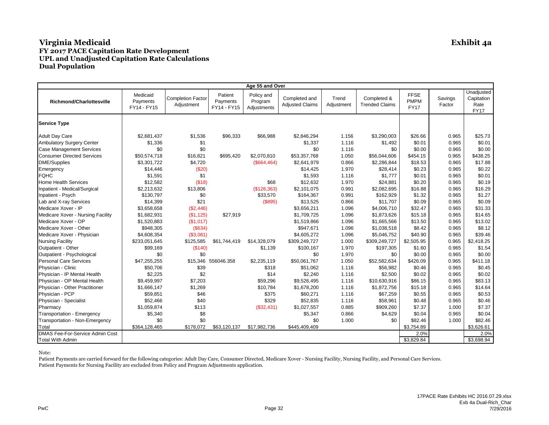|                                        |                                     |                                        |                                    | Age 55 and Over                      |                                         |                     |                                      |                                           |                   |                                                 |
|----------------------------------------|-------------------------------------|----------------------------------------|------------------------------------|--------------------------------------|-----------------------------------------|---------------------|--------------------------------------|-------------------------------------------|-------------------|-------------------------------------------------|
| <b>Richmond/Charlottesville</b>        | Medicaid<br>Payments<br>FY14 - FY15 | <b>Completion Factor</b><br>Adjustment | Patient<br>Payments<br>FY14 - FY15 | Policy and<br>Program<br>Adjustments | Completed and<br><b>Adjusted Claims</b> | Trend<br>Adjustment | Completed &<br><b>Trended Claims</b> | <b>FFSE</b><br><b>PMPM</b><br><b>FY17</b> | Savings<br>Factor | Unadjusted<br>Capitation<br>Rate<br><b>FY17</b> |
| <b>Service Type</b>                    |                                     |                                        |                                    |                                      |                                         |                     |                                      |                                           |                   |                                                 |
| <b>Adult Day Care</b>                  | \$2,681,437                         | \$1,536                                | \$96,333                           | \$66,988                             | \$2,846,294                             | 1.156               | \$3,290,003                          | \$26.66                                   | 0.965             | \$25.73                                         |
| Ambulatory Surgery Center              | \$1,336                             | \$1                                    |                                    |                                      | \$1,337                                 | 1.116               | \$1,492                              | \$0.01                                    | 0.965             | \$0.01                                          |
| <b>Case Management Services</b>        | \$0                                 | \$0                                    |                                    |                                      | \$0                                     | 1.116               | \$0                                  | \$0.00                                    | 0.965             | \$0.00                                          |
| <b>Consumer Directed Services</b>      | \$50,574,718                        | \$16,821                               | \$695,420                          | \$2,070,810                          | \$53,357,768                            | 1.050               | \$56,044,606                         | \$454.15                                  | 0.965             | \$438.25                                        |
| <b>DME/Supplies</b>                    | \$3.301.722                         | \$4,720                                |                                    | (\$664, 464)                         | \$2.641.979                             | 0.866               | \$2,286,844                          | \$18.53                                   | 0.965             | \$17.88                                         |
| Emergency                              | \$14,446                            | (\$20)                                 |                                    |                                      | \$14,425                                | 1.970               | \$28,414                             | \$0.23                                    | 0.965             | \$0.22                                          |
| <b>FQHC</b>                            | \$1,591                             | \$1                                    |                                    |                                      | \$1,593                                 | 1.116               | \$1,777                              | \$0.01                                    | 0.965             | \$0.01                                          |
| <b>Home Health Services</b>            | \$12,582                            | (\$18)                                 |                                    | \$68                                 | \$12,632                                | 1.970               | \$24,881                             | \$0.20                                    | 0.965             | \$0.19                                          |
| Inpatient - Medical/Surgical           | \$2,213,632                         | \$13,806                               |                                    | (\$126,363)                          | \$2,101,075                             | 0.991               | \$2,082,695                          | \$16.88                                   | 0.965             | \$16.29                                         |
| Inpatient - Psych                      | \$130,797                           | \$0                                    |                                    | \$33,570                             | \$164,367                               | 0.991               | \$162,929                            | \$1.32                                    | 0.965             | \$1.27                                          |
| Lab and X-ray Services                 | \$14,399                            | \$21                                   |                                    | (\$895)                              | \$13,525                                | 0.866               | \$11,707                             | \$0.09                                    | 0.965             | \$0.09                                          |
| Medicare Xover - IP                    | \$3,658,658                         | (\$2,446)                              |                                    |                                      | \$3,656,211                             | 1.096               | \$4,006,710                          | \$32.47                                   | 0.965             | \$31.33                                         |
| Medicare Xover - Nursing Facility      | \$1,682,931                         | (S1, 125)                              | \$27,919                           |                                      | \$1,709,725                             | 1.096               | \$1,873,626                          | \$15.18                                   | 0.965             | \$14.65                                         |
| Medicare Xover - OP                    | \$1,520,883                         | (\$1,017)                              |                                    |                                      | \$1,519,866                             | 1.096               | \$1,665,566                          | \$13.50                                   | 0.965             | \$13.02                                         |
| Medicare Xover - Other                 | \$948,305                           | (\$634)                                |                                    |                                      | \$947,671                               | 1.096               | \$1,038,518                          | \$8.42                                    | 0.965             | \$8.12                                          |
| Medicare Xover - Physician             | \$4,608,354                         | (S3,081)                               |                                    |                                      | \$4.605.272                             | 1.096               | \$5,046,752                          | \$40.90                                   | 0.965             | \$39.46                                         |
| <b>Nursing Facility</b>                | \$233,051,645                       | \$125,585                              | \$61,744,419                       | \$14,328,079                         | \$309,249,727                           | 1.000               | \$309,249,727                        | \$2,505.95                                | 0.965             | \$2,418.25                                      |
| Outpatient - Other                     | \$99,169                            | (\$140)                                |                                    | \$1,139                              | \$100,167                               | 1.970               | \$197,305                            | \$1.60                                    | 0.965             | \$1.54                                          |
| Outpatient - Psychological             | \$0                                 | \$0                                    |                                    |                                      | \$0                                     | 1.970               | \$0                                  | \$0.00                                    | 0.965             | \$0.00                                          |
| <b>Personal Care Services</b>          | \$47,255,255                        |                                        | \$15,346 556046.358                | \$2,235,119                          | \$50,061,767                            | 1.050               | \$52,582,634                         | \$426.09                                  | 0.965             | \$411.18                                        |
| Physician - Clinic                     | \$50,706                            | \$39                                   |                                    | \$318                                | \$51,062                                | 1.116               | \$56,982                             | \$0.46                                    | 0.965             | \$0.45                                          |
| Physician - IP Mental Health           | \$2,225                             | \$2                                    |                                    | \$14                                 | \$2,240                                 | 1.116               | \$2,500                              | \$0.02                                    | 0.965             | \$0.02                                          |
| Physician - OP Mental Health           | \$9,459,997                         | \$7,203                                |                                    | \$59,296                             | \$9,526,495                             | 1.116               | \$10,630,916                         | \$86.15                                   | 0.965             | \$83.13                                         |
| Physician - Other Practitioner         | \$1,666,147                         | \$1,269                                |                                    | \$10,784                             | \$1,678,200                             | 1.116               | \$1,872,756                          | \$15.18                                   | 0.965             | \$14.64                                         |
| Physician - PCP                        | \$59,851                            | \$46                                   |                                    | \$375                                | \$60,271                                | 1.116               | \$67,259                             | \$0.55                                    | 0.965             | \$0.53                                          |
| Physician - Specialist                 | \$52,466                            | \$40                                   |                                    | \$329                                | \$52,835                                | 1.116               | \$58,961                             | \$0.48                                    | 0.965             | \$0.46                                          |
| Pharmacy                               | \$1,059,874                         | \$113                                  |                                    | (\$32,431)                           | \$1,027,557                             | 0.885               | \$909,260                            | \$7.37                                    | 1.000             | \$7.37                                          |
| Transportation - Emergency             | \$5,340                             | \$8                                    |                                    |                                      | \$5,347                                 | 0.866               | \$4,629                              | \$0.04                                    | 0.965             | \$0.04                                          |
| Transportation - Non-Emergency         | \$0                                 | \$0                                    |                                    |                                      | \$0                                     | 1.000               | \$0                                  | \$82.46                                   | 1.000             | \$82.46                                         |
| Total                                  | \$364,128,465                       | \$178,072                              | \$63,120,137                       | \$17,982,736                         | \$445,409,409                           |                     |                                      | \$3,754.89                                |                   | \$3,626.61                                      |
| <b>DMAS Fee-For-Service Admin Cost</b> |                                     |                                        |                                    |                                      |                                         |                     |                                      | 2.0%                                      |                   | 2.0%                                            |
| <b>Total With Admin</b>                |                                     |                                        |                                    |                                      |                                         |                     |                                      | \$3,829.84                                |                   | \$3,698.94                                      |

Note: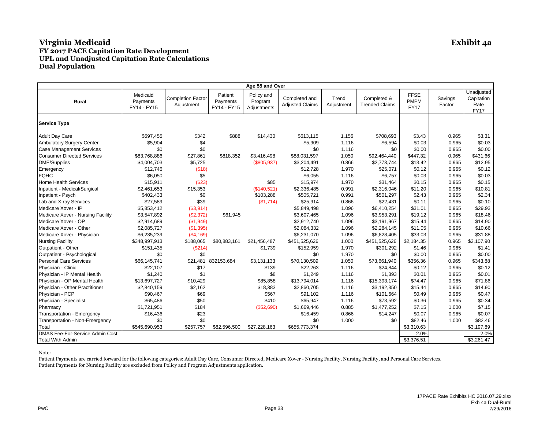| Age 55 and Over                   |                                     |                                        |                                    |                                      |                                         |                     |                                      |                                           |                   |                                                 |  |
|-----------------------------------|-------------------------------------|----------------------------------------|------------------------------------|--------------------------------------|-----------------------------------------|---------------------|--------------------------------------|-------------------------------------------|-------------------|-------------------------------------------------|--|
| <b>Rural</b>                      | Medicaid<br>Payments<br>FY14 - FY15 | <b>Completion Factor</b><br>Adjustment | Patient<br>Payments<br>FY14 - FY15 | Policy and<br>Program<br>Adjustments | Completed and<br><b>Adjusted Claims</b> | Trend<br>Adjustment | Completed &<br><b>Trended Claims</b> | <b>FFSE</b><br><b>PMPM</b><br><b>FY17</b> | Savings<br>Factor | Unadjusted<br>Capitation<br>Rate<br><b>FY17</b> |  |
| <b>Service Type</b>               |                                     |                                        |                                    |                                      |                                         |                     |                                      |                                           |                   |                                                 |  |
| <b>Adult Day Care</b>             | \$597,455                           | \$342                                  | \$888                              | \$14,430                             | \$613,115                               | 1.156               | \$708,693                            | \$3.43                                    | 0.965             | \$3.31                                          |  |
| <b>Ambulatory Surgery Center</b>  | \$5,904                             | \$4                                    |                                    |                                      | \$5,909                                 | 1.116               | \$6,594                              | \$0.03                                    | 0.965             | \$0.03                                          |  |
| <b>Case Management Services</b>   | \$0                                 | \$0                                    |                                    |                                      | \$0                                     | 1.116               | \$0                                  | \$0.00                                    | 0.965             | \$0.00                                          |  |
| <b>Consumer Directed Services</b> | \$83,768,886                        | \$27,861                               | \$818,352                          | \$3,416,498                          | \$88,031,597                            | 1.050               | \$92,464,440                         | \$447.32                                  | 0.965             | \$431.66                                        |  |
| <b>DME/Supplies</b>               | \$4,004,703                         | \$5,725                                |                                    | (\$805,937)                          | \$3,204,491                             | 0.866               | \$2,773,744                          | \$13.42                                   | 0.965             | \$12.95                                         |  |
| Emergency                         | \$12,746                            | (\$18)                                 |                                    |                                      | \$12,728                                | 1.970               | \$25,071                             | \$0.12                                    | 0.965             | \$0.12                                          |  |
| <b>FQHC</b>                       | \$6,050                             | \$5                                    |                                    |                                      | \$6,055                                 | 1.116               | \$6,757                              | \$0.03                                    | 0.965             | \$0.03                                          |  |
| <b>Home Health Services</b>       | \$15,911                            | (\$23)                                 |                                    | \$85                                 | \$15,974                                | 1.970               | \$31,464                             | \$0.15                                    | 0.965             | \$0.15                                          |  |
| Inpatient - Medical/Surgical      | \$2,461,653                         | \$15,353                               |                                    | (\$140,521)                          | \$2,336,485                             | 0.991               | \$2,316,046                          | \$11.20                                   | 0.965             | \$10.81                                         |  |
| Inpatient - Psych                 | \$402,433                           | \$0                                    |                                    | \$103,288                            | \$505,721                               | 0.991               | \$501,297                            | \$2.43                                    | 0.965             | \$2.34                                          |  |
| Lab and X-ray Services            | \$27,589                            | \$39                                   |                                    | (\$1,714)                            | \$25,914                                | 0.866               | \$22,431                             | \$0.11                                    | 0.965             | \$0.10                                          |  |
| Medicare Xover - IP               | \$5,853,412                         | (\$3,914)                              |                                    |                                      | \$5,849,498                             | 1.096               | \$6,410,254                          | \$31.01                                   | 0.965             | \$29.93                                         |  |
| Medicare Xover - Nursing Facility | \$3,547,892                         | (\$2,372)                              | \$61,945                           |                                      | \$3,607,465                             | 1.096               | \$3,953,291                          | \$19.12                                   | 0.965             | \$18.46                                         |  |
| Medicare Xover - OP               | \$2,914,689                         | (\$1,949)                              |                                    |                                      | \$2,912,740                             | 1.096               | \$3,191,967                          | \$15.44                                   | 0.965             | \$14.90                                         |  |
| Medicare Xover - Other            | \$2,085,727                         | (\$1,395)                              |                                    |                                      | \$2,084,332                             | 1.096               | \$2,284,145                          | \$11.05                                   | 0.965             | \$10.66                                         |  |
| Medicare Xover - Physician        | \$6,235,239                         | (\$4,169)                              |                                    |                                      | \$6,231,070                             | 1.096               | \$6,828,405                          | \$33.03                                   | 0.965             | \$31.88                                         |  |
| <b>Nursing Facility</b>           | \$348,997,913                       | \$188,065                              | \$80,883,161                       | \$21,456,487                         | \$451,525,626                           | 1.000               | \$451,525,626                        | \$2,184.35                                | 0.965             | \$2,107.90                                      |  |
| Outpatient - Other                | \$151,435                           | (S214)                                 |                                    | \$1,739                              | \$152,959                               | 1.970               | \$301,292                            | \$1.46                                    | 0.965             | \$1.41                                          |  |
| Outpatient - Psychological        | \$0                                 | \$0                                    |                                    |                                      | \$0                                     | 1.970               | \$0                                  | \$0.00                                    | 0.965             | \$0.00                                          |  |
| <b>Personal Care Services</b>     | \$66,145,741                        |                                        | \$21.481 832153.684                | \$3,131,133                          | \$70,130,509                            | 1.050               | \$73,661,940                         | \$356.36                                  | 0.965             | \$343.88                                        |  |
| Physician - Clinic                | \$22,107                            | \$17                                   |                                    | \$139                                | \$22,263                                | 1.116               | \$24,844                             | \$0.12                                    | 0.965             | \$0.12                                          |  |
| Physician - IP Mental Health      | \$1,240                             | \$1                                    |                                    | \$8                                  | \$1,249                                 | 1.116               | \$1,393                              | \$0.01                                    | 0.965             | \$0.01                                          |  |
| Physician - OP Mental Health      | \$13,697,727                        | \$10,429                               |                                    | \$85,858                             | \$13,794,014                            | 1.116               | \$15,393,174                         | \$74.47                                   | 0.965             | \$71.86                                         |  |
| Physician - Other Practitioner    | \$2,840,159                         | \$2,162                                |                                    | \$18,383                             | \$2,860,705                             | 1.116               | \$3,192,350                          | \$15.44                                   | 0.965             | \$14.90                                         |  |
| Physician - PCP                   | \$90,467                            | \$69                                   |                                    | \$567                                | \$91,102                                | 1.116               | \$101,664                            | \$0.49                                    | 0.965             | \$0.47                                          |  |
| Physician - Specialist            | \$65,486                            | \$50                                   |                                    | \$410                                | \$65,947                                | 1.116               | \$73,592                             | \$0.36                                    | 0.965             | \$0.34                                          |  |
| Pharmacy                          | \$1,721,951                         | \$184                                  |                                    | (\$52,690)                           | \$1,669,446                             | 0.885               | \$1,477,252                          | \$7.15                                    | 1.000             | \$7.15                                          |  |
| Transportation - Emergency        | \$16,436                            | \$23                                   |                                    |                                      | \$16,459                                | 0.866               | \$14,247                             | \$0.07                                    | 0.965             | \$0.07                                          |  |
| Transportation - Non-Emergency    | \$0                                 | \$0                                    |                                    |                                      | \$0                                     | 1.000               | \$0                                  | \$82.46                                   | 1.000             | \$82.46                                         |  |
| Total                             | \$545,690,953                       | \$257,757                              | \$82,596,500                       | \$27,228,163                         | \$655,773,374                           |                     |                                      | \$3,310.63                                |                   | \$3,197.89                                      |  |
| DMAS Fee-For-Service Admin Cost   |                                     |                                        |                                    |                                      |                                         |                     |                                      | 2.0%                                      |                   | 2.0%                                            |  |
| <b>Total With Admin</b>           |                                     |                                        |                                    |                                      |                                         |                     |                                      | \$3,376.51                                |                   | \$3,261.47                                      |  |

#### Note: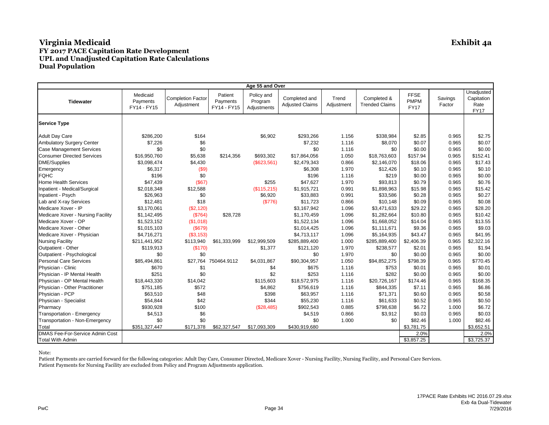| Age 55 and Over                   |                                     |                                        |                                    |                                      |                                         |                     |                                      |                                           |                   |                                                 |  |
|-----------------------------------|-------------------------------------|----------------------------------------|------------------------------------|--------------------------------------|-----------------------------------------|---------------------|--------------------------------------|-------------------------------------------|-------------------|-------------------------------------------------|--|
| <b>Tidewater</b>                  | Medicaid<br>Payments<br>FY14 - FY15 | <b>Completion Factor</b><br>Adjustment | Patient<br>Payments<br>FY14 - FY15 | Policy and<br>Program<br>Adjustments | Completed and<br><b>Adjusted Claims</b> | Trend<br>Adjustment | Completed &<br><b>Trended Claims</b> | <b>FFSE</b><br><b>PMPM</b><br><b>FY17</b> | Savings<br>Factor | Unadjusted<br>Capitation<br>Rate<br><b>FY17</b> |  |
| <b>Service Type</b>               |                                     |                                        |                                    |                                      |                                         |                     |                                      |                                           |                   |                                                 |  |
| <b>Adult Day Care</b>             | \$286,200                           | \$164                                  |                                    | \$6,902                              | \$293,266                               | 1.156               | \$338,984                            | \$2.85                                    | 0.965             | \$2.75                                          |  |
| Ambulatory Surgery Center         | \$7,226                             | \$6                                    |                                    |                                      | \$7,232                                 | 1.116               | \$8,070                              | \$0.07                                    | 0.965             | \$0.07                                          |  |
| <b>Case Management Services</b>   | \$0                                 | \$0                                    |                                    |                                      | \$0                                     | 1.116               | \$0                                  | \$0.00                                    | 0.965             | \$0.00                                          |  |
| <b>Consumer Directed Services</b> | \$16,950,760                        | \$5,638                                | \$214,356                          | \$693,302                            | \$17,864,056                            | 1.050               | \$18,763,603                         | \$157.94                                  | 0.965             | \$152.41                                        |  |
| <b>DME/Supplies</b>               | \$3,098,474                         | \$4,430                                |                                    | (\$623,561)                          | \$2,479,343                             | 0.866               | \$2,146,070                          | \$18.06                                   | 0.965             | \$17.43                                         |  |
| Emergency                         | \$6,317                             | (\$9)                                  |                                    |                                      | \$6,308                                 | 1.970               | \$12,426                             | \$0.10                                    | 0.965             | \$0.10                                          |  |
| <b>FQHC</b>                       | \$196                               | \$0                                    |                                    |                                      | \$196                                   | 1.116               | \$219                                | \$0.00                                    | 0.965             | \$0.00                                          |  |
| <b>Home Health Services</b>       | \$47,439                            | (\$67)                                 |                                    | \$255                                | \$47,627                                | 1.970               | \$93,813                             | \$0.79                                    | 0.965             | \$0.76                                          |  |
| Inpatient - Medical/Surgical      | \$2,018,348                         | \$12,588                               |                                    | (\$115,215)                          | \$1,915,721                             | 0.991               | \$1,898,963                          | \$15.98                                   | 0.965             | \$15.42                                         |  |
| Inpatient - Psych                 | \$26,963                            | \$0                                    |                                    | \$6,920                              | \$33,883                                | 0.991               | \$33,586                             | \$0.28                                    | 0.965             | \$0.27                                          |  |
| Lab and X-ray Services            | \$12,481                            | \$18                                   |                                    | (\$776)                              | \$11,723                                | 0.866               | \$10,148                             | \$0.09                                    | 0.965             | \$0.08                                          |  |
| Medicare Xover - IP               | \$3,170,061                         | (\$2,120)                              |                                    |                                      | \$3,167,942                             | 1.096               | \$3,471,633                          | \$29.22                                   | 0.965             | \$28.20                                         |  |
| Medicare Xover - Nursing Facility | \$1,142,495                         | (S764)                                 | \$28,728                           |                                      | \$1,170,459                             | 1.096               | \$1,282,664                          | \$10.80                                   | 0.965             | \$10.42                                         |  |
| Medicare Xover - OP               | \$1,523,152                         | (\$1,018)                              |                                    |                                      | \$1,522,134                             | 1.096               | \$1,668,052                          | \$14.04                                   | 0.965             | \$13.55                                         |  |
| Medicare Xover - Other            | \$1,015,103                         | (\$679)                                |                                    |                                      | \$1,014,425                             | 1.096               | \$1,111,671                          | \$9.36                                    | 0.965             | \$9.03                                          |  |
| Medicare Xover - Physician        | \$4,716,271                         | (S3, 153)                              |                                    |                                      | \$4,713,117                             | 1.096               | \$5,164,935                          | \$43.47                                   | 0.965             | \$41.95                                         |  |
| <b>Nursing Facility</b>           | \$211,441,952                       | \$113,940                              | \$61,333,999                       | \$12,999,509                         | \$285,889,400                           | 1.000               | \$285,889,400                        | \$2,406.39                                | 0.965             | \$2,322.16                                      |  |
| Outpatient - Other                | \$119,913                           | (\$170)                                |                                    | \$1,377                              | \$121,120                               | 1.970               | \$238,577                            | \$2.01                                    | 0.965             | \$1.94                                          |  |
| Outpatient - Psychological        | \$0                                 | \$0                                    |                                    |                                      | \$0                                     | 1.970               | \$0                                  | \$0.00                                    | 0.965             | \$0.00                                          |  |
| <b>Personal Care Services</b>     | \$85,494,861                        |                                        | \$27.764 750464.9112               | \$4,031,867                          | \$90,304,957                            | 1.050               | \$94,852,275                         | \$798.39                                  | 0.965             | \$770.45                                        |  |
| Physician - Clinic                | \$670                               | \$1                                    |                                    | \$4                                  | \$675                                   | 1.116               | \$753                                | \$0.01                                    | 0.965             | \$0.01                                          |  |
| Physician - IP Mental Health      | \$251                               | \$0                                    |                                    | \$2                                  | \$253                                   | 1.116               | \$282                                | \$0.00                                    | 0.965             | \$0.00                                          |  |
| Physician - OP Mental Health      | \$18,443,330                        | \$14,042                               |                                    | \$115,603                            | \$18,572,975                            | 1.116               | \$20,726,167                         | \$174.46                                  | 0.965             | \$168.35                                        |  |
| Physician - Other Practitioner    | \$751,185                           | \$572                                  |                                    | \$4,862                              | \$756,619                               | 1.116               | \$844,335                            | \$7.11                                    | 0.965             | \$6.86                                          |  |
| Physician - PCP                   | \$63,510                            | \$48                                   |                                    | \$398                                | \$63,957                                | 1.116               | \$71,371                             | \$0.60                                    | 0.965             | \$0.58                                          |  |
| Physician - Specialist            | \$54,844                            | \$42                                   |                                    | \$344                                | \$55,230                                | 1.116               | \$61,633                             | \$0.52                                    | 0.965             | \$0.50                                          |  |
| Pharmacy                          | \$930,928                           | \$100                                  |                                    | (\$28,485)                           | \$902,543                               | 0.885               | \$798,638                            | \$6.72                                    | 1.000             | \$6.72                                          |  |
| Transportation - Emergency        | \$4,513                             | \$6                                    |                                    |                                      | \$4,519                                 | 0.866               | \$3,912                              | \$0.03                                    | 0.965             | \$0.03                                          |  |
| Transportation - Non-Emergency    | \$0                                 | \$0                                    |                                    |                                      | \$0                                     | 1.000               | \$0                                  | \$82.46                                   | 1.000             | \$82.46                                         |  |
| Total                             | \$351,327,447                       | \$171,378                              | \$62,327,547                       | \$17,093,309                         | \$430,919,680                           |                     |                                      | \$3,781.75                                |                   | \$3,652.51                                      |  |
| DMAS Fee-For-Service Admin Cost   |                                     |                                        |                                    |                                      |                                         |                     |                                      | 2.0%                                      |                   | 2.0%                                            |  |
| <b>Total With Admin</b>           |                                     |                                        |                                    |                                      |                                         |                     |                                      | \$3,857.25                                |                   | \$3,725.37                                      |  |

Note: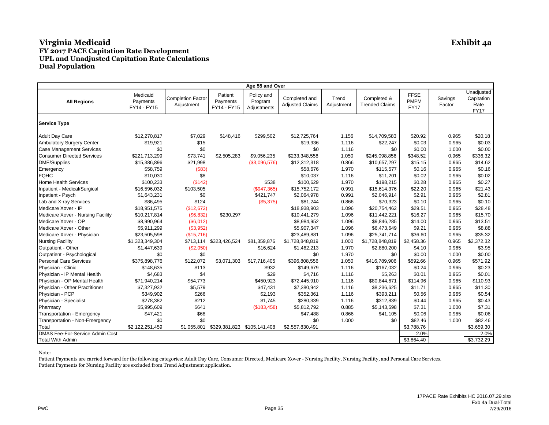| Age 55 and Over                        |                                     |                                        |                                    |                                      |                                         |                     |                                      |                                           |                   |                                                 |  |
|----------------------------------------|-------------------------------------|----------------------------------------|------------------------------------|--------------------------------------|-----------------------------------------|---------------------|--------------------------------------|-------------------------------------------|-------------------|-------------------------------------------------|--|
| <b>All Regions</b>                     | Medicaid<br>Payments<br>FY14 - FY15 | <b>Completion Factor</b><br>Adjustment | Patient<br>Payments<br>FY14 - FY15 | Policy and<br>Program<br>Adjustments | Completed and<br><b>Adjusted Claims</b> | Trend<br>Adjustment | Completed &<br><b>Trended Claims</b> | <b>FFSE</b><br><b>PMPM</b><br><b>FY17</b> | Savings<br>Factor | Unadjusted<br>Capitation<br>Rate<br><b>FY17</b> |  |
| <b>Service Type</b>                    |                                     |                                        |                                    |                                      |                                         |                     |                                      |                                           |                   |                                                 |  |
| <b>Adult Day Care</b>                  | \$12,270,817                        | \$7,029                                | \$148,416                          | \$299,502                            | \$12,725,764                            | 1.156               | \$14,709,583                         | \$20.92                                   | 0.965             | \$20.18                                         |  |
| <b>Ambulatory Surgery Center</b>       | \$19,921                            | \$15                                   |                                    |                                      | \$19,936                                | 1.116               | \$22,247                             | \$0.03                                    | 0.965             | \$0.03                                          |  |
| <b>Case Management Services</b>        | \$0                                 | \$0                                    |                                    |                                      | \$0                                     | 1.116               | \$0                                  | \$0.00                                    | 1.000             | \$0.00                                          |  |
| <b>Consumer Directed Services</b>      | \$221,713,299                       | \$73,741                               | \$2,505,283                        | \$9,056,235                          | \$233,348,558                           | 1.050               | \$245.098.856                        | \$348.52                                  | 0.965             | \$336.32                                        |  |
| <b>DME/Supplies</b>                    | \$15,386,896                        | \$21,998                               |                                    | (\$3,096,576)                        | \$12,312,318                            | 0.866               | \$10,657,297                         | \$15.15                                   | 0.965             | \$14.62                                         |  |
| Emergency                              | \$58,759                            | (\$83)                                 |                                    |                                      | \$58,676                                | 1.970               | \$115,577                            | \$0.16                                    | 0.965             | \$0.16                                          |  |
| <b>FOHC</b>                            | \$10,030                            | \$8                                    |                                    |                                      | \$10,037                                | 1.116               | \$11,201                             | \$0.02                                    | 0.965             | \$0.02                                          |  |
| <b>Home Health Services</b>            | \$100,233                           | (\$142)                                |                                    | \$538                                | \$100.629                               | 1.970               | \$198.215                            | \$0.28                                    | 0.965             | \$0.27                                          |  |
| Inpatient - Medical/Surgical           | \$16,596,032                        | \$103,505                              |                                    | (\$947,365)                          | \$15,752,172                            | 0.991               | \$15,614,376                         | \$22.20                                   | 0.965             | \$21.43                                         |  |
| Inpatient - Psych                      | \$1,643,231                         | \$0                                    |                                    | \$421,747                            | \$2,064,978                             | 0.991               | \$2,046,914                          | \$2.91                                    | 0.965             | \$2.81                                          |  |
| Lab and X-ray Services                 | \$86,495                            | \$124                                  |                                    | (\$5,375)                            | \$81,244                                | 0.866               | \$70,323                             | \$0.10                                    | 0.965             | \$0.10                                          |  |
| Medicare Xover - IP                    | \$18,951,575                        | (\$12,672)                             |                                    |                                      | \$18,938,903                            | 1.096               | \$20,754,462                         | \$29.51                                   | 0.965             | \$28.48                                         |  |
| Medicare Xover - Nursing Facility      | \$10,217,814                        | (\$6,832)                              | \$230,297                          |                                      | \$10,441,279                            | 1.096               | \$11,442,221                         | \$16.27                                   | 0.965             | \$15.70                                         |  |
| Medicare Xover - OP                    | \$8,990,964                         | (\$6,012)                              |                                    |                                      | \$8,984,952                             | 1.096               | \$9,846,285                          | \$14.00                                   | 0.965             | \$13.51                                         |  |
| Medicare Xover - Other                 | \$5,911,299                         | (\$3,952)                              |                                    |                                      | \$5,907,347                             | 1.096               | \$6,473,649                          | \$9.21                                    | 0.965             | \$8.88                                          |  |
| Medicare Xover - Physician             | \$23,505,598                        | (\$15,716)                             |                                    |                                      | \$23,489,881                            | 1.096               | \$25,741,714                         | \$36.60                                   | 0.965             | \$35.32                                         |  |
| <b>Nursing Facility</b>                | \$1,323,349,304                     | \$713,114                              | \$323,426,524                      | \$81,359,876                         | \$1,728,848,819                         | 1.000               | \$1,728,848,819                      | \$2,458.36                                | 0.965             | \$2,372.32                                      |  |
| Outpatient - Other                     | \$1,447,639                         | (\$2,050)                              |                                    | \$16,624                             | \$1,462,213                             | 1.970               | \$2,880,200                          | \$4.10                                    | 0.965             | \$3.95                                          |  |
| Outpatient - Psychological             | \$0                                 | \$0                                    |                                    |                                      | \$0                                     | 1.970               | \$0                                  | \$0.00                                    | 1.000             | \$0.00                                          |  |
| <b>Personal Care Services</b>          | \$375,898,776                       | \$122,072                              | \$3,071,303                        | \$17,716,405                         | \$396,808,556                           | 1.050               | \$416,789,906                        | \$592.66                                  | 0.965             | \$571.92                                        |  |
| Physician - Clinic                     | \$148,635                           | \$113                                  |                                    | \$932                                | \$149,679                               | 1.116               | \$167,032                            | \$0.24                                    | 0.965             | \$0.23                                          |  |
| Physician - IP Mental Health           | \$4,683                             | \$4                                    |                                    | \$29                                 | \$4,716                                 | 1.116               | \$5,263                              | \$0.01                                    | 0.965             | \$0.01                                          |  |
| Physician - OP Mental Health           | \$71,940,214                        | \$54,773                               |                                    | \$450,923                            | \$72,445,910                            | 1.116               | \$80,844,671                         | \$114.96                                  | 0.965             | \$110.93                                        |  |
| Physician - Other Practitioner         | \$7,327,932                         | \$5,579                                |                                    | \$47,431                             | \$7,380,942                             | 1.116               | \$8,236,625                          | \$11.71                                   | 0.965             | \$11.30                                         |  |
| Physician - PCP                        | \$349,902                           | \$266                                  |                                    | \$2,193                              | \$352,361                               | 1.116               | \$393,211                            | \$0.56                                    | 0.965             | \$0.54                                          |  |
| Physician - Specialist                 | \$278,382                           | \$212                                  |                                    | \$1,745                              | \$280,339                               | 1.116               | \$312,839                            | \$0.44                                    | 0.965             | \$0.43                                          |  |
| Pharmacy                               | \$5,995,609                         | \$641                                  |                                    | (\$183,458)                          | \$5,812,792                             | 0.885               | \$5,143,598                          | \$7.31                                    | 1.000             | \$7.31                                          |  |
| Transportation - Emergency             | \$47,421                            | \$68                                   |                                    |                                      | \$47,488                                | 0.866               | \$41,105                             | \$0.06                                    | 0.965             | \$0.06                                          |  |
| Transportation - Non-Emergency         | \$0                                 | \$0                                    |                                    |                                      | \$0                                     | 1.000               | \$0                                  | \$82.46                                   | 1.000             | \$82.46                                         |  |
| Total                                  | \$2,122,251,459                     | \$1,055,801                            | \$329,381,823                      | \$105,141,408                        | \$2,557,830,491                         |                     |                                      | \$3,788.76                                |                   | \$3,659.30                                      |  |
| <b>DMAS Fee-For-Service Admin Cost</b> |                                     |                                        |                                    |                                      |                                         |                     |                                      | 2.0%                                      |                   | 2.0%                                            |  |
| <b>Total With Admin</b>                |                                     |                                        |                                    |                                      |                                         |                     |                                      | \$3,864.40                                |                   | \$3,732.29                                      |  |

Note: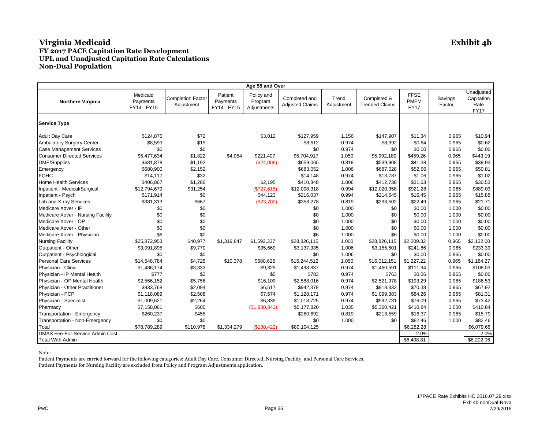| Age 55 and Over                   |                                     |                                        |                                    |                                      |                                         |                     |                                      |                                           |                   |                                                 |  |
|-----------------------------------|-------------------------------------|----------------------------------------|------------------------------------|--------------------------------------|-----------------------------------------|---------------------|--------------------------------------|-------------------------------------------|-------------------|-------------------------------------------------|--|
| Northern Virginia                 | Medicaid<br>Payments<br>FY14 - FY15 | <b>Completion Factor</b><br>Adjustment | Patient<br>Payments<br>FY14 - FY15 | Policy and<br>Program<br>Adjustments | Completed and<br><b>Adjusted Claims</b> | Trend<br>Adjustment | Completed &<br><b>Trended Claims</b> | <b>FFSE</b><br><b>PMPM</b><br><b>FY17</b> | Savings<br>Factor | Unadjusted<br>Capitation<br>Rate<br><b>FY17</b> |  |
| <b>Service Type</b>               |                                     |                                        |                                    |                                      |                                         |                     |                                      |                                           |                   |                                                 |  |
| <b>Adult Day Care</b>             | \$124,876                           | \$72                                   |                                    | \$3,012                              | \$127,959                               | 1.156               | \$147,907                            | \$11.34                                   | 0.965             | \$10.94                                         |  |
| <b>Ambulatory Surgery Center</b>  | \$8,593                             | \$19                                   |                                    |                                      | \$8,612                                 | 0.974               | \$8,392                              | \$0.64                                    | 0.965             | \$0.62                                          |  |
| <b>Case Management Services</b>   | \$0                                 | \$0                                    |                                    |                                      | \$0                                     | 0.974               | \$0                                  | \$0.00                                    | 0.965             | \$0.00                                          |  |
| <b>Consumer Directed Services</b> | \$5,477,634                         | \$1,822                                | \$4,054                            | \$221,407                            | \$5,704,917                             | 1.050               | \$5,992,189                          | \$459.26                                  | 0.965             | \$443.19                                        |  |
| <b>DME/Supplies</b>               | \$681,878                           | \$1,192                                |                                    | (\$24,006)                           | \$659,065                               | 0.819               | \$539,908                            | \$41.38                                   | 0.965             | \$39.93                                         |  |
| Emergency                         | \$680,900                           | \$2,152                                |                                    |                                      | \$683,052                               | 1.006               | \$687,028                            | \$52.66                                   | 0.965             | \$50.81                                         |  |
| <b>FQHC</b>                       | \$14,117                            | \$32                                   |                                    |                                      | \$14,148                                | 0.974               | \$13,787                             | \$1.06                                    | 0.965             | \$1.02                                          |  |
| <b>Home Health Services</b>       | \$406,867                           | \$1,286                                |                                    | \$2,195                              | \$410,348                               | 1.006               | \$412,738                            | \$31.63                                   | 0.965             | \$30.53                                         |  |
| Inpatient - Medical/Surgical      | \$12,794,679                        | \$31,254                               |                                    | (\$727,615)                          | \$12,098,318                            | 0.994               | \$12,020,358                         | \$921.28                                  | 0.965             | \$889.03                                        |  |
| Inpatient - Psych                 | \$171,914                           | \$0                                    |                                    | \$44,123                             | \$216,037                               | 0.994               | \$214,645                            | \$16.45                                   | 0.965             | \$15.88                                         |  |
| Lab and X-ray Services            | \$381,313                           | \$667                                  |                                    | (\$23,702)                           | \$358,278                               | 0.819               | \$293,502                            | \$22.49                                   | 0.965             | \$21.71                                         |  |
| Medicare Xover - IP               | \$0                                 | \$0                                    |                                    |                                      | \$0                                     | 1.000               | \$0                                  | \$0.00                                    | 1.000             | \$0.00                                          |  |
| Medicare Xover - Nursing Facility | \$0                                 | \$0                                    |                                    |                                      | \$0                                     | 1.000               | \$0                                  | \$0.00                                    | 1.000             | \$0.00                                          |  |
| Medicare Xover - OP               | \$0                                 | \$0                                    |                                    |                                      | \$0                                     | 1.000               | \$0                                  | \$0.00                                    | 1.000             | \$0.00                                          |  |
| Medicare Xover - Other            | \$0                                 | \$0                                    |                                    |                                      | \$0                                     | 1.000               | \$0                                  | \$0.00                                    | 1.000             | \$0.00                                          |  |
| Medicare Xover - Physician        | \$6                                 | \$0                                    |                                    |                                      | \$6                                     | 1.000               | \$6                                  | \$0.00                                    | 1.000             | \$0.00                                          |  |
| <b>Nursing Facility</b>           | \$25,872,953                        | \$40,977                               | \$1,319,847                        | \$1,592,337                          | \$28,826,115                            | 1.000               | \$28,826,115                         | \$2,209.32                                | 0.965             | \$2,132.00                                      |  |
| Outpatient - Other                | \$3,091,895                         | \$9,770                                |                                    | \$35,669                             | \$3,137,335                             | 1.006               | \$3,155,601                          | \$241.86                                  | 0.965             | \$233.39                                        |  |
| Outpatient - Psychological        | \$0                                 | \$0                                    |                                    |                                      | \$0                                     | 1.006               | \$0                                  | \$0.00                                    | 0.965             | \$0.00                                          |  |
| <b>Personal Care Services</b>     | \$14,548,784                        | \$4,725                                | \$10,378                           | \$680,625                            | \$15,244,512                            | 1.050               | \$16,012,151                         | \$1,227.22                                | 0.965             | \$1,184.27                                      |  |
| Physician - Clinic                | \$1,486,174                         | \$3,333                                |                                    | \$9,329                              | \$1,498,837                             | 0.974               | \$1,460,591                          | \$111.94                                  | 0.965             | \$108.03                                        |  |
| Physician - IP Mental Health      | \$777                               | \$2                                    |                                    | \$5                                  | \$783                                   | 0.974               | \$763                                | \$0.06                                    | 0.965             | \$0.06                                          |  |
| Physician - OP Mental Health      | \$2,566,152                         | \$5,756                                |                                    | \$16,109                             | \$2,588,016                             | 0.974               | \$2,521,978                          | \$193.29                                  | 0.965             | \$186.53                                        |  |
| Physician - Other Practitioner    | \$933,768                           | \$2,094                                |                                    | \$6,517                              | \$942,379                               | 0.974               | \$918,333                            | \$70.38                                   | 0.965             | \$67.92                                         |  |
| Physician - PCP                   | \$1,118,089                         | \$2,508                                |                                    | \$7,574                              | \$1,128,171                             | 0.974               | \$1,099,383                          | \$84.26                                   | 0.965             | \$81.31                                         |  |
| Physician - Specialist            | \$1,009,621                         | \$2,264                                |                                    | \$6,839                              | \$1,018,725                             | 0.974               | \$992,731                            | \$76.09                                   | 0.965             | \$73.42                                         |  |
| Pharmacy                          | \$7,158,061                         | \$600                                  |                                    | (\$1,980,842)                        | \$5,177,820                             | 1.035               | \$5,360,421                          | \$410.84                                  | 1.000             | \$410.84                                        |  |
| Transportation - Emergency        | \$260,237                           | \$455                                  |                                    |                                      | \$260,692                               | 0.819               | \$213,559                            | \$16.37                                   | 0.965             | \$15.79                                         |  |
| Transportation - Non-Emergency    | \$0                                 | \$0                                    |                                    |                                      | \$0                                     | 1.000               | \$0                                  | \$82.46                                   | 1.000             | \$82.46                                         |  |
| Total                             | \$78,789,289                        | \$110,978                              | \$1,334,279                        | (\$130, 422)                         | \$80,104,125                            |                     |                                      | \$6,282.28                                |                   | \$6,079.66                                      |  |
| DMAS Fee-For-Service Admin Cost   |                                     |                                        |                                    |                                      |                                         |                     |                                      | 2.0%                                      |                   | 2.0%                                            |  |
| <b>Total With Admin</b>           |                                     |                                        |                                    |                                      |                                         |                     |                                      | \$6,408.81                                |                   | \$6,202.06                                      |  |

#### Note: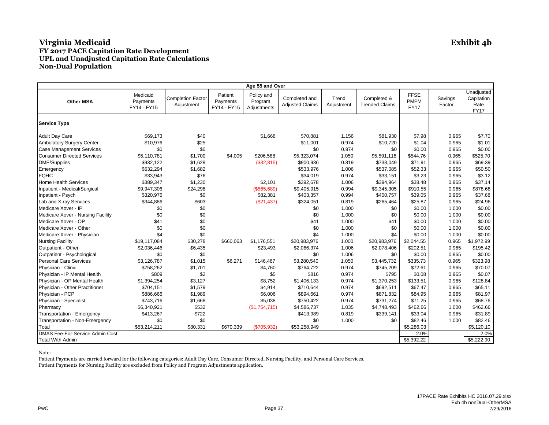| Age 55 and Over                        |                                     |                                        |                                    |                                      |                                         |                     |                                      |                                           |                   |                                                 |  |
|----------------------------------------|-------------------------------------|----------------------------------------|------------------------------------|--------------------------------------|-----------------------------------------|---------------------|--------------------------------------|-------------------------------------------|-------------------|-------------------------------------------------|--|
| <b>Other MSA</b>                       | Medicaid<br>Payments<br>FY14 - FY15 | <b>Completion Factor</b><br>Adjustment | Patient<br>Payments<br>FY14 - FY15 | Policy and<br>Program<br>Adjustments | Completed and<br><b>Adjusted Claims</b> | Trend<br>Adjustment | Completed &<br><b>Trended Claims</b> | <b>FFSE</b><br><b>PMPM</b><br><b>FY17</b> | Savings<br>Factor | Unadjusted<br>Capitation<br>Rate<br><b>FY17</b> |  |
| <b>Service Type</b>                    |                                     |                                        |                                    |                                      |                                         |                     |                                      |                                           |                   |                                                 |  |
| <b>Adult Day Care</b>                  | \$69,173                            | \$40                                   |                                    | \$1,668                              | \$70,881                                | 1.156               | \$81,930                             | \$7.98                                    | 0.965             | \$7.70                                          |  |
| <b>Ambulatory Surgery Center</b>       | \$10,976                            | \$25                                   |                                    |                                      | \$11,001                                | 0.974               | \$10,720                             | \$1.04                                    | 0.965             | \$1.01                                          |  |
| <b>Case Management Services</b>        | \$0                                 | \$0                                    |                                    |                                      | \$0                                     | 0.974               | \$0                                  | \$0.00                                    | 0.965             | \$0.00                                          |  |
| <b>Consumer Directed Services</b>      | \$5,110,781                         | \$1,700                                | \$4,005                            | \$206,588                            | \$5,323,074                             | 1.050               | \$5,591,118                          | \$544.76                                  | 0.965             | \$525.70                                        |  |
| DME/Supplies                           | \$932,122                           | \$1,629                                |                                    | (\$32,815)                           | \$900,936                               | 0.819               | \$738,049                            | \$71.91                                   | 0.965             | \$69.39                                         |  |
| Emergency                              | \$532,294                           | \$1,682                                |                                    |                                      | \$533,976                               | 1.006               | \$537,085                            | \$52.33                                   | 0.965             | \$50.50                                         |  |
| <b>FQHC</b>                            | \$33,943                            | \$76                                   |                                    |                                      | \$34,019                                | 0.974               | \$33,151                             | \$3.23                                    | 0.965             | \$3.12                                          |  |
| <b>Home Health Services</b>            | \$389,347                           | \$1,230                                |                                    | \$2,101                              | \$392,678                               | 1.006               | \$394,964                            | \$38.48                                   | 0.965             | \$37.14                                         |  |
| Inpatient - Medical/Surgical           | \$9,947,306                         | \$24,298                               |                                    | (\$565,689)                          | \$9,405,915                             | 0.994               | \$9,345,305                          | \$910.55                                  | 0.965             | \$878.68                                        |  |
| Inpatient - Psych                      | \$320,976                           | \$0                                    |                                    | \$82,381                             | \$403,357                               | 0.994               | \$400,757                            | \$39.05                                   | 0.965             | \$37.68                                         |  |
| Lab and X-ray Services                 | \$344,886                           | \$603                                  |                                    | (\$21,437)                           | \$324,051                               | 0.819               | \$265,464                            | \$25.87                                   | 0.965             | \$24.96                                         |  |
| Medicare Xover - IP                    | \$0                                 | \$0                                    |                                    |                                      | \$0                                     | 1.000               | \$0                                  | \$0.00                                    | 1.000             | \$0.00                                          |  |
| Medicare Xover - Nursing Facility      | \$0                                 | \$0                                    |                                    |                                      | \$0                                     | 1.000               | \$0                                  | \$0.00                                    | 1.000             | \$0.00                                          |  |
| Medicare Xover - OP                    | \$41                                | \$0                                    |                                    |                                      | \$41                                    | 1.000               | \$41                                 | \$0.00                                    | 1.000             | \$0.00                                          |  |
| Medicare Xover - Other                 | \$0                                 | \$0                                    |                                    |                                      | \$0                                     | 1.000               | \$0                                  | \$0.00                                    | 1.000             | \$0.00                                          |  |
| Medicare Xover - Physician             | \$4                                 | \$0                                    |                                    |                                      | \$4                                     | 1.000               | \$4                                  | \$0.00                                    | 1.000             | \$0.00                                          |  |
| <b>Nursing Facility</b>                | \$19,117,084                        | \$30,278                               | \$660,063                          | \$1,176,551                          | \$20,983,976                            | 1.000               | \$20,983,976                         | \$2,044.55                                | 0.965             | \$1,972.99                                      |  |
| Outpatient - Other                     | \$2,036,446                         | \$6,435                                |                                    | \$23,493                             | \$2,066,374                             | 1.006               | \$2,078,406                          | \$202.51                                  | 0.965             | \$195.42                                        |  |
| Outpatient - Psychological             | \$0                                 | \$0                                    |                                    |                                      | \$0                                     | 1.006               | \$0                                  | \$0.00                                    | 0.965             | \$0.00                                          |  |
| <b>Personal Care Services</b>          | \$3,126,787                         | \$1,015                                | \$6,271                            | \$146,467                            | \$3,280,540                             | 1.050               | \$3,445,732                          | \$335.73                                  | 0.965             | \$323.98                                        |  |
| Physician - Clinic                     | \$758,262                           | \$1,701                                |                                    | \$4,760                              | \$764,722                               | 0.974               | \$745,209                            | \$72.61                                   | 0.965             | \$70.07                                         |  |
| Physician - IP Mental Health           | \$809                               | \$2                                    |                                    | \$5                                  | \$816                                   | 0.974               | \$795                                | \$0.08                                    | 0.965             | \$0.07                                          |  |
| Physician - OP Mental Health           | \$1,394,254                         | \$3,127                                |                                    | \$8,752                              | \$1,406,133                             | 0.974               | \$1,370,253                          | \$133.51                                  | 0.965             | \$128.84                                        |  |
| Physician - Other Practitioner         | \$704,151                           | \$1,579                                |                                    | \$4,914                              | \$710,644                               | 0.974               | \$692,511                            | \$67.47                                   | 0.965             | \$65.11                                         |  |
| Physician - PCP                        | \$886,666                           | \$1,989                                |                                    | \$6,006                              | \$894,661                               | 0.974               | \$871,832                            | \$84.95                                   | 0.965             | \$81.97                                         |  |
| Physician - Specialist                 | \$743,716                           | \$1,668                                |                                    | \$5,038                              | \$750,422                               | 0.974               | \$731,274                            | \$71.25                                   | 0.965             | \$68.76                                         |  |
| Pharmacy                               | \$6,340,921                         | \$532                                  |                                    | (\$1,754,715)                        | \$4,586,737                             | 1.035               | \$4,748,493                          | \$462.66                                  | 1.000             | \$462.66                                        |  |
| Transportation - Emergency             | \$413,267                           | \$722                                  |                                    |                                      | \$413,989                               | 0.819               | \$339,141                            | \$33.04                                   | 0.965             | \$31.89                                         |  |
| Transportation - Non-Emergency         | \$0                                 | \$0                                    |                                    |                                      | \$0                                     | 1.000               | \$0                                  | \$82.46                                   | 1.000             | \$82.46                                         |  |
| Total                                  | \$53,214,211                        | \$80,331                               | \$670,339                          | (\$705,932)                          | \$53,258,949                            |                     |                                      | \$5,286.03                                |                   | \$5,120.10                                      |  |
| <b>DMAS Fee-For-Service Admin Cost</b> |                                     |                                        |                                    |                                      |                                         |                     |                                      | 2.0%                                      |                   | 2.0%                                            |  |
| <b>Total With Admin</b>                |                                     |                                        |                                    |                                      |                                         |                     |                                      | \$5,392.22                                |                   | \$5,222.90                                      |  |

Note:

Patient Payments are carried forward for the following categories: Adult Day Care, Consumer Directed, Nursing Facility, and Personal Care Services.

Patient Payments for Nursing Facility are excluded from Policy and Program Adjustments application.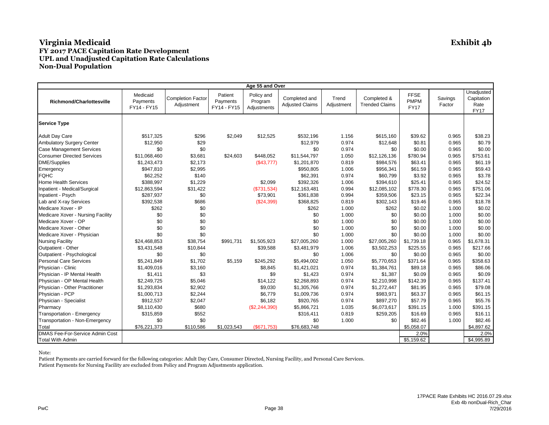| Age 55 and Over                   |                                     |                                        |                                    |                                      |                                         |                     |                                      |                                           |                   |                                                 |  |
|-----------------------------------|-------------------------------------|----------------------------------------|------------------------------------|--------------------------------------|-----------------------------------------|---------------------|--------------------------------------|-------------------------------------------|-------------------|-------------------------------------------------|--|
| <b>Richmond/Charlottesville</b>   | Medicaid<br>Payments<br>FY14 - FY15 | <b>Completion Factor</b><br>Adjustment | Patient<br>Payments<br>FY14 - FY15 | Policy and<br>Program<br>Adjustments | Completed and<br><b>Adjusted Claims</b> | Trend<br>Adjustment | Completed &<br><b>Trended Claims</b> | <b>FFSE</b><br><b>PMPM</b><br><b>FY17</b> | Savings<br>Factor | Unadjusted<br>Capitation<br>Rate<br><b>FY17</b> |  |
| <b>Service Type</b>               |                                     |                                        |                                    |                                      |                                         |                     |                                      |                                           |                   |                                                 |  |
| <b>Adult Day Care</b>             | \$517,325                           | \$296                                  | \$2,049                            | \$12,525                             | \$532,196                               | 1.156               | \$615,160                            | \$39.62                                   | 0.965             | \$38.23                                         |  |
| Ambulatory Surgery Center         | \$12,950                            | \$29                                   |                                    |                                      | \$12,979                                | 0.974               | \$12,648                             | \$0.81                                    | 0.965             | \$0.79                                          |  |
| <b>Case Management Services</b>   | \$0                                 | \$0                                    |                                    |                                      | \$0                                     | 0.974               | \$0                                  | \$0.00                                    | 0.965             | \$0.00                                          |  |
| <b>Consumer Directed Services</b> | \$11.068.460                        | \$3,681                                | \$24,603                           | \$448.052                            | \$11,544,797                            | 1.050               | \$12,126,136                         | \$780.94                                  | 0.965             | \$753.61                                        |  |
| DME/Supplies                      | \$1,243,473                         | \$2,173                                |                                    | (\$43,777)                           | \$1,201,870                             | 0.819               | \$984,576                            | \$63.41                                   | 0.965             | \$61.19                                         |  |
| Emergency                         | \$947,810                           | \$2,995                                |                                    |                                      | \$950,805                               | 1.006               | \$956,341                            | \$61.59                                   | 0.965             | \$59.43                                         |  |
| <b>FQHC</b>                       | \$62,252                            | \$140                                  |                                    |                                      | \$62.391                                | 0.974               | \$60,799                             | \$3.92                                    | 0.965             | \$3.78                                          |  |
| Home Health Services              | \$388,997                           | \$1,229                                |                                    | \$2,099                              | \$392,326                               | 1.006               | \$394,610                            | \$25.41                                   | 0.965             | \$24.52                                         |  |
| Inpatient - Medical/Surgical      | \$12,863,594                        | \$31,422                               |                                    | (\$731,534)                          | \$12,163,481                            | 0.994               | \$12,085,102                         | \$778.30                                  | 0.965             | \$751.06                                        |  |
| Inpatient - Psych                 | \$287,937                           | \$0                                    |                                    | \$73,901                             | \$361,838                               | 0.994               | \$359,506                            | \$23.15                                   | 0.965             | \$22.34                                         |  |
| Lab and X-ray Services            | \$392,538                           | \$686                                  |                                    | (\$24,399)                           | \$368,825                               | 0.819               | \$302,143                            | \$19.46                                   | 0.965             | \$18.78                                         |  |
| Medicare Xover - IP               | \$262                               | \$0                                    |                                    |                                      | \$262                                   | 1.000               | \$262                                | \$0.02                                    | 1.000             | \$0.02                                          |  |
| Medicare Xover - Nursing Facility | \$0                                 | \$0                                    |                                    |                                      | \$0                                     | 1.000               | \$0                                  | \$0.00                                    | 1.000             | \$0.00                                          |  |
| Medicare Xover - OP               | \$0                                 | \$0                                    |                                    |                                      | \$0                                     | 1.000               | \$0                                  | \$0.00                                    | 1.000             | \$0.00                                          |  |
| Medicare Xover - Other            | \$0                                 | \$0                                    |                                    |                                      | \$0                                     | 1.000               | \$0                                  | \$0.00                                    | 1.000             | \$0.00                                          |  |
| Medicare Xover - Physician        | \$0                                 | \$0                                    |                                    |                                      | \$0                                     | 1.000               | \$0                                  | \$0.00                                    | 1.000             | \$0.00                                          |  |
| <b>Nursing Facility</b>           | \$24,468,853                        | \$38,754                               | \$991,731                          | \$1,505,923                          | \$27,005,260                            | 1.000               | \$27,005,260                         | \$1,739.18                                | 0.965             | \$1,678.31                                      |  |
| Outpatient - Other                | \$3,431,548                         | \$10,844                               |                                    | \$39,588                             | \$3,481,979                             | 1.006               | \$3,502,253                          | \$225.55                                  | 0.965             | \$217.66                                        |  |
| Outpatient - Psychological        | \$0                                 | \$0                                    |                                    |                                      | \$0                                     | 1.006               | \$0                                  | \$0.00                                    | 0.965             | \$0.00                                          |  |
| <b>Personal Care Services</b>     | \$5,241,849                         | \$1,702                                | \$5,159                            | \$245,292                            | \$5,494,002                             | 1.050               | \$5.770.653                          | \$371.64                                  | 0.965             | \$358.63                                        |  |
| Physician - Clinic                | \$1,409,016                         | \$3,160                                |                                    | \$8,845                              | \$1,421,021                             | 0.974               | \$1,384,761                          | \$89.18                                   | 0.965             | \$86.06                                         |  |
| Physician - IP Mental Health      | \$1,411                             | \$3                                    |                                    | \$9                                  | \$1,423                                 | 0.974               | \$1,387                              | \$0.09                                    | 0.965             | \$0.09                                          |  |
| Physician - OP Mental Health      | \$2,249,725                         | \$5,046                                |                                    | \$14,122                             | \$2,268,893                             | 0.974               | \$2,210,998                          | \$142.39                                  | 0.965             | \$137.41                                        |  |
| Physician - Other Practitioner    | \$1,293,834                         | \$2,902                                |                                    | \$9,030                              | \$1,305,766                             | 0.974               | \$1,272,447                          | \$81.95                                   | 0.965             | \$79.08                                         |  |
| Physician - PCP                   | \$1,000,713                         | \$2,244                                |                                    | \$6,779                              | \$1,009,736                             | 0.974               | \$983,971                            | \$63.37                                   | 0.965             | \$61.15                                         |  |
| Physician - Specialist            | \$912,537                           | \$2,047                                |                                    | \$6,182                              | \$920,765                               | 0.974               | \$897,270                            | \$57.79                                   | 0.965             | \$55.76                                         |  |
| Pharmacy                          | \$8,110,430                         | \$680                                  |                                    | (\$2,244,390)                        | \$5,866,721                             | 1.035               | \$6,073,617                          | \$391.15                                  | 1.000             | \$391.15                                        |  |
| Transportation - Emergency        | \$315,859                           | \$552                                  |                                    |                                      | \$316,411                               | 0.819               | \$259,205                            | \$16.69                                   | 0.965             | \$16.11                                         |  |
| Transportation - Non-Emergency    | \$0                                 | \$0                                    |                                    |                                      | \$0                                     | 1.000               | \$0                                  | \$82.46                                   | 1.000             | \$82.46                                         |  |
| Total                             | \$76,221,373                        | \$110,586                              | \$1,023,543                        | (S671.753)                           | \$76,683,748                            |                     |                                      | \$5,058.07                                |                   | \$4,897.62                                      |  |
| DMAS Fee-For-Service Admin Cost   |                                     |                                        |                                    |                                      |                                         |                     |                                      | 2.0%                                      |                   | 2.0%                                            |  |
| <b>Total With Admin</b>           |                                     |                                        |                                    |                                      |                                         |                     |                                      | \$5,159.62                                |                   | \$4,995.89                                      |  |

Note:

Patient Payments are carried forward for the following categories: Adult Day Care, Consumer Directed, Nursing Facility, and Personal Care Services.

Patient Payments for Nursing Facility are excluded from Policy and Program Adjustments application.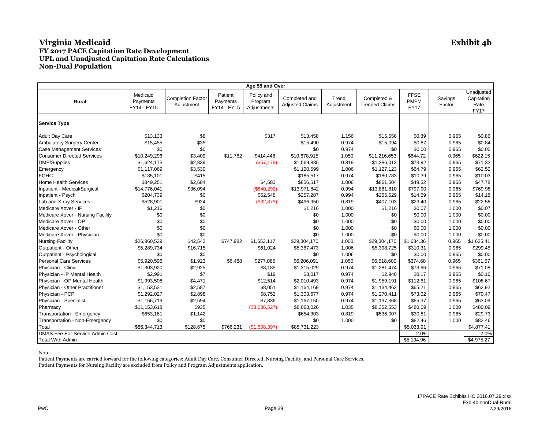| Age 55 and Over                   |                                     |                                        |                                    |                                      |                                         |                     |                                      |                                           |                   |                                                 |  |
|-----------------------------------|-------------------------------------|----------------------------------------|------------------------------------|--------------------------------------|-----------------------------------------|---------------------|--------------------------------------|-------------------------------------------|-------------------|-------------------------------------------------|--|
| Rural                             | Medicaid<br>Payments<br>FY14 - FY15 | <b>Completion Factor</b><br>Adjustment | Patient<br>Payments<br>FY14 - FY15 | Policy and<br>Program<br>Adjustments | Completed and<br><b>Adjusted Claims</b> | Trend<br>Adjustment | Completed &<br><b>Trended Claims</b> | <b>FFSE</b><br><b>PMPM</b><br><b>FY17</b> | Savings<br>Factor | Unadjusted<br>Capitation<br>Rate<br><b>FY17</b> |  |
| <b>Service Type</b>               |                                     |                                        |                                    |                                      |                                         |                     |                                      |                                           |                   |                                                 |  |
| <b>Adult Day Care</b>             | \$13,133                            | \$8                                    |                                    | \$317                                | \$13,458                                | 1.156               | \$15,556                             | \$0.89                                    | 0.965             | \$0.86                                          |  |
| Ambulatory Surgery Center         | \$15,455                            | \$35                                   |                                    |                                      | \$15,490                                | 0.974               | \$15,094                             | \$0.87                                    | 0.965             | \$0.84                                          |  |
| <b>Case Management Services</b>   | \$0                                 | \$0                                    |                                    |                                      | \$0                                     | 0.974               | \$0                                  | \$0.00                                    | 0.965             | \$0.00                                          |  |
| <b>Consumer Directed Services</b> | \$10,249,296                        | \$3,409                                | \$11,762                           | \$414,448                            | \$10,678,915                            | 1.050               | \$11,216,653                         | \$644.72                                  | 0.965             | \$622.15                                        |  |
| <b>DME/Supplies</b>               | \$1,624,175                         | \$2,839                                |                                    | (\$57,179)                           | \$1,569,835                             | 0.819               | \$1,286,013                          | \$73.92                                   | 0.965             | \$71.33                                         |  |
| Emergency                         | \$1,117,069                         | \$3,530                                |                                    |                                      | \$1,120,599                             | 1.006               | \$1,127,123                          | \$64.79                                   | 0.965             | \$62.52                                         |  |
| <b>FQHC</b>                       | \$185,101                           | \$415                                  |                                    |                                      | \$185,517                               | 0.974               | \$180,783                            | \$10.39                                   | 0.965             | \$10.03                                         |  |
| <b>Home Health Services</b>       | \$849,251                           | \$2,684                                |                                    | \$4,583                              | \$856,517                               | 1.006               | \$861,504                            | \$49.52                                   | 0.965             | \$47.78                                         |  |
| Inpatient - Medical/Surgical      | \$14,776,041                        | \$36,094                               |                                    | (\$840,292)                          | \$13,971,842                            | 0.994               | \$13,881,810                         | \$797.90                                  | 0.965             | \$769.98                                        |  |
| Inpatient - Psych                 | \$204,739                           | \$0                                    |                                    | \$52,548                             | \$257,287                               | 0.994               | \$255,629                            | \$14.69                                   | 0.965             | \$14.18                                         |  |
| Lab and X-ray Services            | \$528,901                           | \$924                                  |                                    | (\$32,875)                           | \$496,950                               | 0.819               | \$407,103                            | \$23.40                                   | 0.965             | \$22.58                                         |  |
| Medicare Xover - IP               | \$1,216                             | \$0                                    |                                    |                                      | \$1,216                                 | 1.000               | \$1,216                              | \$0.07                                    | 1.000             | \$0.07                                          |  |
| Medicare Xover - Nursing Facility | \$0                                 | \$0                                    |                                    |                                      | \$0                                     | 1.000               | \$0                                  | \$0.00                                    | 1.000             | \$0.00                                          |  |
| Medicare Xover - OP               | \$0                                 | \$0                                    |                                    |                                      | \$0                                     | 1.000               | \$0                                  | \$0.00                                    | 1.000             | \$0.00                                          |  |
| Medicare Xover - Other            | \$0                                 | \$0                                    |                                    |                                      | \$0                                     | 1.000               | \$0                                  | \$0.00                                    | 1.000             | \$0.00                                          |  |
| Medicare Xover - Physician        | \$0                                 | \$0                                    |                                    |                                      | \$0                                     | 1.000               | \$0                                  | \$0.00                                    | 1.000             | \$0.00                                          |  |
| <b>Nursing Facility</b>           | \$26,860,529                        | \$42,542                               | \$747,982                          | \$1,653,117                          | \$29,304,170                            | 1.000               | \$29,304,170                         | \$1,684.36                                | 0.965             | \$1,625.41                                      |  |
| Outpatient - Other                | \$5,289,734                         | \$16,715                               |                                    | \$61,024                             | \$5,367,473                             | 1.006               | \$5,398,725                          | \$310.31                                  | 0.965             | \$299.45                                        |  |
| Outpatient - Psychological        | \$0                                 | \$0                                    |                                    |                                      | \$0                                     | 1.006               | \$0                                  | \$0.00                                    | 0.965             | \$0.00                                          |  |
| <b>Personal Care Services</b>     | \$5,920,596                         | \$1,923                                | \$6,488                            | \$277,085                            | \$6,206,091                             | 1.050               | \$6,518,600                          | \$374.68                                  | 0.965             | \$361.57                                        |  |
| Physician - Clinic                | \$1,303,920                         | \$2,925                                |                                    | \$8,185                              | \$1,315,029                             | 0.974               | \$1,281,474                          | \$73.66                                   | 0.965             | \$71.08                                         |  |
| Physician - IP Mental Health      | \$2,991                             | \$7                                    |                                    | \$19                                 | \$3,017                                 | 0.974               | \$2,940                              | \$0.17                                    | 0.965             | \$0.16                                          |  |
| Physician - OP Mental Health      | \$1,993,508                         | \$4,471                                |                                    | \$12,514                             | \$2,010,493                             | 0.974               | \$1,959,191                          | \$112.61                                  | 0.965             | \$108.67                                        |  |
| Physician - Other Practitioner    | \$1,153,531                         | \$2,587                                |                                    | \$8,051                              | \$1,164,169                             | 0.974               | \$1,134,463                          | \$65.21                                   | 0.965             | \$62.92                                         |  |
| Physician - PCP                   | \$1,292,027                         | \$2,898                                |                                    | \$8,752                              | \$1,303,677                             | 0.974               | \$1,270,411                          | \$73.02                                   | 0.965             | \$70.47                                         |  |
| Physician - Specialist            | \$1,156,719                         | \$2,594                                |                                    | \$7,836                              | \$1,167,150                             | 0.974               | \$1,137,368                          | \$65.37                                   | 0.965             | \$63.09                                         |  |
| Pharmacy                          | \$11,153,618                        | \$935                                  |                                    | (\$3,086,527)                        | \$8,068,026                             | 1.035               | \$8,352,553                          | \$480.09                                  | 1.000             | \$480.09                                        |  |
| Transportation - Emergency        | \$653,161                           | \$1,142                                |                                    |                                      | \$654,303                               | 0.819               | \$536,007                            | \$30.81                                   | 0.965             | \$29.73                                         |  |
| Transportation - Non-Emergency    | \$0                                 | \$0                                    |                                    |                                      | \$0                                     | 1.000               | \$0                                  | \$82.46                                   | 1.000             | \$82.46                                         |  |
| Total                             | \$86,344,713                        | \$128,675                              | \$766,231                          | (\$1,508,397)                        | \$85,731,223                            |                     |                                      | \$5,033.91                                |                   | \$4,877.41                                      |  |
| DMAS Fee-For-Service Admin Cost   |                                     |                                        |                                    |                                      |                                         |                     |                                      | 2.0%                                      |                   | 2.0%                                            |  |
| <b>Total With Admin</b>           |                                     |                                        |                                    |                                      |                                         |                     |                                      | \$5,134.96                                |                   | \$4,975.27                                      |  |

Note: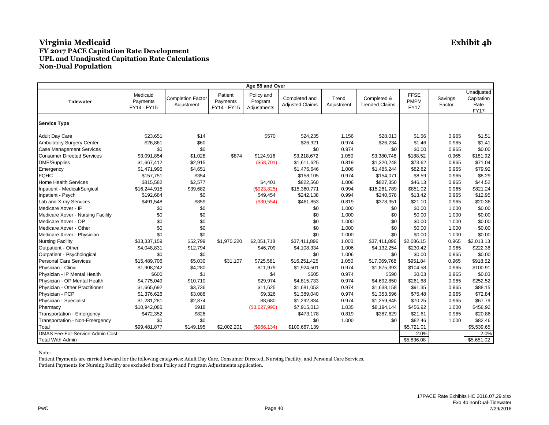| Age 55 and Over                        |                                     |                                        |                                    |                                      |                                         |                     |                                      |                                           |                   |                                                 |  |
|----------------------------------------|-------------------------------------|----------------------------------------|------------------------------------|--------------------------------------|-----------------------------------------|---------------------|--------------------------------------|-------------------------------------------|-------------------|-------------------------------------------------|--|
| <b>Tidewater</b>                       | Medicaid<br>Payments<br>FY14 - FY15 | <b>Completion Factor</b><br>Adjustment | Patient<br>Payments<br>FY14 - FY15 | Policy and<br>Program<br>Adjustments | Completed and<br><b>Adjusted Claims</b> | Trend<br>Adjustment | Completed &<br><b>Trended Claims</b> | <b>FFSE</b><br><b>PMPM</b><br><b>FY17</b> | Savings<br>Factor | Unadjusted<br>Capitation<br>Rate<br><b>FY17</b> |  |
| <b>Service Type</b>                    |                                     |                                        |                                    |                                      |                                         |                     |                                      |                                           |                   |                                                 |  |
| <b>Adult Day Care</b>                  | \$23,651                            | \$14                                   |                                    | \$570                                | \$24,235                                | 1.156               | \$28,013                             | \$1.56                                    | 0.965             | \$1.51                                          |  |
| <b>Ambulatory Surgery Center</b>       | \$26,861                            | \$60                                   |                                    |                                      | \$26,921                                | 0.974               | \$26,234                             | \$1.46                                    | 0.965             | \$1.41                                          |  |
| <b>Case Management Services</b>        | \$0                                 | \$0                                    |                                    |                                      | \$0                                     | 0.974               | \$0                                  | \$0.00                                    | 0.965             | \$0.00                                          |  |
| <b>Consumer Directed Services</b>      | \$3,091,854                         | \$1,028                                | \$874                              | \$124,916                            | \$3,218,672                             | 1.050               | \$3.380.748                          | \$188.52                                  | 0.965             | \$181.92                                        |  |
| <b>DME/Supplies</b>                    | \$1,667,412                         | \$2,915                                |                                    | (\$58,701)                           | \$1,611,625                             | 0.819               | \$1,320,248                          | \$73.62                                   | 0.965             | \$71.04                                         |  |
| Emergency                              | \$1,471,995                         | \$4,651                                |                                    |                                      | \$1,476,646                             | 1.006               | \$1,485,244                          | \$82.82                                   | 0.965             | \$79.92                                         |  |
| <b>FQHC</b>                            | \$157,751                           | \$354                                  |                                    |                                      | \$158,105                               | 0.974               | \$154,071                            | \$8.59                                    | 0.965             | \$8.29                                          |  |
| <b>Home Health Services</b>            | \$815,582                           | \$2,577                                |                                    | \$4,401                              | \$822,560                               | 1.006               | \$827,350                            | \$46.13                                   | 0.965             | \$44.52                                         |  |
| Inpatient - Medical/Surgical           | \$16,244,915                        | \$39,682                               |                                    | (\$923,825)                          | \$15,360,771                            | 0.994               | \$15,261,789                         | \$851.02                                  | 0.965             | \$821.24                                        |  |
| Inpatient - Psych                      | \$192,684                           | \$0                                    |                                    | \$49,454                             | \$242,138                               | 0.994               | \$240,578                            | \$13.42                                   | 0.965             | \$12.95                                         |  |
| Lab and X-ray Services                 | \$491,548                           | \$859                                  |                                    | (\$30,554)                           | \$461,853                               | 0.819               | \$378,351                            | \$21.10                                   | 0.965             | \$20.36                                         |  |
| Medicare Xover - IP                    | \$0                                 | \$0                                    |                                    |                                      | \$0                                     | 1.000               | \$0                                  | \$0.00                                    | 1.000             | \$0.00                                          |  |
| Medicare Xover - Nursing Facility      | \$0                                 | \$0                                    |                                    |                                      | \$0                                     | 1.000               | \$0                                  | \$0.00                                    | 1.000             | \$0.00                                          |  |
| Medicare Xover - OP                    | \$0                                 | \$0                                    |                                    |                                      | \$0                                     | 1.000               | \$0                                  | \$0.00                                    | 1.000             | \$0.00                                          |  |
| Medicare Xover - Other                 | \$0                                 | \$0                                    |                                    |                                      | \$0                                     | 1.000               | \$0                                  | \$0.00                                    | 1.000             | \$0.00                                          |  |
| Medicare Xover - Physician             | \$0                                 | \$0                                    |                                    |                                      | \$0                                     | 1.000               | \$0                                  | \$0.00                                    | 1.000             | \$0.00                                          |  |
| <b>Nursing Facility</b>                | \$33,337,159                        | \$52,799                               | \$1,970,220                        | \$2.051.718                          | \$37.411.896                            | 1.000               | \$37,411,896                         | \$2.086.15                                | 0.965             | \$2,013.13                                      |  |
| Outpatient - Other                     | \$4,048,831                         | \$12,794                               |                                    | \$46,709                             | \$4,108,334                             | 1.006               | \$4,132,254                          | \$230.42                                  | 0.965             | \$222.36                                        |  |
| Outpatient - Psychological             | \$0                                 | \$0                                    |                                    |                                      | \$0                                     | 1.006               | \$0                                  | \$0.00                                    | 0.965             | \$0.00                                          |  |
| <b>Personal Care Services</b>          | \$15,489,706                        | \$5,030                                | \$31,107                           | \$725,581                            | \$16,251,425                            | 1.050               | \$17,069,768                         | \$951.84                                  | 0.965             | \$918.52                                        |  |
| Physician - Clinic                     | \$1,908,242                         | \$4,280                                |                                    | \$11,979                             | \$1,924,501                             | 0.974               | \$1,875,393                          | \$104.58                                  | 0.965             | \$100.91                                        |  |
| Physician - IP Mental Health           | \$600                               | \$1                                    |                                    | \$4                                  | \$605                                   | 0.974               | \$590                                | \$0.03                                    | 0.965             | \$0.03                                          |  |
| Physician - OP Mental Health           | \$4,775,049                         | \$10,710                               |                                    | \$29,974                             | \$4,815,733                             | 0.974               | \$4,692,850                          | \$261.68                                  | 0.965             | \$252.52                                        |  |
| Physician - Other Practitioner         | \$1,665,692                         | \$3,736                                |                                    | \$11,625                             | \$1,681,053                             | 0.974               | \$1,638,158                          | \$91.35                                   | 0.965             | \$88.15                                         |  |
| Physician - PCP                        | \$1,376,626                         | \$3,088                                |                                    | \$9,326                              | \$1,389,040                             | 0.974               | \$1,353,596                          | \$75.48                                   | 0.965             | \$72.84                                         |  |
| Physician - Specialist                 | \$1,281,281                         | \$2,874                                |                                    | \$8,680                              | \$1,292,834                             | 0.974               | \$1,259,845                          | \$70.25                                   | 0.965             | \$67.79                                         |  |
| Pharmacy                               | \$10,942,085                        | \$918                                  |                                    | (\$3,027,990)                        | \$7,915,013                             | 1.035               | \$8,194,144                          | \$456.92                                  | 1.000             | \$456.92                                        |  |
| Transportation - Emergency             | \$472,352                           | \$826                                  |                                    |                                      | \$473,178                               | 0.819               | \$387,629                            | \$21.61                                   | 0.965             | \$20.86                                         |  |
| Transportation - Non-Emergency         | \$0                                 | \$0                                    |                                    |                                      | \$0                                     | 1.000               | \$0                                  | \$82.46                                   | 1.000             | \$82.46                                         |  |
| Total                                  | \$99,481,877                        | \$149,195                              | \$2,002,201                        | $($ \$966,134)                       | \$100,667,139                           |                     |                                      | \$5,721.01                                |                   | \$5,539.65                                      |  |
| <b>DMAS Fee-For-Service Admin Cost</b> |                                     |                                        |                                    |                                      |                                         |                     |                                      | 2.0%                                      |                   | 2.0%                                            |  |
| <b>Total With Admin</b>                |                                     |                                        |                                    |                                      |                                         |                     |                                      | \$5,836.08                                |                   | \$5,651.02                                      |  |

Note:

Patient Payments are carried forward for the following categories: Adult Day Care, Consumer Directed, Nursing Facility, and Personal Care Services.

Patient Payments for Nursing Facility are excluded from Policy and Program Adjustments application.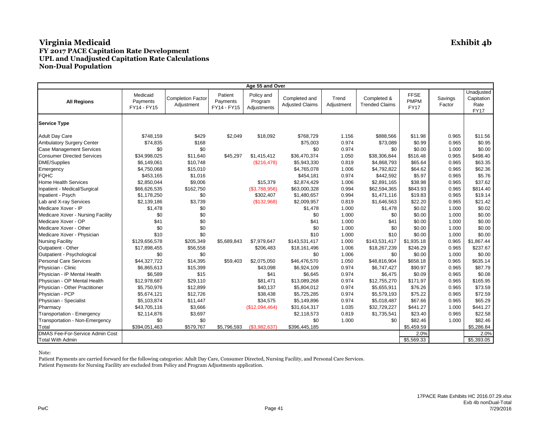| Age 55 and Over                   |                                     |                                        |                                    |                                      |                                         |                     |                                      |                                           |                   |                                                 |  |
|-----------------------------------|-------------------------------------|----------------------------------------|------------------------------------|--------------------------------------|-----------------------------------------|---------------------|--------------------------------------|-------------------------------------------|-------------------|-------------------------------------------------|--|
| <b>All Regions</b>                | Medicaid<br>Payments<br>FY14 - FY15 | <b>Completion Factor</b><br>Adjustment | Patient<br>Payments<br>FY14 - FY15 | Policy and<br>Program<br>Adjustments | Completed and<br><b>Adjusted Claims</b> | Trend<br>Adjustment | Completed &<br><b>Trended Claims</b> | <b>FFSE</b><br><b>PMPM</b><br><b>FY17</b> | Savings<br>Factor | Unadjusted<br>Capitation<br>Rate<br><b>FY17</b> |  |
| <b>Service Type</b>               |                                     |                                        |                                    |                                      |                                         |                     |                                      |                                           |                   |                                                 |  |
| <b>Adult Day Care</b>             | \$748,159                           | \$429                                  | \$2,049                            | \$18,092                             | \$768,729                               | 1.156               | \$888,566                            | \$11.98                                   | 0.965             | \$11.56                                         |  |
| Ambulatory Surgery Center         | \$74,835                            | \$168                                  |                                    |                                      | \$75,003                                | 0.974               | \$73,089                             | \$0.99                                    | 0.965             | \$0.95                                          |  |
| <b>Case Management Services</b>   | \$0                                 | \$0                                    |                                    |                                      | \$0                                     | 0.974               | \$0                                  | \$0.00                                    | 1.000             | \$0.00                                          |  |
| <b>Consumer Directed Services</b> | \$34,998,025                        | \$11,640                               | \$45,297                           | \$1,415,412                          | \$36,470,374                            | 1.050               | \$38,306,844                         | \$516.48                                  | 0.965             | \$498.40                                        |  |
| <b>DME/Supplies</b>               | \$6,149,061                         | \$10,748                               |                                    | (\$216,478)                          | \$5,943,330                             | 0.819               | \$4,868,793                          | \$65.64                                   | 0.965             | \$63.35                                         |  |
| Emergency                         | \$4,750,068                         | \$15,010                               |                                    |                                      | \$4,765,078                             | 1.006               | \$4,792,822                          | \$64.62                                   | 0.965             | \$62.36                                         |  |
| <b>FQHC</b>                       | \$453,165                           | \$1,016                                |                                    |                                      | \$454,181                               | 0.974               | \$442,592                            | \$5.97                                    | 0.965             | \$5.76                                          |  |
| <b>Home Health Services</b>       | \$2,850,044                         | \$9,006                                |                                    | \$15,379                             | \$2,874,429                             | 1.006               | \$2,891,165                          | \$38.98                                   | 0.965             | \$37.62                                         |  |
| Inpatient - Medical/Surgical      | \$66,626,535                        | \$162,750                              |                                    | (\$3,788,956)                        | \$63,000,328                            | 0.994               | \$62,594,365                         | \$843.93                                  | 0.965             | \$814.40                                        |  |
| Inpatient - Psych                 | \$1,178,250                         | \$0                                    |                                    | \$302,407                            | \$1,480,657                             | 0.994               | \$1,471,116                          | \$19.83                                   | 0.965             | \$19.14                                         |  |
| Lab and X-ray Services            | \$2,139,186                         | \$3,739                                |                                    | (\$132,968)                          | \$2,009,957                             | 0.819               | \$1,646,563                          | \$22.20                                   | 0.965             | \$21.42                                         |  |
| Medicare Xover - IP               | \$1,478                             | \$0                                    |                                    |                                      | \$1,478                                 | 1.000               | \$1,478                              | \$0.02                                    | 1.000             | \$0.02                                          |  |
| Medicare Xover - Nursing Facility | \$0                                 | \$0                                    |                                    |                                      | \$0                                     | 1.000               | \$0                                  | \$0.00                                    | 1.000             | \$0.00                                          |  |
| Medicare Xover - OP               | \$41                                | \$0                                    |                                    |                                      | \$41                                    | 1.000               | \$41                                 | \$0.00                                    | 1.000             | \$0.00                                          |  |
| Medicare Xover - Other            | \$0                                 | \$0                                    |                                    |                                      | \$0                                     | 1.000               | \$0                                  | \$0.00                                    | 1.000             | \$0.00                                          |  |
| Medicare Xover - Physician        | \$10                                | \$0                                    |                                    |                                      | \$10                                    | 1.000               | \$10                                 | \$0.00                                    | 1.000             | \$0.00                                          |  |
| <b>Nursing Facility</b>           | \$129,656,578                       | \$205,349                              | \$5,689,843                        | \$7,979,647                          | \$143,531,417                           | 1.000               | \$143,531,417                        | \$1,935.18                                | 0.965             | \$1,867.44                                      |  |
| Outpatient - Other                | \$17,898,455                        | \$56,558                               |                                    | \$206,483                            | \$18,161,496                            | 1.006               | \$18,267,239                         | \$246.29                                  | 0.965             | \$237.67                                        |  |
| Outpatient - Psychological        | \$0                                 | \$0                                    |                                    |                                      | \$0                                     | 1.006               | \$0                                  | \$0.00                                    | 1.000             | \$0.00                                          |  |
| <b>Personal Care Services</b>     | \$44,327,722                        | \$14,395                               | \$59,403                           | \$2,075,050                          | \$46,476,570                            | 1.050               | \$48,816,904                         | \$658.18                                  | 0.965             | \$635.14                                        |  |
| Physician - Clinic                | \$6,865,613                         | \$15,399                               |                                    | \$43,098                             | \$6,924,109                             | 0.974               | \$6,747,427                          | \$90.97                                   | 0.965             | \$87.79                                         |  |
| Physician - IP Mental Health      | \$6,589                             | \$15                                   |                                    | \$41                                 | \$6,645                                 | 0.974               | \$6,475                              | \$0.09                                    | 0.965             | \$0.08                                          |  |
| Physician - OP Mental Health      | \$12,978,687                        | \$29,110                               |                                    | \$81,471                             | \$13,089,268                            | 0.974               | \$12,755,270                         | \$171.97                                  | 0.965             | \$165.95                                        |  |
| Physician - Other Practitioner    | \$5,750,976                         | \$12,899                               |                                    | \$40,137                             | \$5,804,012                             | 0.974               | \$5,655,911                          | \$76.26                                   | 0.965             | \$73.59                                         |  |
| Physician - PCP                   | \$5,674,121                         | \$12,726                               |                                    | \$38,438                             | \$5,725,285                             | 0.974               | \$5,579,193                          | \$75.22                                   | 0.965             | \$72.59                                         |  |
| Physician - Specialist            | \$5,103,874                         | \$11,447                               |                                    | \$34,575                             | \$5,149,896                             | 0.974               | \$5,018,487                          | \$67.66                                   | 0.965             | \$65.29                                         |  |
| Pharmacy                          | \$43,705,116                        | \$3,666                                |                                    | (\$12,094,464)                       | \$31,614,317                            | 1.035               | \$32,729,227                         | \$441.27                                  | 1.000             | \$441.27                                        |  |
| Transportation - Emergency        | \$2,114,876                         | \$3,697                                |                                    |                                      | \$2,118,573                             | 0.819               | \$1,735,541                          | \$23.40                                   | 0.965             | \$22.58                                         |  |
| Transportation - Non-Emergency    | \$0                                 | \$0                                    |                                    |                                      | \$0                                     | 1.000               | \$0                                  | \$82.46                                   | 1.000             | \$82.46                                         |  |
| Total                             | \$394,051,463                       | \$579,767                              | \$5,796,593                        | (\$3,982,637)                        | \$396,445,185                           |                     |                                      | \$5,459.59                                |                   | \$5,286.84                                      |  |
| DMAS Fee-For-Service Admin Cost   |                                     |                                        |                                    |                                      |                                         |                     |                                      | 2.0%                                      |                   | 2.0%                                            |  |
| <b>Total With Admin</b>           |                                     |                                        |                                    |                                      |                                         |                     |                                      | \$5,569.33                                |                   | \$5,393.05                                      |  |

#### Note: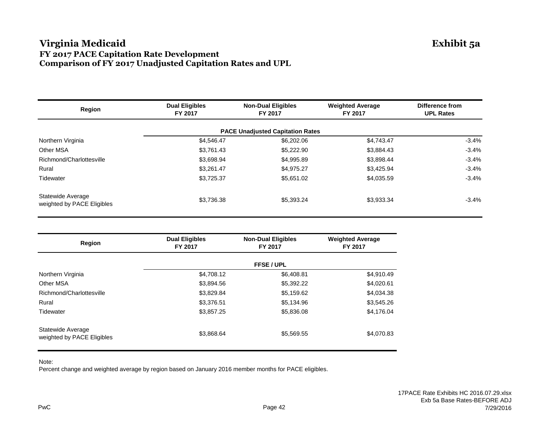#### **Virginia Medicaid Exhibit 5a FY 2017 PACE Capitation Rate Development Comparison of FY 2017 Unadjusted Capitation Rates and UPL**

| Region                                          | <b>Dual Eligibles</b><br>FY 2017 | <b>Non-Dual Eligibles</b><br>FY 2017    | <b>Weighted Average</b><br>FY 2017 | Difference from<br><b>UPL Rates</b> |
|-------------------------------------------------|----------------------------------|-----------------------------------------|------------------------------------|-------------------------------------|
|                                                 |                                  | <b>PACE Unadjusted Capitation Rates</b> |                                    |                                     |
| Northern Virginia                               | \$4,546.47                       | \$6,202.06                              | \$4,743.47                         | $-3.4%$                             |
| Other MSA                                       | \$3,761.43                       | \$5,222.90                              | \$3,884.43                         | $-3.4%$                             |
| Richmond/Charlottesville                        | \$3,698.94                       | \$4,995.89                              | \$3,898.44                         | $-3.4%$                             |
| Rural                                           | \$3,261.47                       | \$4,975.27                              | \$3,425.94                         | $-3.4%$                             |
| Tidewater                                       | \$3,725.37                       | \$5,651.02                              | \$4,035.59                         | $-3.4%$                             |
| Statewide Average<br>weighted by PACE Eligibles | \$3.736.38                       | \$5.393.24                              | \$3,933.34                         | $-3.4\%$                            |

| Region                                          | <b>Dual Eligibles</b><br>FY 2017 | <b>Non-Dual Eligibles</b><br>FY 2017 | <b>Weighted Average</b><br>FY 2017 |
|-------------------------------------------------|----------------------------------|--------------------------------------|------------------------------------|
|                                                 |                                  | <b>FFSE / UPL</b>                    |                                    |
| Northern Virginia                               | \$4,708.12                       | \$6,408.81                           | \$4,910.49                         |
| Other MSA                                       | \$3,894.56                       | \$5,392.22                           | \$4,020.61                         |
| Richmond/Charlottesville                        | \$3,829.84                       | \$5,159.62                           | \$4,034.38                         |
| Rural                                           | \$3,376.51                       | \$5,134.96                           | \$3,545.26                         |
| Tidewater                                       | \$3,857.25                       | \$5,836.08                           | \$4,176.04                         |
| Statewide Average<br>weighted by PACE Eligibles | \$3,868.64                       | \$5,569.55                           | \$4,070.83                         |

Note:

Percent change and weighted average by region based on January 2016 member months for PACE eligibles.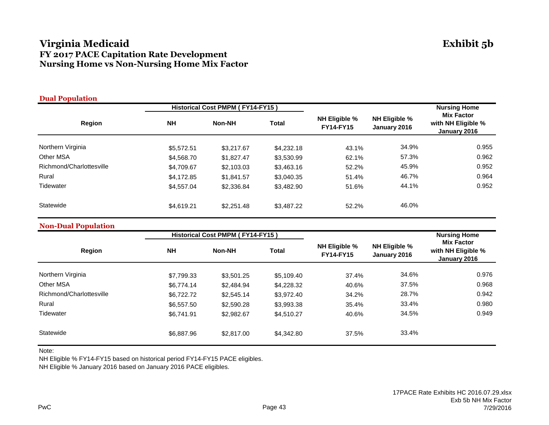## **Virginia Medicaid Exhibit 5b FY 2017 PACE Capitation Rate Development Nursing Home vs Non-Nursing Home Mix Factor**

| <b>Dual Population</b>   |            |                                  |              |                                          |                                      |                                                         |  |
|--------------------------|------------|----------------------------------|--------------|------------------------------------------|--------------------------------------|---------------------------------------------------------|--|
|                          |            | Historical Cost PMPM (FY14-FY15) |              |                                          |                                      | <b>Nursing Home</b>                                     |  |
| Region                   | <b>NH</b>  | Non-NH                           | <b>Total</b> | <b>NH Eligible %</b><br><b>FY14-FY15</b> | <b>NH Eligible %</b><br>January 2016 | <b>Mix Factor</b><br>with NH Eligible %<br>January 2016 |  |
| Northern Virginia        | \$5,572.51 | \$3,217.67                       | \$4,232.18   | 43.1%                                    | 34.9%                                | 0.955                                                   |  |
| <b>Other MSA</b>         | \$4,568.70 | \$1,827.47                       | \$3,530.99   | 62.1%                                    | 57.3%                                | 0.962                                                   |  |
| Richmond/Charlottesville | \$4,709.67 | \$2,103.03                       | \$3,463.16   | 52.2%                                    | 45.9%                                | 0.952                                                   |  |
| Rural                    | \$4,172.85 | \$1,841.57                       | \$3,040.35   | 51.4%                                    | 46.7%                                | 0.964                                                   |  |
| Tidewater                | \$4,557,04 | \$2,336.84                       | \$3,482.90   | 51.6%                                    | 44.1%                                | 0.952                                                   |  |
| Statewide                | \$4,619.21 | \$2,251.48                       | \$3,487.22   | 52.2%                                    | 46.0%                                |                                                         |  |

#### **Non-Dual Population**

|                          |            | Historical Cost PMPM (FY14-FY15) |              |                                          |                                      | <b>Nursing Home</b>                                     |  |
|--------------------------|------------|----------------------------------|--------------|------------------------------------------|--------------------------------------|---------------------------------------------------------|--|
| Region                   | <b>NH</b>  | <b>Non-NH</b>                    | <b>Total</b> | <b>NH Eligible %</b><br><b>FY14-FY15</b> | <b>NH Eligible %</b><br>January 2016 | <b>Mix Factor</b><br>with NH Eligible %<br>January 2016 |  |
| Northern Virginia        | \$7,799.33 | \$3,501.25                       | \$5,109.40   | 37.4%                                    | 34.6%                                | 0.976                                                   |  |
| Other MSA                | \$6,774.14 | \$2,484.94                       | \$4,228,32   | 40.6%                                    | 37.5%                                | 0.968                                                   |  |
| Richmond/Charlottesville | \$6,722.72 | \$2,545.14                       | \$3,972.40   | 34.2%                                    | 28.7%                                | 0.942                                                   |  |
| Rural                    | \$6,557.50 | \$2,590.28                       | \$3,993.38   | 35.4%                                    | 33.4%                                | 0.980                                                   |  |
| Tidewater                | \$6.741.91 | \$2,982.67                       | \$4.510.27   | 40.6%                                    | 34.5%                                | 0.949                                                   |  |
| Statewide                | \$6,887.96 | \$2,817.00                       | \$4.342.80   | 37.5%                                    | 33.4%                                |                                                         |  |

Note:

NH Eligible % FY14-FY15 based on historical period FY14-FY15 PACE eligibles.

NH Eligible % January 2016 based on January 2016 PACE eligibles.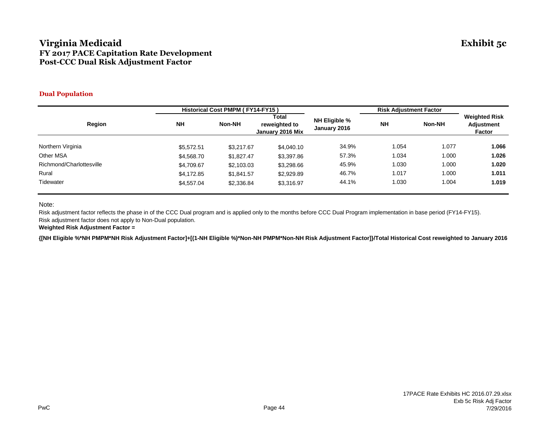#### **Virginia Medicaid Exhibit 5c FY 2017 PACE Capitation Rate Development Post-CCC Dual Risk Adjustment Factor**

#### **Dual Population**

|                          | Historical Cost PMPM (FY14-FY15) |            |                                            |                               | <b>Risk Adjustment Factor</b> |        |                                                     |
|--------------------------|----------------------------------|------------|--------------------------------------------|-------------------------------|-------------------------------|--------|-----------------------------------------------------|
| Region                   | <b>NH</b>                        | Non-NH     | Total<br>reweighted to<br>January 2016 Mix | NH Eligible %<br>January 2016 | <b>NH</b>                     | Non-NH | <b>Weighted Risk</b><br><b>Adjustment</b><br>Factor |
|                          |                                  |            |                                            |                               |                               |        |                                                     |
| Northern Virginia        | \$5,572.51                       | \$3,217.67 | \$4,040.10                                 | 34.9%                         | 1.054                         | 1.077  | 1.066                                               |
| Other MSA                | \$4,568.70                       | \$1,827.47 | \$3,397.86                                 | 57.3%                         | 1.034                         | 1.000  | 1.026                                               |
| Richmond/Charlottesville | \$4,709.67                       | \$2,103.03 | \$3,298.66                                 | 45.9%                         | 1.030                         | 1.000  | 1.020                                               |
| Rural                    | \$4,172.85                       | \$1,841.57 | \$2,929.89                                 | 46.7%                         | 1.017                         | 1.000  | 1.011                                               |
| Tidewater                | \$4,557.04                       | \$2,336.84 | \$3,316.97                                 | 44.1%                         | 1.030                         | 1.004  | 1.019                                               |

Note:

Risk adjustment factor reflects the phase in of the CCC Dual program and is applied only to the months before CCC Dual Program implementation in base period (FY14-FY15). Risk adjustment factor does not apply to Non-Dual population.

**Weighted Risk Adjustment Factor =**

**{[NH Eligible %\*NH PMPM\*NH Risk Adjustment Factor]+[(1-NH Eligible %)\*Non-NH PMPM\*Non-NH Risk Adjustment Factor]}/Total Historical Cost reweighted to January 2016**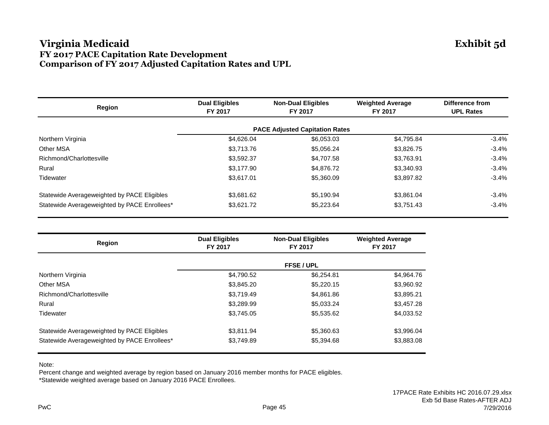## **Virginia Medicaid Exhibit 5d FY 2017 PACE Capitation Rate Development Comparison of FY 2017 Adjusted Capitation Rates and UPL**

| Region                                       | <b>Dual Eligibles</b><br>FY 2017 | <b>Non-Dual Eligibles</b><br>FY 2017  | <b>Weighted Average</b><br>FY 2017 | <b>Difference from</b><br><b>UPL Rates</b> |  |
|----------------------------------------------|----------------------------------|---------------------------------------|------------------------------------|--------------------------------------------|--|
|                                              |                                  | <b>PACE Adjusted Capitation Rates</b> |                                    |                                            |  |
| Northern Virginia                            | \$4,626.04                       | \$6,053.03                            | \$4,795.84                         | $-3.4%$                                    |  |
| <b>Other MSA</b>                             | \$3,713.76                       | \$5,056.24                            | \$3,826.75                         | $-3.4%$                                    |  |
| Richmond/Charlottesville                     | \$3,592.37                       | \$4,707.58                            | \$3,763.91                         | $-3.4%$                                    |  |
| Rural                                        | \$3,177.90                       | \$4,876.72                            | \$3.340.93                         | $-3.4%$                                    |  |
| Tidewater                                    | \$3,617.01                       | \$5,360.09                            | \$3,897.82                         | $-3.4%$                                    |  |
| Statewide Averageweighted by PACE Eligibles  | \$3,681.62                       | \$5,190.94                            | \$3,861.04                         | $-3.4%$                                    |  |
| Statewide Averageweighted by PACE Enrollees* | \$3,621.72                       | \$5,223.64                            | \$3,751.43                         | $-3.4%$                                    |  |

| Region                                       | <b>Dual Eligibles</b><br>FY 2017 | <b>Non-Dual Eligibles</b><br>FY 2017 | <b>Weighted Average</b><br>FY 2017 |
|----------------------------------------------|----------------------------------|--------------------------------------|------------------------------------|
|                                              |                                  | <b>FFSE / UPL</b>                    |                                    |
| Northern Virginia                            | \$4,790.52                       | \$6,254.81                           | \$4,964.76                         |
| Other MSA                                    | \$3,845.20                       | \$5,220.15                           | \$3,960.92                         |
| Richmond/Charlottesville                     | \$3.719.49                       | \$4,861.86                           | \$3,895.21                         |
| Rural                                        | \$3,289.99                       | \$5,033.24                           | \$3,457.28                         |
| Tidewater                                    | \$3.745.05                       | \$5,535.62                           | \$4,033.52                         |
| Statewide Averageweighted by PACE Eligibles  | \$3,811.94                       | \$5,360.63                           | \$3,996.04                         |
| Statewide Averageweighted by PACE Enrollees* | \$3,749.89                       | \$5,394.68                           | \$3,883.08                         |

Note:

Percent change and weighted average by region based on January 2016 member months for PACE eligibles. \*Statewide weighted average based on January 2016 PACE Enrollees.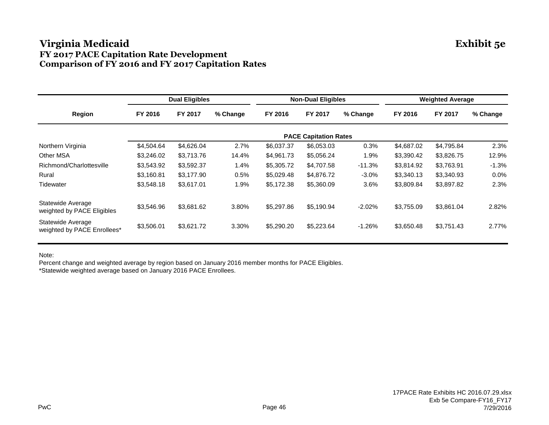## **Virginia Medicaid Exhibit 5e FY 2017 PACE Capitation Rate Development Comparison of FY 2016 and FY 2017 Capitation Rates**

|                                                  | <b>Dual Eligibles</b> |                              | <b>Non-Dual Eligibles</b> |            |            | <b>Weighted Average</b> |            |            |          |
|--------------------------------------------------|-----------------------|------------------------------|---------------------------|------------|------------|-------------------------|------------|------------|----------|
| Region                                           | FY 2016               | FY 2017                      | % Change                  | FY 2016    | FY 2017    | % Change                | FY 2016    | FY 2017    | % Change |
|                                                  |                       | <b>PACE Capitation Rates</b> |                           |            |            |                         |            |            |          |
| Northern Virginia                                | \$4,504.64            | \$4,626.04                   | 2.7%                      | \$6,037.37 | \$6,053.03 | 0.3%                    | \$4,687.02 | \$4,795.84 | 2.3%     |
| <b>Other MSA</b>                                 | \$3,246.02            | \$3,713.76                   | 14.4%                     | \$4,961.73 | \$5,056.24 | 1.9%                    | \$3,390.42 | \$3,826.75 | 12.9%    |
| Richmond/Charlottesville                         | \$3,543.92            | \$3,592.37                   | 1.4%                      | \$5,305.72 | \$4,707.58 | $-11.3%$                | \$3,814.92 | \$3,763.91 | $-1.3%$  |
| Rural                                            | \$3,160.81            | \$3,177.90                   | 0.5%                      | \$5,029.48 | \$4,876.72 | $-3.0\%$                | \$3,340.13 | \$3,340.93 | $0.0\%$  |
| Tidewater                                        | \$3,548.18            | \$3,617.01                   | 1.9%                      | \$5,172.38 | \$5,360.09 | 3.6%                    | \$3,809.84 | \$3,897.82 | 2.3%     |
| Statewide Average<br>weighted by PACE Eligibles  | \$3,546.96            | \$3,681.62                   | 3.80%                     | \$5,297.86 | \$5,190.94 | $-2.02%$                | \$3,755.09 | \$3,861.04 | 2.82%    |
| Statewide Average<br>weighted by PACE Enrollees* | \$3,506.01            | \$3,621.72                   | 3.30%                     | \$5,290.20 | \$5,223.64 | $-1.26%$                | \$3,650.48 | \$3,751.43 | 2.77%    |

Note:

Percent change and weighted average by region based on January 2016 member months for PACE Eligibles. \*Statewide weighted average based on January 2016 PACE Enrollees.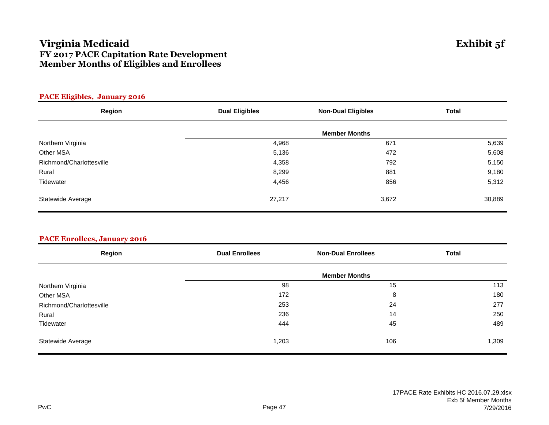## **Virginia Medicaid Exhibit 5f FY 2017 PACE Capitation Rate Development Member Months of Eligibles and Enrollees**

| <b>FAUL Engines, January 2010</b> |                       |                           |              |
|-----------------------------------|-----------------------|---------------------------|--------------|
| Region                            | <b>Dual Eligibles</b> | <b>Non-Dual Eligibles</b> | <b>Total</b> |
|                                   |                       |                           |              |
| Northern Virginia                 | 4,968                 | 671                       | 5,639        |
| Other MSA                         | 5,136                 | 472                       | 5,608        |
| Richmond/Charlottesville          | 4,358                 | 792                       | 5,150        |
| Rural                             | 8,299                 | 881                       | 9,180        |
| Tidewater                         | 4,456                 | 856                       | 5,312        |
| Statewide Average                 | 27,217                | 3,672                     | 30,889       |

#### **PACE Eligibles, January 2016**

|  |  | <b>PACE Enrollees, January 2016</b> |  |
|--|--|-------------------------------------|--|
|  |  |                                     |  |

| Region                   | <b>Dual Enrollees</b> | <b>Non-Dual Enrollees</b> | <b>Total</b> |
|--------------------------|-----------------------|---------------------------|--------------|
|                          |                       | <b>Member Months</b>      |              |
| Northern Virginia        | 98                    | 15                        | 113          |
| Other MSA                | 172                   | 8                         | 180          |
| Richmond/Charlottesville | 253                   | 24                        | 277          |
| Rural                    | 236                   | 14                        | 250          |
| Tidewater                | 444                   | 45                        | 489          |
| Statewide Average        | 1,203                 | 106                       | 1,309        |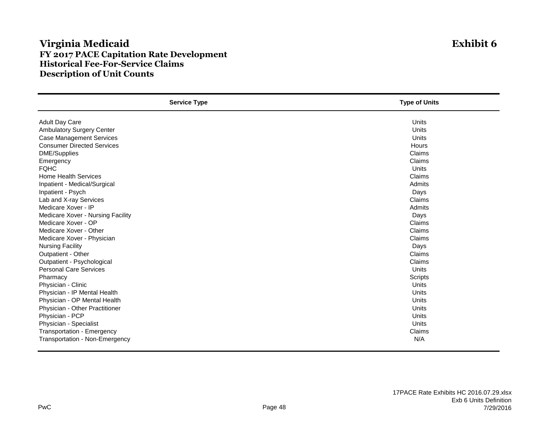## **Virginia Medicaid Exhibit 6 FY 2017 PACE Capitation Rate Development Historical Fee-For-Service Claims Description of Unit Counts**

| <b>Service Type</b>               | <b>Type of Units</b> |
|-----------------------------------|----------------------|
| <b>Adult Day Care</b>             | Units                |
| Ambulatory Surgery Center         | Units                |
| <b>Case Management Services</b>   | Units                |
| <b>Consumer Directed Services</b> | <b>Hours</b>         |
| <b>DME/Supplies</b>               | Claims               |
| Emergency                         | Claims               |
| <b>FQHC</b>                       | Units                |
| <b>Home Health Services</b>       | Claims               |
| Inpatient - Medical/Surgical      | Admits               |
| Inpatient - Psych                 | Days                 |
| Lab and X-ray Services            | Claims               |
| Medicare Xover - IP               | Admits               |
| Medicare Xover - Nursing Facility | Days                 |
| Medicare Xover - OP               | Claims               |
| Medicare Xover - Other            | Claims               |
| Medicare Xover - Physician        | Claims               |
| <b>Nursing Facility</b>           | Days                 |
| Outpatient - Other                | Claims               |
| Outpatient - Psychological        | Claims               |
| <b>Personal Care Services</b>     | Units                |
| Pharmacy                          | Scripts              |
| Physician - Clinic                | Units                |
| Physician - IP Mental Health      | Units                |
| Physician - OP Mental Health      | Units                |
| Physician - Other Practitioner    | Units                |
| Physician - PCP                   | Units                |
| Physician - Specialist            | Units                |
| Transportation - Emergency        | Claims               |
| Transportation - Non-Emergency    | N/A                  |